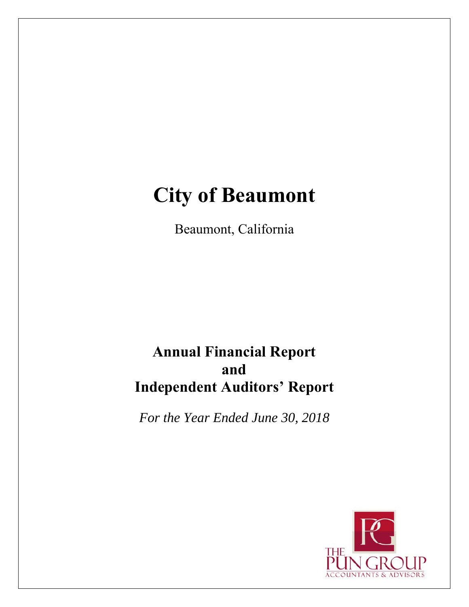# **City of Beaumont**

Beaumont, California

# **Annual Financial Report and Independent Auditors' Report**

*For the Year Ended June 30, 2018* 

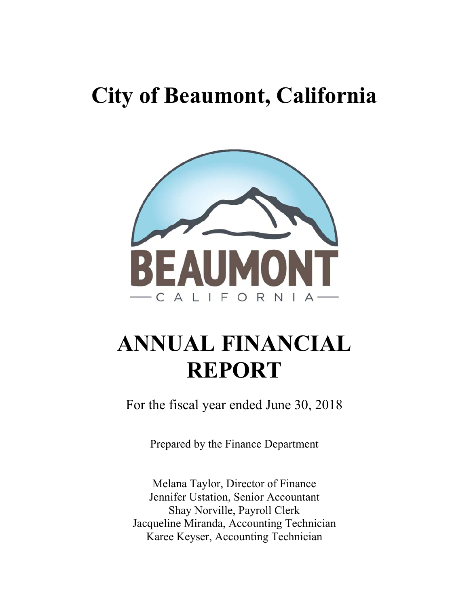# **City of Beaumont, California**



# **ANNUAL FINANCIAL REPORT**

For the fiscal year ended June 30, 2018

Prepared by the Finance Department

Melana Taylor, Director of Finance Jennifer Ustation, Senior Accountant Shay Norville, Payroll Clerk Jacqueline Miranda, Accounting Technician Karee Keyser, Accounting Technician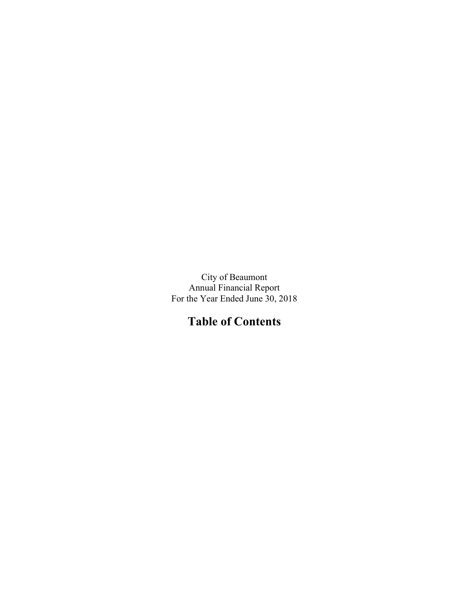# **Table of Contents**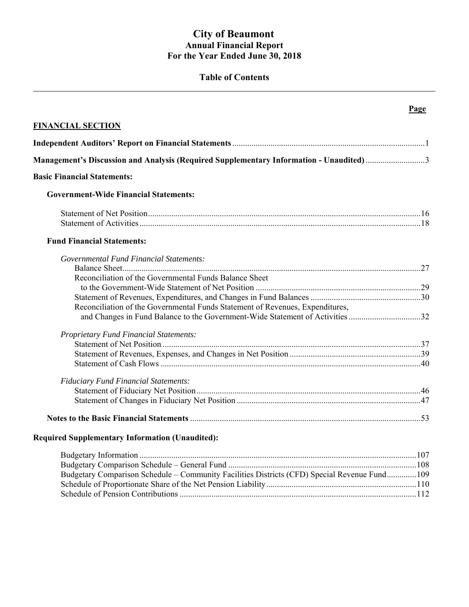## **Table of Contents**

|                                                                                         | Page |
|-----------------------------------------------------------------------------------------|------|
| <b>FINANCIAL SECTION</b>                                                                |      |
|                                                                                         |      |
| Management's Discussion and Analysis (Required Supplementary Information - Unaudited) 3 |      |
| <b>Basic Financial Statements:</b>                                                      |      |
| <b>Government-Wide Financial Statements:</b>                                            |      |
|                                                                                         |      |
|                                                                                         |      |
| <b>Fund Financial Statements:</b>                                                       |      |
| <b>Governmental Fund Financial Statements:</b>                                          |      |
| Reconciliation of the Governmental Funds Balance Sheet                                  |      |
|                                                                                         |      |
|                                                                                         |      |
| Reconciliation of the Governmental Funds Statement of Revenues, Expenditures,           |      |
| and Changes in Fund Balance to the Government-Wide Statement of Activities 32           |      |
| <b>Proprietary Fund Financial Statements:</b>                                           |      |
|                                                                                         |      |
|                                                                                         |      |
|                                                                                         |      |
| <b>Fiduciary Fund Financial Statements:</b>                                             |      |
|                                                                                         |      |
|                                                                                         |      |
|                                                                                         |      |
| <b>Required Supplementary Information (Unaudited):</b>                                  |      |
|                                                                                         |      |

| <b>BUGGETALY INTO PORTUGAL IN THE EXECUTIVE CONSUMER</b> FOR THE RESERVE TO THE RESERVE TO THE RESERVE TO A RESERVE TO T |  |
|--------------------------------------------------------------------------------------------------------------------------|--|
|                                                                                                                          |  |
| Budgetary Comparison Schedule – Community Facilities Districts (CFD) Special Revenue Fund109                             |  |
|                                                                                                                          |  |
|                                                                                                                          |  |
|                                                                                                                          |  |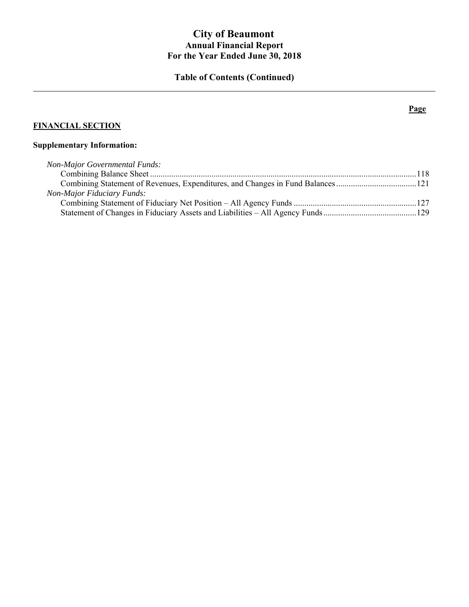## **Table of Contents (Continued)**

## **FINANCIAL SECTION**

## **Supplementary Information:**

| <b>Non-Major Governmental Funds:</b>                                           |  |
|--------------------------------------------------------------------------------|--|
|                                                                                |  |
| Combining Statement of Revenues, Expenditures, and Changes in Fund Balances121 |  |
| <b>Non-Major Fiduciary Funds:</b>                                              |  |
|                                                                                |  |
|                                                                                |  |

## **Page**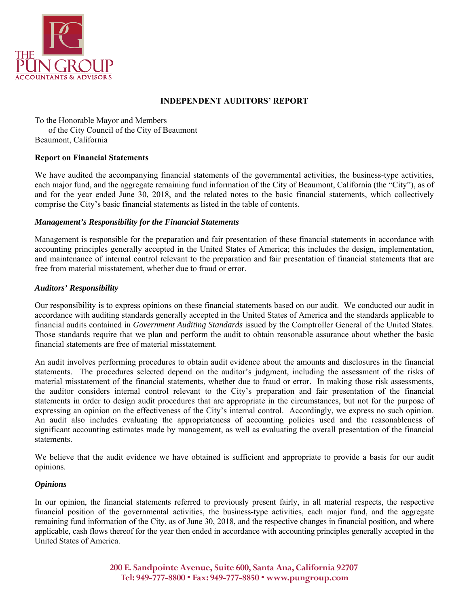

## **INDEPENDENT AUDITORS' REPORT**

To the Honorable Mayor and Members of the City Council of the City of Beaumont Beaumont, California

## **Report on Financial Statements**

We have audited the accompanying financial statements of the governmental activities, the business-type activities, each major fund, and the aggregate remaining fund information of the City of Beaumont, California (the "City"), as of and for the year ended June 30, 2018, and the related notes to the basic financial statements, which collectively comprise the City's basic financial statements as listed in the table of contents.

## *Management's Responsibility for the Financial Statements*

Management is responsible for the preparation and fair presentation of these financial statements in accordance with accounting principles generally accepted in the United States of America; this includes the design, implementation, and maintenance of internal control relevant to the preparation and fair presentation of financial statements that are free from material misstatement, whether due to fraud or error.

## *Auditors' Responsibility*

Our responsibility is to express opinions on these financial statements based on our audit. We conducted our audit in accordance with auditing standards generally accepted in the United States of America and the standards applicable to financial audits contained in *Government Auditing Standards* issued by the Comptroller General of the United States. Those standards require that we plan and perform the audit to obtain reasonable assurance about whether the basic financial statements are free of material misstatement.

An audit involves performing procedures to obtain audit evidence about the amounts and disclosures in the financial statements. The procedures selected depend on the auditor's judgment, including the assessment of the risks of material misstatement of the financial statements, whether due to fraud or error. In making those risk assessments, the auditor considers internal control relevant to the City's preparation and fair presentation of the financial statements in order to design audit procedures that are appropriate in the circumstances, but not for the purpose of expressing an opinion on the effectiveness of the City's internal control. Accordingly, we express no such opinion. An audit also includes evaluating the appropriateness of accounting policies used and the reasonableness of significant accounting estimates made by management, as well as evaluating the overall presentation of the financial statements.

We believe that the audit evidence we have obtained is sufficient and appropriate to provide a basis for our audit opinions.

#### *Opinions*

In our opinion, the financial statements referred to previously present fairly, in all material respects, the respective financial position of the governmental activities, the business-type activities, each major fund, and the aggregate remaining fund information of the City, as of June 30, 2018, and the respective changes in financial position, and where applicable, cash flows thereof for the year then ended in accordance with accounting principles generally accepted in the United States of America.

> **200 E. Sandpointe Avenue, Suite 600, Santa Ana, California 92707 Tel: 949-777-8800 • Fax: 949-777-8850 • www.pungroup.com**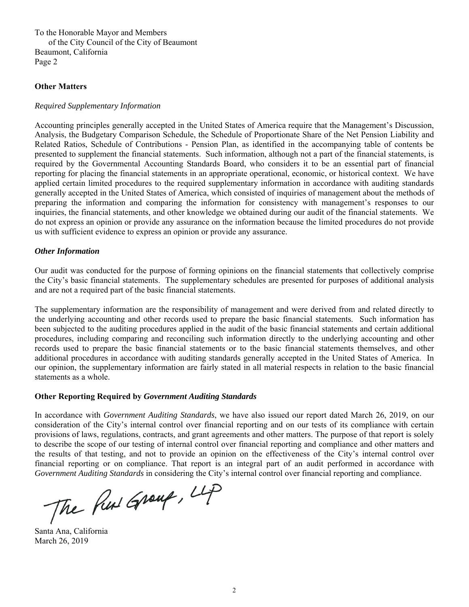To the Honorable Mayor and Members of the City Council of the City of Beaumont Beaumont, California Page 2

#### **Other Matters**

#### *Required Supplementary Information*

Accounting principles generally accepted in the United States of America require that the Management's Discussion, Analysis, the Budgetary Comparison Schedule, the Schedule of Proportionate Share of the Net Pension Liability and Related Ratios, Schedule of Contributions - Pension Plan, as identified in the accompanying table of contents be presented to supplement the financial statements. Such information, although not a part of the financial statements, is required by the Governmental Accounting Standards Board, who considers it to be an essential part of financial reporting for placing the financial statements in an appropriate operational, economic, or historical context. We have applied certain limited procedures to the required supplementary information in accordance with auditing standards generally accepted in the United States of America, which consisted of inquiries of management about the methods of preparing the information and comparing the information for consistency with management's responses to our inquiries, the financial statements, and other knowledge we obtained during our audit of the financial statements. We do not express an opinion or provide any assurance on the information because the limited procedures do not provide us with sufficient evidence to express an opinion or provide any assurance.

#### *Other Information*

Our audit was conducted for the purpose of forming opinions on the financial statements that collectively comprise the City's basic financial statements. The supplementary schedules are presented for purposes of additional analysis and are not a required part of the basic financial statements.

The supplementary information are the responsibility of management and were derived from and related directly to the underlying accounting and other records used to prepare the basic financial statements. Such information has been subjected to the auditing procedures applied in the audit of the basic financial statements and certain additional procedures, including comparing and reconciling such information directly to the underlying accounting and other records used to prepare the basic financial statements or to the basic financial statements themselves, and other additional procedures in accordance with auditing standards generally accepted in the United States of America. In our opinion, the supplementary information are fairly stated in all material respects in relation to the basic financial statements as a whole.

#### **Other Reporting Required by** *Government Auditing Standards*

In accordance with *Government Auditing Standards*, we have also issued our report dated March 26, 2019, on our consideration of the City's internal control over financial reporting and on our tests of its compliance with certain provisions of laws, regulations, contracts, and grant agreements and other matters. The purpose of that report is solely to describe the scope of our testing of internal control over financial reporting and compliance and other matters and the results of that testing, and not to provide an opinion on the effectiveness of the City's internal control over financial reporting or on compliance. That report is an integral part of an audit performed in accordance with *Government Auditing Standards* in considering the City's internal control over financial reporting and compliance.

The Run Group, UP

Santa Ana, California March 26, 2019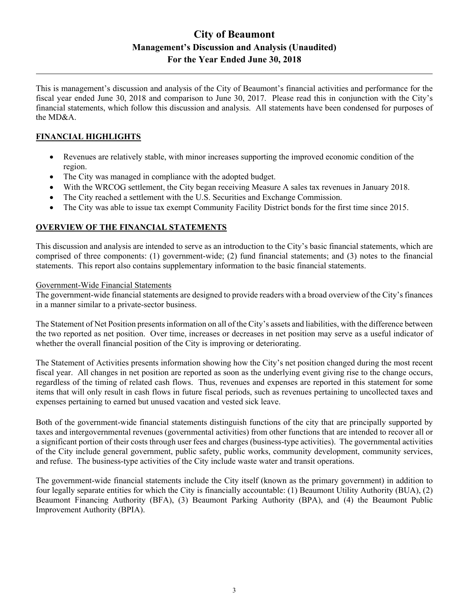This is management's discussion and analysis of the City of Beaumont's financial activities and performance for the fiscal year ended June 30, 2018 and comparison to June 30, 2017. Please read this in conjunction with the City's financial statements, which follow this discussion and analysis. All statements have been condensed for purposes of the MD&A.

## **FINANCIAL HIGHLIGHTS**

- Revenues are relatively stable, with minor increases supporting the improved economic condition of the region.
- The City was managed in compliance with the adopted budget.
- With the WRCOG settlement, the City began receiving Measure A sales tax revenues in January 2018.
- The City reached a settlement with the U.S. Securities and Exchange Commission.
- The City was able to issue tax exempt Community Facility District bonds for the first time since 2015.

## **OVERVIEW OF THE FINANCIAL STATEMENTS**

This discussion and analysis are intended to serve as an introduction to the City's basic financial statements, which are comprised of three components: (1) government-wide; (2) fund financial statements; and (3) notes to the financial statements. This report also contains supplementary information to the basic financial statements.

#### Government-Wide Financial Statements

The government-wide financial statements are designed to provide readers with a broad overview of the City's finances in a manner similar to a private-sector business.

The Statement of Net Position presents information on all of the City's assets and liabilities, with the difference between the two reported as net position. Over time, increases or decreases in net position may serve as a useful indicator of whether the overall financial position of the City is improving or deteriorating.

The Statement of Activities presents information showing how the City's net position changed during the most recent fiscal year. All changes in net position are reported as soon as the underlying event giving rise to the change occurs, regardless of the timing of related cash flows. Thus, revenues and expenses are reported in this statement for some items that will only result in cash flows in future fiscal periods, such as revenues pertaining to uncollected taxes and expenses pertaining to earned but unused vacation and vested sick leave.

Both of the government-wide financial statements distinguish functions of the city that are principally supported by taxes and intergovernmental revenues (governmental activities) from other functions that are intended to recover all or a significant portion of their costs through user fees and charges (business-type activities). The governmental activities of the City include general government, public safety, public works, community development, community services, and refuse. The business-type activities of the City include waste water and transit operations.

The government-wide financial statements include the City itself (known as the primary government) in addition to four legally separate entities for which the City is financially accountable: (1) Beaumont Utility Authority (BUA), (2) Beaumont Financing Authority (BFA), (3) Beaumont Parking Authority (BPA), and (4) the Beaumont Public Improvement Authority (BPIA).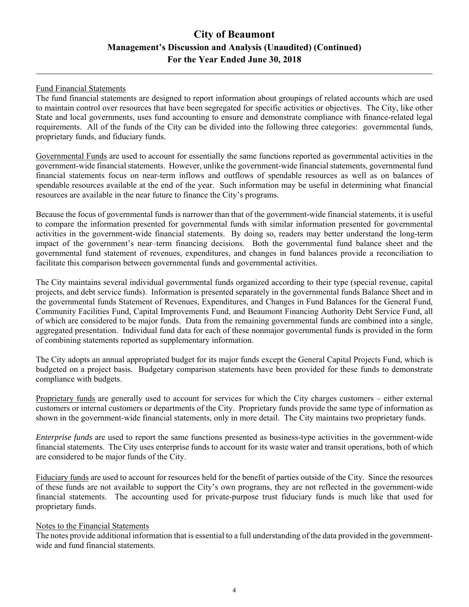#### Fund Financial Statements

The fund financial statements are designed to report information about groupings of related accounts which are used to maintain control over resources that have been segregated for specific activities or objectives. The City, like other State and local governments, uses fund accounting to ensure and demonstrate compliance with finance-related legal requirements. All of the funds of the City can be divided into the following three categories: governmental funds, proprietary funds, and fiduciary funds.

Governmental Funds are used to account for essentially the same functions reported as governmental activities in the government-wide financial statements. However, unlike the government-wide financial statements, governmental fund financial statements focus on near-term inflows and outflows of spendable resources as well as on balances of spendable resources available at the end of the year. Such information may be useful in determining what financial resources are available in the near future to finance the City's programs.

Because the focus of governmental funds is narrower than that of the government-wide financial statements, it is useful to compare the information presented for governmental funds with similar information presented for governmental activities in the government-wide financial statements. By doing so, readers may better understand the long-term impact of the government's near–term financing decisions. Both the governmental fund balance sheet and the governmental fund statement of revenues, expenditures, and changes in fund balances provide a reconciliation to facilitate this comparison between governmental funds and governmental activities.

The City maintains several individual governmental funds organized according to their type (special revenue, capital projects, and debt service funds). Information is presented separately in the governmental funds Balance Sheet and in the governmental funds Statement of Revenues, Expenditures, and Changes in Fund Balances for the General Fund, Community Facilities Fund, Capital Improvements Fund, and Beaumont Financing Authority Debt Service Fund, all of which are considered to be major funds. Data from the remaining governmental funds are combined into a single, aggregated presentation. Individual fund data for each of these nonmajor governmental funds is provided in the form of combining statements reported as supplementary information.

The City adopts an annual appropriated budget for its major funds except the General Capital Projects Fund, which is budgeted on a project basis. Budgetary comparison statements have been provided for these funds to demonstrate compliance with budgets.

Proprietary funds are generally used to account for services for which the City charges customers – either external customers or internal customers or departments of the City. Proprietary funds provide the same type of information as shown in the government-wide financial statements, only in more detail. The City maintains two proprietary funds.

*Enterprise funds* are used to report the same functions presented as business-type activities in the government-wide financial statements. The City uses enterprise funds to account for its waste water and transit operations, both of which are considered to be major funds of the City.

Fiduciary funds are used to account for resources held for the benefit of parties outside of the City. Since the resources of these funds are not available to support the City's own programs, they are not reflected in the government-wide financial statements. The accounting used for private-purpose trust fiduciary funds is much like that used for proprietary funds.

#### Notes to the Financial Statements

The notes provide additional information that is essential to a full understanding of the data provided in the governmentwide and fund financial statements.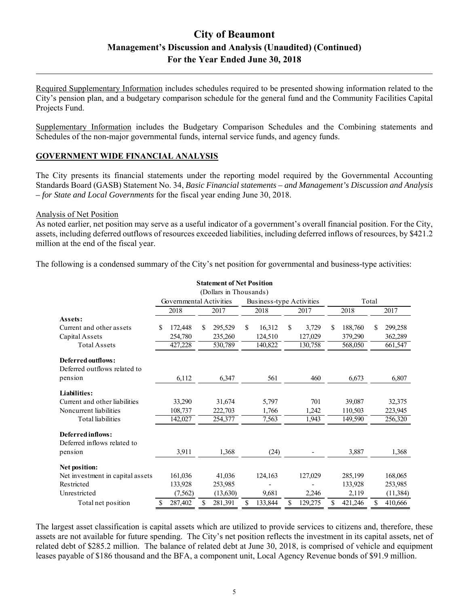Required Supplementary Information includes schedules required to be presented showing information related to the City's pension plan, and a budgetary comparison schedule for the general fund and the Community Facilities Capital Projects Fund.

Supplementary Information includes the Budgetary Comparison Schedules and the Combining statements and Schedules of the non-major governmental funds, internal service funds, and agency funds.

#### **GOVERNMENT WIDE FINANCIAL ANALYSIS**

The City presents its financial statements under the reporting model required by the Governmental Accounting Standards Board (GASB) Statement No. 34, *Basic Financial statements – and Management's Discussion and Analysis – for State and Local Governments* for the fiscal year ending June 30, 2018.

#### Analysis of Net Position

As noted earlier, net position may serve as a useful indicator of a government's overall financial position. For the City, assets, including deferred outflows of resources exceeded liabilities, including deferred inflows of resources, by \$421.2 million at the end of the fiscal year.

The following is a condensed summary of the City's net position for governmental and business-type activities:

|                                                  |     |          |                                                     | <b>Statement of Net Position</b> |    |         |    |         |               |    |           |
|--------------------------------------------------|-----|----------|-----------------------------------------------------|----------------------------------|----|---------|----|---------|---------------|----|-----------|
|                                                  |     |          |                                                     | (Dollars in Thousands)           |    |         |    |         |               |    |           |
|                                                  |     |          | Governmental Activities<br>Business-type Activities |                                  |    |         |    | Total   |               |    |           |
|                                                  |     | 2018     |                                                     | 2017                             |    | 2018    |    | 2017    | 2018          |    | 2017      |
| Assets:                                          |     |          |                                                     |                                  |    |         |    |         |               |    |           |
| Current and other assets                         | \$. | 172,448  | \$.                                                 | 295,529                          | S  | 16,312  | S  | 3,729   | \$<br>188,760 | S  | 299,258   |
| Capital Assets                                   |     | 254,780  |                                                     | 235,260                          |    | 124,510 |    | 127,029 | 379,290       |    | 362,289   |
| <b>Total Assets</b>                              |     | 427,228  |                                                     | 530,789                          |    | 140,822 |    | 130,758 | 568,050       |    | 661,547   |
| Deferred outflows:                               |     |          |                                                     |                                  |    |         |    |         |               |    |           |
| Deferred outflows related to                     |     |          |                                                     |                                  |    |         |    |         |               |    |           |
| pension                                          |     | 6,112    |                                                     | 6,347                            |    | 561     |    | 460     | 6,673         |    | 6,807     |
| Liabilities:                                     |     |          |                                                     |                                  |    |         |    |         |               |    |           |
| Current and other liabilities                    |     | 33,290   |                                                     | 31,674                           |    | 5,797   |    | 701     | 39,087        |    | 32,375    |
| Noncurrent liabilities                           |     | 108,737  |                                                     | 222,703                          |    | 1,766   |    | 1,242   | 110,503       |    | 223,945   |
| <b>Total liabilities</b>                         |     | 142,027  |                                                     | 254,377                          |    | 7,563   |    | 1,943   | 149,590       |    | 256,320   |
| Deferred inflows:<br>Deferred inflows related to |     |          |                                                     |                                  |    |         |    |         |               |    |           |
| pension                                          |     | 3,911    |                                                     | 1,368                            |    | (24)    |    |         | 3,887         |    | 1,368     |
|                                                  |     |          |                                                     |                                  |    |         |    |         |               |    |           |
| Net position:                                    |     |          |                                                     |                                  |    |         |    |         |               |    |           |
| Net investment in capital assets                 |     | 161,036  |                                                     | 41,036                           |    | 124,163 |    | 127,029 | 285,199       |    | 168,065   |
| Restricted                                       |     | 133,928  |                                                     | 253,985                          |    |         |    |         | 133,928       |    | 253,985   |
| Unrestricted                                     |     | (7, 562) |                                                     | (13,630)                         |    | 9,681   |    | 2,246   | 2,119         |    | (11, 384) |
| Total net position                               |     | 287,402  |                                                     | 281,391                          | \$ | 133,844 | \$ | 129,275 | \$<br>421,246 | \$ | 410,666   |

The largest asset classification is capital assets which are utilized to provide services to citizens and, therefore, these assets are not available for future spending. The City's net position reflects the investment in its capital assets, net of related debt of \$285.2 million. The balance of related debt at June 30, 2018, is comprised of vehicle and equipment leases payable of \$186 thousand and the BFA, a component unit, Local Agency Revenue bonds of \$91.9 million.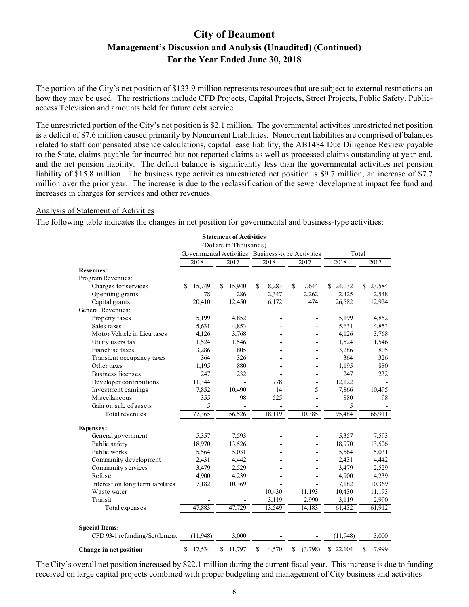The portion of the City's net position of \$133.9 million represents resources that are subject to external restrictions on how they may be used. The restrictions include CFD Projects, Capital Projects, Street Projects, Public Safety, Publicaccess Television and amounts held for future debt service.

The unrestricted portion of the City's net position is \$2.1 million. The governmental activities unrestricted net position is a deficit of \$7.6 million caused primarily by Noncurrent Liabilities. Noncurrent liabilities are comprised of balances related to staff compensated absence calculations, capital lease liability, the AB1484 Due Diligence Review payable to the State, claims payable for incurred but not reported claims as well as processed claims outstanding at year-end, and the net pension liability. The deficit balance is significantly less than the governmental activities net pension liability of \$15.8 million. The business type activities unrestricted net position is \$9.7 million, an increase of \$7.7 million over the prior year. The increase is due to the reclassification of the sewer development impact fee fund and increases in charges for services and other revenues.

#### Analysis of Statement of Activities

The following table indicates the changes in net position for governmental and business-type activities:

|                                   |              | <b>Statement of Activities</b><br>(Dollars in Thousands) |                                                  |                          |              |                          |  |
|-----------------------------------|--------------|----------------------------------------------------------|--------------------------------------------------|--------------------------|--------------|--------------------------|--|
|                                   |              |                                                          | Governmental Activities Business-type Activities |                          | Total        |                          |  |
|                                   | 2018         | 2017                                                     | 2018                                             | 2017                     | 2018         | 2017                     |  |
| <b>Revenues:</b>                  |              |                                                          |                                                  |                          |              |                          |  |
| Program Revenues:                 |              |                                                          |                                                  |                          |              |                          |  |
| Charges for services              | \$<br>15,749 | \$<br>15,940                                             | \$<br>8,283                                      | \$<br>7,644              | 24,032<br>S. | 23,584<br>S.             |  |
| Operating grants                  | 78           | 286                                                      | 2,347                                            | 2,262                    | 2,425        | 2,548                    |  |
| Capital grants                    | 20,410       | 12,450                                                   | 6,172                                            | 474                      | 26,582       | 12,924                   |  |
| General Revenues:                 |              |                                                          |                                                  |                          |              |                          |  |
| Property taxes                    | 5,199        | 4,852                                                    |                                                  | $\overline{a}$           | 5,199        | 4,852                    |  |
| Sales taxes                       | 5,631        | 4,853                                                    |                                                  | $\frac{1}{2}$            | 5,631        | 4,853                    |  |
| Motor Vehicle in Lieu taxes       | 4,126        | 3,768                                                    |                                                  |                          | 4,126        | 3,768                    |  |
| Utility users tax                 | 1,524        | 1,546                                                    |                                                  | $\blacksquare$           | 1,524        | 1,546                    |  |
| Franchise taxes                   | 3,286        | 805                                                      |                                                  | ÷,                       | 3,286        | 805                      |  |
| Transient occupancy taxes         | 364          | 326                                                      |                                                  | ÷,                       | 364          | 326                      |  |
| Other taxes                       | 1,195        | 880                                                      |                                                  | $\overline{\phantom{a}}$ | 1,195        | 880                      |  |
| <b>Business</b> licenses          | 247          | 232                                                      |                                                  |                          | 247          | 232                      |  |
| Developer contributions           | 11,344       |                                                          | 778                                              | ÷,                       | 12,122       |                          |  |
| Investment earnings               | 7,852        | 10,490                                                   | 14                                               | 5                        | 7,866        | 10,495                   |  |
| Miscellaneous                     | 355          | 98                                                       | 525                                              |                          | 880          | 98                       |  |
| Gain on sale of assets            | 5            |                                                          | $\blacksquare$                                   |                          | 5            | $\overline{\phantom{a}}$ |  |
| Total revenues                    | 77,365       | 56,526                                                   | 18,119                                           | 10,385                   | 95,484       | 66,911                   |  |
| <b>Expenses:</b>                  |              |                                                          |                                                  |                          |              |                          |  |
| General government                | 5,357        | 7,593                                                    |                                                  |                          | 5,357        | 7,593                    |  |
| Public safety                     | 18,970       | 13,526                                                   |                                                  |                          | 18,970       | 13,526                   |  |
| Public works                      | 5,564        | 5,031                                                    |                                                  |                          | 5,564        | 5,031                    |  |
| Community development             | 2,431        | 4,442                                                    |                                                  |                          | 2,431        | 4,442                    |  |
| Community services                | 3,479        | 2,529                                                    |                                                  |                          | 3,479        | 2,529                    |  |
| Refuse                            | 4,900        | 4,239                                                    |                                                  | $\overline{a}$           | 4,900        | 4,239                    |  |
| Interest on long term liabilities | 7,182        | 10,369                                                   |                                                  | $\overline{\phantom{a}}$ | 7,182        | 10,369                   |  |
| Waste water                       |              |                                                          | 10,430                                           | 11,193                   | 10,430       | 11,193                   |  |
| Transit                           |              |                                                          | 3,119                                            | 2,990                    | 3,119        | 2,990                    |  |
| Total expenses                    | 47,883       | 47,729                                                   | 13,549                                           | 14.183                   | 61,432       | 61,912                   |  |
|                                   |              |                                                          |                                                  |                          |              |                          |  |
| <b>Special Items:</b>             |              |                                                          |                                                  |                          |              |                          |  |
| CFD 93-1 refunding/Settlement     | (11,948)     | 3,000                                                    |                                                  |                          | (11,948)     | 3,000                    |  |
| Change in net position            | 17,534<br>\$ | \$<br>11,797                                             | \$<br>4,570                                      | \$<br>(3,798)            | \$22,104     | \$<br>7,999              |  |

The City's overall net position increased by \$22.1 million during the current fiscal year. This increase is due to funding received on large capital projects combined with proper budgeting and management of City business and activities.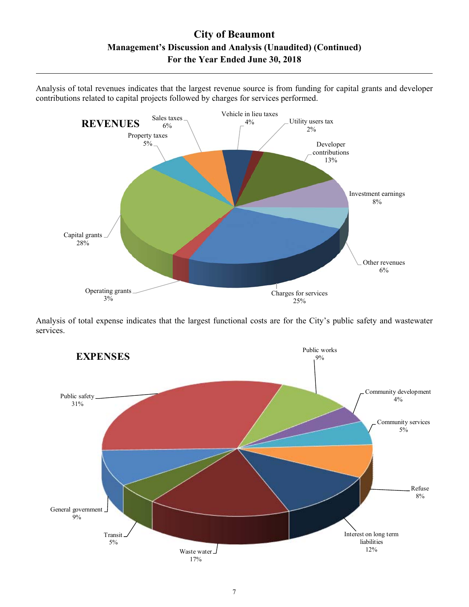Analysis of total revenues indicates that the largest revenue source is from funding for capital grants and developer contributions related to capital projects followed by charges for services performed.



Analysis of total expense indicates that the largest functional costs are for the City's public safety and wastewater services.

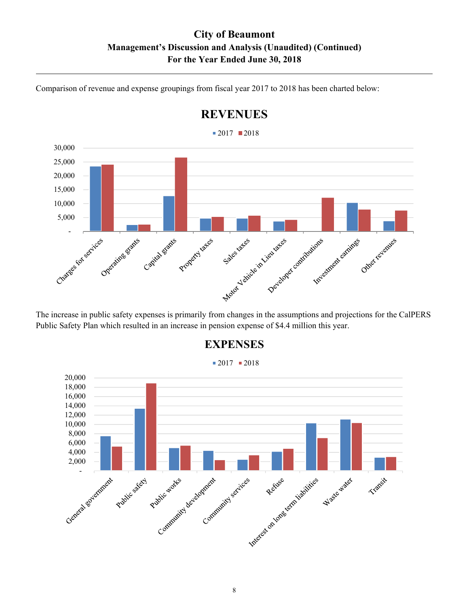Comparison of revenue and expense groupings from fiscal year 2017 to 2018 has been charted below:



The increase in public safety expenses is primarily from changes in the assumptions and projections for the CalPERS Public Safety Plan which resulted in an increase in pension expense of \$4.4 million this year.



**EXPENSES**

 $2017 - 2018$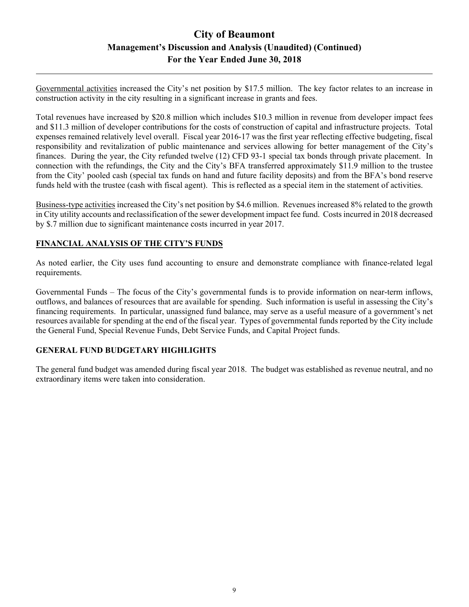Governmental activities increased the City's net position by \$17.5 million. The key factor relates to an increase in construction activity in the city resulting in a significant increase in grants and fees.

Total revenues have increased by \$20.8 million which includes \$10.3 million in revenue from developer impact fees and \$11.3 million of developer contributions for the costs of construction of capital and infrastructure projects. Total expenses remained relatively level overall. Fiscal year 2016-17 was the first year reflecting effective budgeting, fiscal responsibility and revitalization of public maintenance and services allowing for better management of the City's finances. During the year, the City refunded twelve (12) CFD 93-1 special tax bonds through private placement. In connection with the refundings, the City and the City's BFA transferred approximately \$11.9 million to the trustee from the City' pooled cash (special tax funds on hand and future facility deposits) and from the BFA's bond reserve funds held with the trustee (cash with fiscal agent). This is reflected as a special item in the statement of activities.

Business-type activities increased the City's net position by \$4.6 million. Revenues increased 8% related to the growth in City utility accounts and reclassification of the sewer development impact fee fund. Costs incurred in 2018 decreased by \$.7 million due to significant maintenance costs incurred in year 2017.

## **FINANCIAL ANALYSIS OF THE CITY'S FUNDS**

As noted earlier, the City uses fund accounting to ensure and demonstrate compliance with finance-related legal requirements.

Governmental Funds – The focus of the City's governmental funds is to provide information on near-term inflows, outflows, and balances of resources that are available for spending. Such information is useful in assessing the City's financing requirements. In particular, unassigned fund balance, may serve as a useful measure of a government's net resources available for spending at the end of the fiscal year. Types of governmental funds reported by the City include the General Fund, Special Revenue Funds, Debt Service Funds, and Capital Project funds.

## **GENERAL FUND BUDGETARY HIGHLIGHTS**

The general fund budget was amended during fiscal year 2018. The budget was established as revenue neutral, and no extraordinary items were taken into consideration.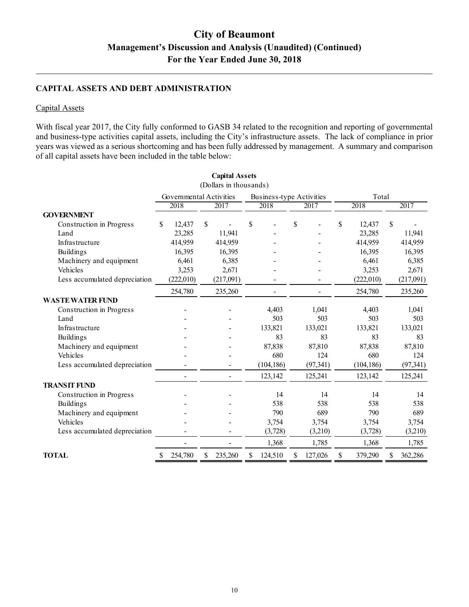## **CAPITAL ASSETS AND DEBT ADMINISTRATION**

#### Capital Assets

With fiscal year 2017, the City fully conformed to GASB 34 related to the recognition and reporting of governmental and business-type activities capital assets, including the City's infrastructure assets. The lack of compliance in prior years was viewed as a serious shortcoming and has been fully addressed by management. A summary and comparison of all capital assets have been included in the table below:

|                               |                | <b>Capital Assets</b>   |               |                          |               |           |  |  |
|-------------------------------|----------------|-------------------------|---------------|--------------------------|---------------|-----------|--|--|
|                               |                | (Dollars in thousands)  |               |                          |               |           |  |  |
|                               |                | Governmental Activities |               | Business-type Activities | Total         |           |  |  |
|                               | 2018           | 2017                    | 2018          | 2017                     | 2018          | 2017      |  |  |
| <b>GOVERNMENT</b>             |                |                         |               |                          |               |           |  |  |
| Construction in Progress      | \$<br>12,437   | \$                      | \$            | \$                       | \$<br>12,437  | \$        |  |  |
| Land                          | 23,285         | 11,941                  |               |                          | 23,285        | 11,941    |  |  |
| Infrastructure                | 414,959        | 414,959                 |               |                          | 414,959       | 414,959   |  |  |
| <b>Buildings</b>              | 16,395         | 16,395                  |               |                          | 16,395        | 16,395    |  |  |
| Machinery and equipment       | 6,461          | 6,385                   |               |                          | 6,461         | 6,385     |  |  |
| Vehicles                      | 3,253          | 2,671                   |               |                          | 3,253         | 2,671     |  |  |
| Less accumulated depreciation | (222,010)      | (217,091)               |               |                          | (222,010)     | (217,091) |  |  |
|                               | 254,780        | 235,260                 |               |                          | 254,780       | 235,260   |  |  |
| <b>WASTE WATER FUND</b>       |                |                         |               |                          |               |           |  |  |
| Construction in Progress      |                |                         | 4,403         | 1,041                    | 4,403         | 1,041     |  |  |
| Land                          |                |                         | 503           | 503                      | 503           | 503       |  |  |
| Infrastructure                |                |                         | 133,821       | 133,021                  | 133,821       | 133,021   |  |  |
| <b>Buildings</b>              |                |                         | 83            | 83                       | 83            | 83        |  |  |
| Machinery and equipment       |                |                         | 87,838        | 87,810                   | 87,838        | 87,810    |  |  |
| Vehicles                      |                |                         | 680           | 124                      | 680           | 124       |  |  |
| Less accumulated depreciation |                |                         | (104, 186)    | (97, 341)                | (104, 186)    | (97, 341) |  |  |
|                               | $\blacksquare$ |                         | 123,142       | 125,241                  | 123,142       | 125,241   |  |  |
| <b>TRANSIT FUND</b>           |                |                         |               |                          |               |           |  |  |
| Construction in Progress      |                |                         | 14            | 14                       | 14            | 14        |  |  |
| <b>Buildings</b>              |                |                         | 538           | 538                      | 538           | 538       |  |  |
| Machinery and equipment       |                |                         | 790           | 689                      | 790           | 689       |  |  |
| Vehicles                      |                |                         | 3,754         | 3,754                    | 3,754         | 3,754     |  |  |
| Less accumulated depreciation |                |                         | (3,728)       | (3,210)                  | (3,728)       | (3,210)   |  |  |
|                               | $\blacksquare$ |                         | 1,368         | 1,785                    | 1,368         | 1,785     |  |  |
| <b>TOTAL</b>                  | \$<br>254,780  | \$<br>235,260           | \$<br>124,510 | 127,026<br>S             | \$<br>379,290 | 362,286   |  |  |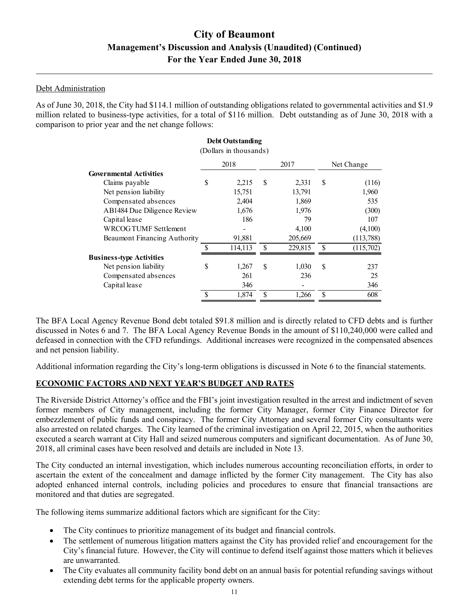#### Debt Administration

As of June 30, 2018, the City had \$114.1 million of outstanding obligations related to governmental activities and \$1.9 million related to business-type activities, for a total of \$116 million. Debt outstanding as of June 30, 2018 with a comparison to prior year and the net change follows:

|                                 | <b>Debt Outstanding</b><br>(Dollars in thousands) |               |         |    |            |
|---------------------------------|---------------------------------------------------|---------------|---------|----|------------|
|                                 | 2018                                              |               | 2017    |    | Net Change |
| <b>Governmental Activities</b>  |                                                   |               |         |    |            |
| Claims payable                  | \$<br>2,215                                       | S             | 2,331   | S  | (116)      |
| Net pension liability           | 15,751                                            |               | 13,791  |    | 1,960      |
| Compensated absences            | 2,404                                             |               | 1,869   |    | 535        |
| AB1484 Due Diligence Review     | 1,676                                             |               | 1,976   |    | (300)      |
| Capital lease                   | 186                                               |               | 79      |    | 107        |
| <b>WRCOGTUMF Settlement</b>     |                                                   |               | 4,100   |    | (4,100)    |
| Beaumont Financing Authority    | 91,881                                            |               | 205,669 |    | (113,788)  |
|                                 | \$<br>114,113                                     | <sup>\$</sup> | 229,815 | \$ | (115,702)  |
| <b>Business-type Activities</b> |                                                   |               |         |    |            |
| Net pension liability           | \$<br>1,267                                       | S             | 1,030   | \$ | 237        |
| Compensated absences            | 261                                               |               | 236     |    | 25         |
| Capital lease                   | 346                                               |               |         |    | 346        |
|                                 | 1,874                                             | \$            | 1,266   | \$ | 608        |

The BFA Local Agency Revenue Bond debt totaled \$91.8 million and is directly related to CFD debts and is further discussed in Notes 6 and 7. The BFA Local Agency Revenue Bonds in the amount of \$110,240,000 were called and defeased in connection with the CFD refundings. Additional increases were recognized in the compensated absences and net pension liability.

Additional information regarding the City's long-term obligations is discussed in Note 6 to the financial statements.

#### **ECONOMIC FACTORS AND NEXT YEAR'S BUDGET AND RATES**

The Riverside District Attorney's office and the FBI's joint investigation resulted in the arrest and indictment of seven former members of City management, including the former City Manager, former City Finance Director for embezzlement of public funds and conspiracy. The former City Attorney and several former City consultants were also arrested on related charges. The City learned of the criminal investigation on April 22, 2015, when the authorities executed a search warrant at City Hall and seized numerous computers and significant documentation. As of June 30, 2018, all criminal cases have been resolved and details are included in Note 13.

The City conducted an internal investigation, which includes numerous accounting reconciliation efforts, in order to ascertain the extent of the concealment and damage inflicted by the former City management. The City has also adopted enhanced internal controls, including policies and procedures to ensure that financial transactions are monitored and that duties are segregated.

The following items summarize additional factors which are significant for the City:

- The City continues to prioritize management of its budget and financial controls.
- The settlement of numerous litigation matters against the City has provided relief and encouragement for the City's financial future. However, the City will continue to defend itself against those matters which it believes are unwarranted.
- The City evaluates all community facility bond debt on an annual basis for potential refunding savings without extending debt terms for the applicable property owners.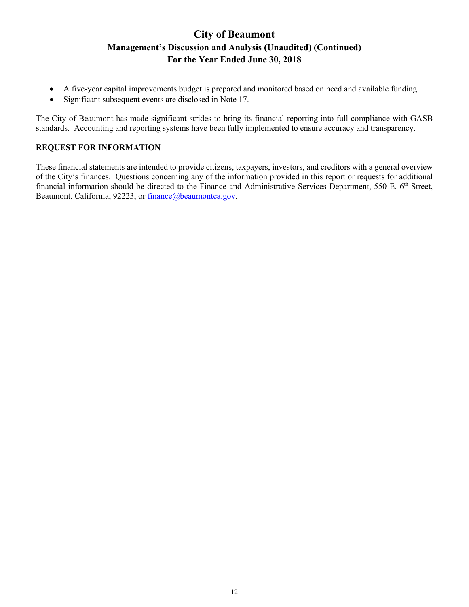- A five-year capital improvements budget is prepared and monitored based on need and available funding.
- Significant subsequent events are disclosed in Note 17.

The City of Beaumont has made significant strides to bring its financial reporting into full compliance with GASB standards. Accounting and reporting systems have been fully implemented to ensure accuracy and transparency.

## **REQUEST FOR INFORMATION**

These financial statements are intended to provide citizens, taxpayers, investors, and creditors with a general overview of the City's finances. Questions concerning any of the information provided in this report or requests for additional financial information should be directed to the Finance and Administrative Services Department, 550 E. 6<sup>th</sup> Street, Beaumont, California, 92223, or finance@beaumontca.gov.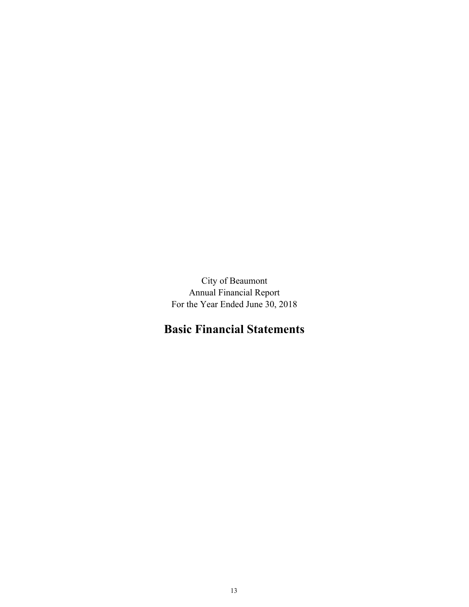## **Basic Financial Statements**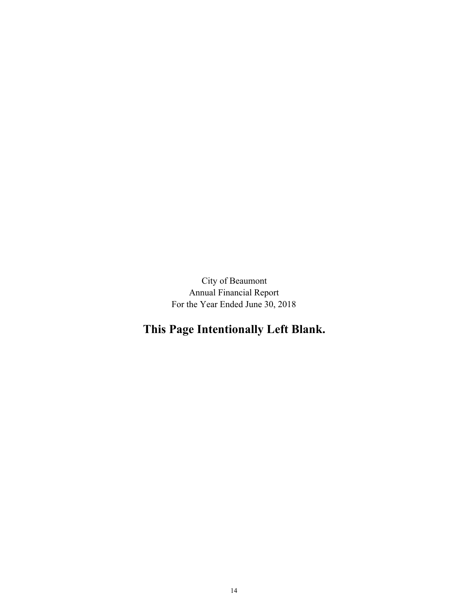# **This Page Intentionally Left Blank.**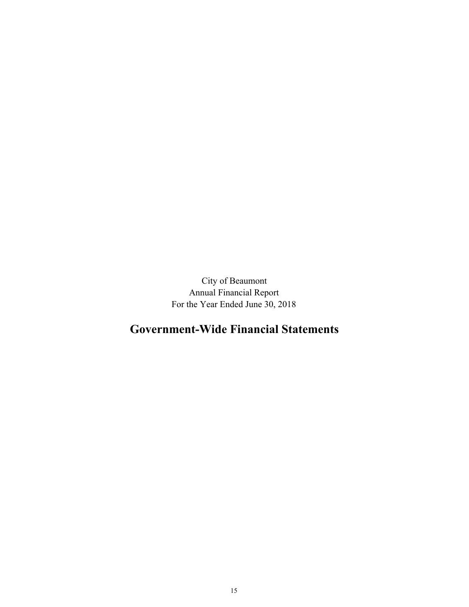# **Government-Wide Financial Statements**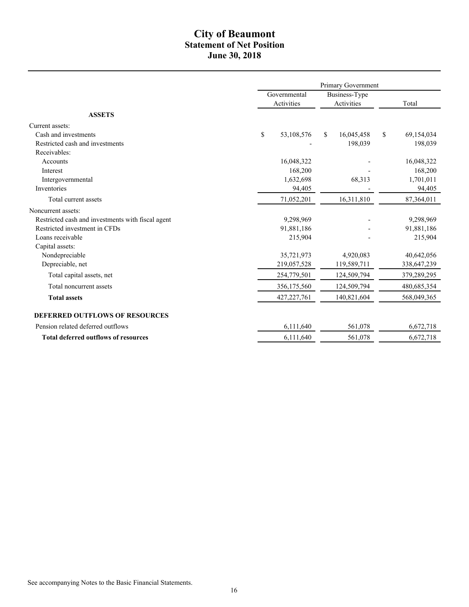## **City of Beaumont Statement of Net Position June 30, 2018**

|                                                   |      | Primary Government |     |               |    |             |  |  |
|---------------------------------------------------|------|--------------------|-----|---------------|----|-------------|--|--|
|                                                   |      | Governmental       |     | Business-Type |    |             |  |  |
|                                                   |      | Activities         |     | Activities    |    | Total       |  |  |
| <b>ASSETS</b>                                     |      |                    |     |               |    |             |  |  |
| Current assets:                                   |      |                    |     |               |    |             |  |  |
| Cash and investments                              | $\$$ | 53,108,576         | \$. | 16,045,458    | \$ | 69,154,034  |  |  |
| Restricted cash and investments                   |      |                    |     | 198,039       |    | 198,039     |  |  |
| Receivables:                                      |      |                    |     |               |    |             |  |  |
| Accounts                                          |      | 16,048,322         |     |               |    | 16,048,322  |  |  |
| Interest                                          |      | 168,200            |     |               |    | 168,200     |  |  |
| Intergovernmental                                 |      | 1,632,698          |     | 68,313        |    | 1,701,011   |  |  |
| Inventories                                       |      | 94,405             |     |               |    | 94,405      |  |  |
| Total current assets                              |      | 71,052,201         |     | 16,311,810    |    | 87,364,011  |  |  |
| Noncurrent assets:                                |      |                    |     |               |    |             |  |  |
| Restricted cash and investments with fiscal agent |      | 9,298,969          |     |               |    | 9,298,969   |  |  |
| Restricted investment in CFDs                     |      | 91,881,186         |     |               |    | 91,881,186  |  |  |
| Loans receivable                                  |      | 215,904            |     |               |    | 215,904     |  |  |
| Capital assets:                                   |      |                    |     |               |    |             |  |  |
| Nondepreciable                                    |      | 35,721,973         |     | 4,920,083     |    | 40,642,056  |  |  |
| Depreciable, net                                  |      | 219,057,528        |     | 119,589,711   |    | 338,647,239 |  |  |
| Total capital assets, net                         |      | 254,779,501        |     | 124,509,794   |    | 379,289,295 |  |  |
| Total noncurrent assets                           |      | 356,175,560        |     | 124,509,794   |    | 480,685,354 |  |  |
| <b>Total assets</b>                               |      | 427,227,761        |     | 140,821,604   |    | 568,049,365 |  |  |
| <b>DEFERRED OUTFLOWS OF RESOURCES</b>             |      |                    |     |               |    |             |  |  |
| Pension related deferred outflows                 |      | 6,111,640          |     | 561,078       |    | 6,672,718   |  |  |
| <b>Total deferred outflows of resources</b>       |      | 6,111,640          |     | 561,078       |    | 6,672,718   |  |  |
|                                                   |      |                    |     |               |    |             |  |  |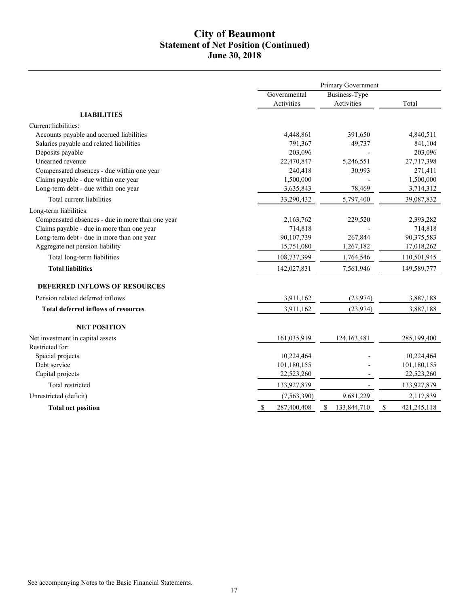## **City of Beaumont Statement of Net Position (Continued) June 30, 2018**

|                                                  |                   | Primary Government |                   |
|--------------------------------------------------|-------------------|--------------------|-------------------|
|                                                  | Governmental      | Business-Type      |                   |
|                                                  | Activities        | Activities         | Total             |
| <b>LIABILITIES</b>                               |                   |                    |                   |
| Current liabilities:                             |                   |                    |                   |
| Accounts payable and accrued liabilities         | 4,448,861         | 391,650            | 4,840,511         |
| Salaries payable and related liabilities         | 791,367           | 49,737             | 841,104           |
| Deposits payable                                 | 203,096           |                    | 203,096           |
| Unearned revenue                                 | 22,470,847        | 5,246,551          | 27,717,398        |
| Compensated absences - due within one year       | 240,418           | 30,993             | 271,411           |
| Claims payable - due within one year             | 1,500,000         |                    | 1,500,000         |
| Long-term debt - due within one year             | 3,635,843         | 78,469             | 3,714,312         |
| Total current liabilities                        | 33,290,432        | 5,797,400          | 39,087,832        |
| Long-term liabilities:                           |                   |                    |                   |
| Compensated absences - due in more than one year | 2,163,762         | 229,520            | 2,393,282         |
| Claims payable - due in more than one year       | 714,818           |                    | 714,818           |
| Long-term debt - due in more than one year       | 90,107,739        | 267,844            | 90,375,583        |
| Aggregate net pension liability                  | 15,751,080        | 1,267,182          | 17,018,262        |
| Total long-term liabilities                      | 108,737,399       | 1,764,546          | 110,501,945       |
| <b>Total liabilities</b>                         | 142,027,831       | 7,561,946          | 149,589,777       |
| DEFERRED INFLOWS OF RESOURCES                    |                   |                    |                   |
| Pension related deferred inflows                 | 3,911,162         | (23, 974)          | 3,887,188         |
| <b>Total deferred inflows of resources</b>       | 3,911,162         | (23, 974)          | 3,887,188         |
| <b>NET POSITION</b>                              |                   |                    |                   |
| Net investment in capital assets                 | 161,035,919       | 124, 163, 481      | 285,199,400       |
| Restricted for:                                  |                   |                    |                   |
| Special projects                                 | 10,224,464        |                    | 10,224,464        |
| Debt service                                     | 101,180,155       |                    | 101,180,155       |
| Capital projects                                 | 22,523,260        |                    | 22,523,260        |
| Total restricted                                 | 133,927,879       |                    | 133,927,879       |
| Unrestricted (deficit)                           | (7, 563, 390)     | 9,681,229          | 2,117,839         |
| <b>Total net position</b>                        | 287,400,408<br>\$ | 133,844,710<br>S   | \$<br>421,245,118 |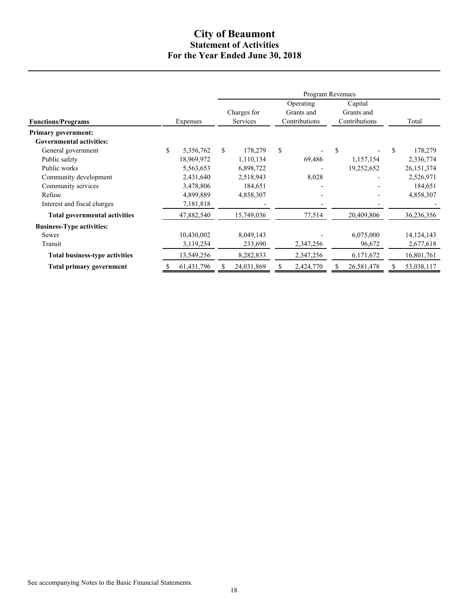## **City of Beaumont Statement of Activities For the Year Ended June 30, 2018**

|                                       |    |            |     |                         | Program Revenues                         |                                        |            |               |
|---------------------------------------|----|------------|-----|-------------------------|------------------------------------------|----------------------------------------|------------|---------------|
| <b>Functions/Programs</b>             |    | Expenses   |     | Charges for<br>Services | Operating<br>Grants and<br>Contributions | Capital<br>Grants and<br>Contributions |            | Total         |
| <b>Primary government:</b>            |    |            |     |                         |                                          |                                        |            |               |
| <b>Governmental activities:</b>       |    |            |     |                         |                                          |                                        |            |               |
| General government                    | \$ | 5,356,762  | \$. | 178,279                 | \$                                       | S                                      |            | \$<br>178,279 |
| Public safety                         |    | 18,969,972 |     | 1,110,134               | 69,486                                   |                                        | 1,157,154  | 2,336,774     |
| Public works                          |    | 5,563,653  |     | 6,898,722               |                                          |                                        | 19,252,652 | 26, 151, 374  |
| Community development                 |    | 2,431,640  |     | 2,518,943               | 8,028                                    |                                        |            | 2,526,971     |
| Community services                    |    | 3,478,806  |     | 184,651                 |                                          |                                        |            | 184,651       |
| Refuse                                |    | 4,899,889  |     | 4,858,307               |                                          |                                        |            | 4,858,307     |
| Interest and fiscal charges           |    | 7,181,818  |     |                         |                                          |                                        |            |               |
| <b>Total governmental activities</b>  |    | 47,882,540 |     | 15,749,036              | 77,514                                   |                                        | 20,409,806 | 36,236,356    |
| <b>Business-Type activities:</b>      |    |            |     |                         |                                          |                                        |            |               |
| Sewer                                 |    | 10,430,002 |     | 8,049,143               |                                          |                                        | 6,075,000  | 14, 124, 143  |
| Transit                               |    | 3,119,254  |     | 233,690                 | 2,347,256                                |                                        | 96,672     | 2,677,618     |
| <b>Total business-type activities</b> |    | 13,549,256 |     | 8,282,833               | 2,347,256                                |                                        | 6,171,672  | 16,801,761    |
| <b>Total primary government</b>       |    | 61,431,796 |     | 24,031,869              | 2,424,770                                |                                        | 26,581,478 | 53,038,117    |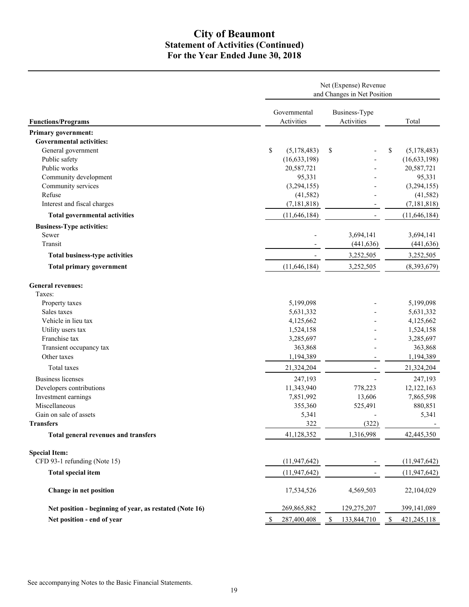## **City of Beaumont Statement of Activities (Continued) For the Year Ended June 30, 2018**

|                                                         | Net (Expense) Revenue<br>and Changes in Net Position |                             |                         |  |  |  |  |  |
|---------------------------------------------------------|------------------------------------------------------|-----------------------------|-------------------------|--|--|--|--|--|
| <b>Functions/Programs</b>                               | Governmental<br>Activities                           | Business-Type<br>Activities | Total                   |  |  |  |  |  |
| Primary government:                                     |                                                      |                             |                         |  |  |  |  |  |
| <b>Governmental activities:</b>                         |                                                      |                             |                         |  |  |  |  |  |
| General government                                      | \$<br>(5,178,483)                                    | \$                          | \$<br>(5,178,483)       |  |  |  |  |  |
| Public safety                                           | (16, 633, 198)                                       |                             | (16, 633, 198)          |  |  |  |  |  |
| Public works                                            | 20,587,721                                           |                             | 20,587,721              |  |  |  |  |  |
| Community development                                   | 95,331                                               |                             | 95,331                  |  |  |  |  |  |
| Community services                                      | (3,294,155)                                          |                             | (3,294,155)             |  |  |  |  |  |
| Refuse                                                  | (41, 582)                                            |                             | (41, 582)               |  |  |  |  |  |
| Interest and fiscal charges                             | (7, 181, 818)                                        |                             | (7, 181, 818)           |  |  |  |  |  |
| <b>Total governmental activities</b>                    | (11, 646, 184)                                       |                             | (11, 646, 184)          |  |  |  |  |  |
| <b>Business-Type activities:</b>                        |                                                      |                             |                         |  |  |  |  |  |
| Sewer                                                   |                                                      | 3,694,141                   | 3,694,141               |  |  |  |  |  |
| Transit                                                 |                                                      | (441, 636)                  | (441, 636)              |  |  |  |  |  |
| <b>Total business-type activities</b>                   |                                                      | 3,252,505                   | 3,252,505               |  |  |  |  |  |
| <b>Total primary government</b>                         | (11, 646, 184)                                       | 3,252,505                   | (8,393,679)             |  |  |  |  |  |
| <b>General revenues:</b>                                |                                                      |                             |                         |  |  |  |  |  |
| Taxes:                                                  |                                                      |                             |                         |  |  |  |  |  |
| Property taxes                                          | 5,199,098                                            |                             | 5,199,098               |  |  |  |  |  |
| Sales taxes                                             | 5,631,332                                            |                             | 5,631,332               |  |  |  |  |  |
| Vehicle in lieu tax                                     | 4,125,662                                            |                             | 4,125,662               |  |  |  |  |  |
| Utility users tax                                       | 1,524,158                                            |                             | 1,524,158               |  |  |  |  |  |
| Franchise tax                                           | 3,285,697                                            |                             | 3,285,697               |  |  |  |  |  |
| Transient occupancy tax<br>Other taxes                  | 363,868                                              |                             | 363,868                 |  |  |  |  |  |
| Total taxes                                             | 1,194,389<br>21,324,204                              |                             | 1,194,389<br>21,324,204 |  |  |  |  |  |
| <b>Business licenses</b>                                | 247,193                                              |                             | 247,193                 |  |  |  |  |  |
| Developers contributions                                | 11,343,940                                           | 778,223                     | 12,122,163              |  |  |  |  |  |
| Investment earnings                                     | 7,851,992                                            | 13,606                      | 7,865,598               |  |  |  |  |  |
| Miscellaneous                                           | 355,360                                              | 525,491                     | 880,851                 |  |  |  |  |  |
| Gain on sale of assets                                  | 5,341                                                |                             | 5,341                   |  |  |  |  |  |
| Transfers                                               | 322                                                  | (322)                       |                         |  |  |  |  |  |
| Total general revenues and transfers                    | 41,128,352                                           | 1,316,998                   | 42,445,350              |  |  |  |  |  |
| <b>Special Item:</b>                                    |                                                      |                             |                         |  |  |  |  |  |
| CFD 93-1 refunding (Note 15)                            | (11, 947, 642)                                       |                             | (11, 947, 642)          |  |  |  |  |  |
| <b>Total special item</b>                               | (11, 947, 642)                                       |                             | (11, 947, 642)          |  |  |  |  |  |
| Change in net position                                  | 17,534,526                                           | 4,569,503                   | 22,104,029              |  |  |  |  |  |
| Net position - beginning of year, as restated (Note 16) | 269,865,882                                          | 129,275,207                 | 399,141,089             |  |  |  |  |  |
| Net position - end of year                              | 287,400,408                                          | \$<br>133,844,710           | 421,245,118             |  |  |  |  |  |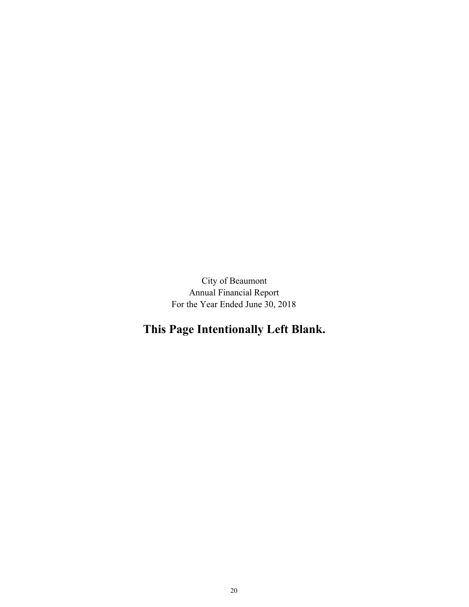# **This Page Intentionally Left Blank.**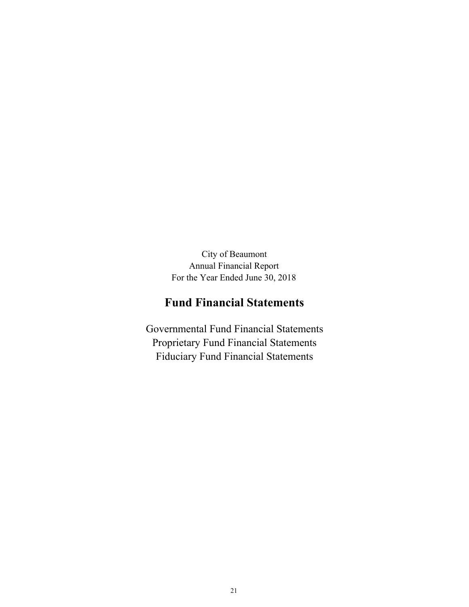## **Fund Financial Statements**

Fiduciary Fund Financial Statements Governmental Fund Financial Statements Proprietary Fund Financial Statements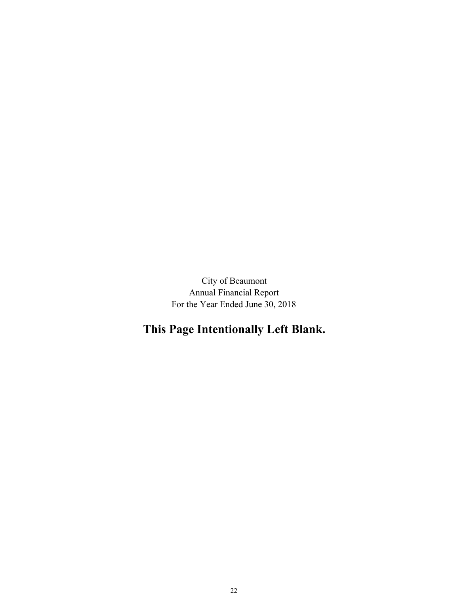# **This Page Intentionally Left Blank.**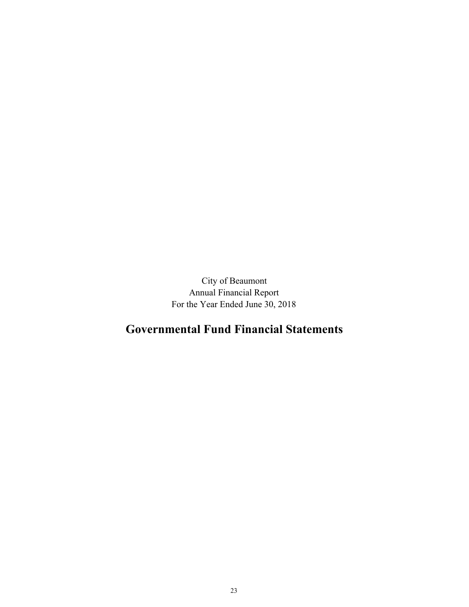# **Governmental Fund Financial Statements**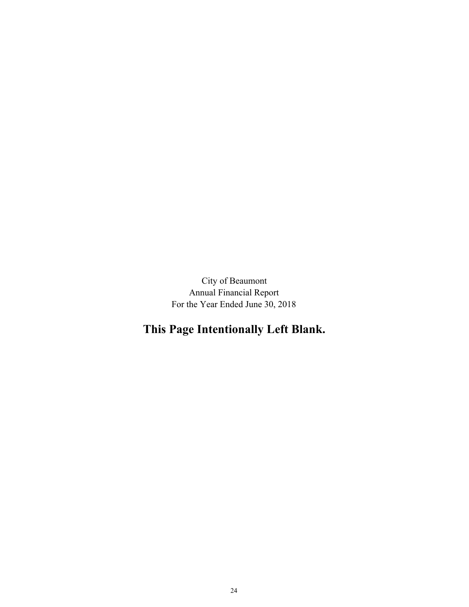# **This Page Intentionally Left Blank.**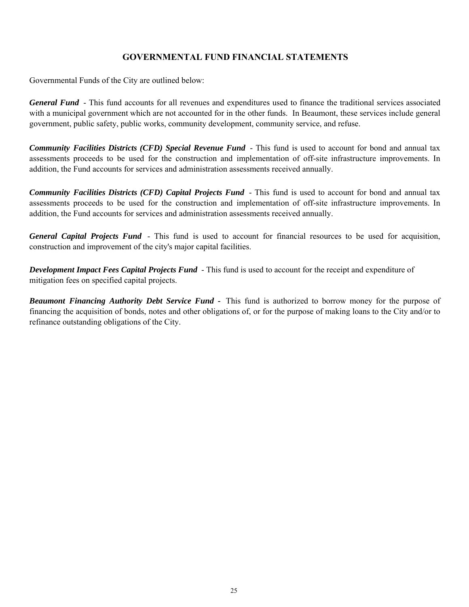## **GOVERNMENTAL FUND FINANCIAL STATEMENTS**

Governmental Funds of the City are outlined below:

*General Fund* - This fund accounts for all revenues and expenditures used to finance the traditional services associated with a municipal government which are not accounted for in the other funds. In Beaumont, these services include general government, public safety, public works, community development, community service, and refuse.

*Community Facilities Districts (CFD) Special Revenue Fund* - This fund is used to account for bond and annual tax assessments proceeds to be used for the construction and implementation of off-site infrastructure improvements. In addition, the Fund accounts for services and administration assessments received annually.

*Community Facilities Districts (CFD) Capital Projects Fund* - This fund is used to account for bond and annual tax assessments proceeds to be used for the construction and implementation of off-site infrastructure improvements. In addition, the Fund accounts for services and administration assessments received annually.

*General Capital Projects Fund* - This fund is used to account for financial resources to be used for acquisition, construction and improvement of the city's major capital facilities.

*Development Impact Fees Capital Projects Fund* - This fund is used to account for the receipt and expenditure of mitigation fees on specified capital projects.

*Beaumont Financing Authority Debt Service Fund -* This fund is authorized to borrow money for the purpose of financing the acquisition of bonds, notes and other obligations of, or for the purpose of making loans to the City and/or to refinance outstanding obligations of the City.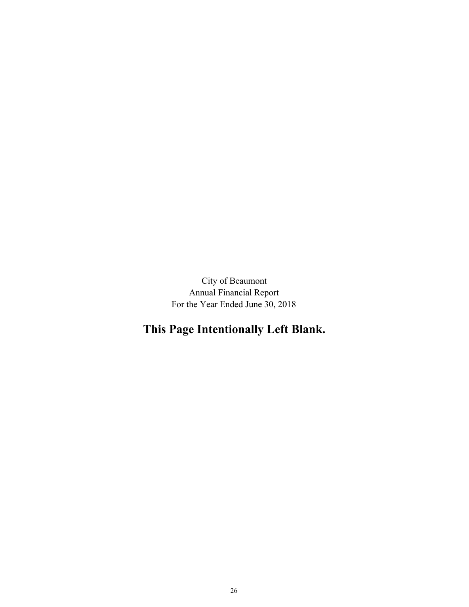# **This Page Intentionally Left Blank.**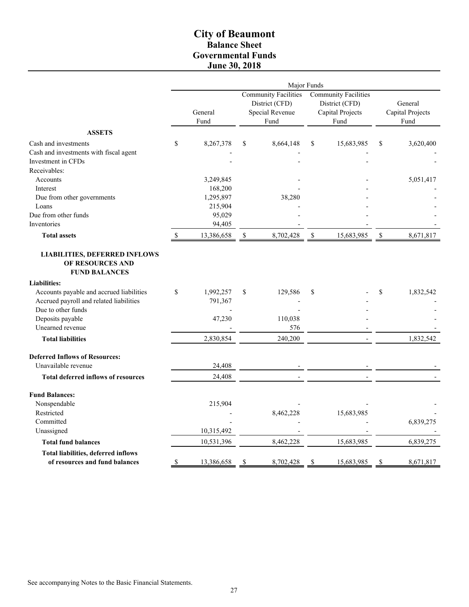## **June 30, 2018 Governmental Funds Balance Sheet City of Beaumont**

|                                                                                                                                  | Major Funds |                                |    |                                                                          |    |                                                                           |                                     |           |
|----------------------------------------------------------------------------------------------------------------------------------|-------------|--------------------------------|----|--------------------------------------------------------------------------|----|---------------------------------------------------------------------------|-------------------------------------|-----------|
|                                                                                                                                  |             | General<br>Fund                |    | <b>Community Facilities</b><br>District (CFD)<br>Special Revenue<br>Fund |    | <b>Community Facilities</b><br>District (CFD)<br>Capital Projects<br>Fund | General<br>Capital Projects<br>Fund |           |
| <b>ASSETS</b>                                                                                                                    |             |                                |    |                                                                          |    |                                                                           |                                     |           |
| Cash and investments<br>Cash and investments with fiscal agent<br>Investment in CFDs                                             | \$          | 8,267,378                      | \$ | 8,664,148                                                                | \$ | 15,683,985                                                                | \$                                  | 3,620,400 |
| Receivables:<br>Accounts<br>Interest                                                                                             |             | 3,249,845<br>168,200           |    |                                                                          |    |                                                                           |                                     | 5,051,417 |
| Due from other governments<br>Loans<br>Due from other funds                                                                      |             | 1,295,897<br>215,904<br>95,029 |    | 38,280                                                                   |    |                                                                           |                                     |           |
| Inventories                                                                                                                      |             | 94,405                         |    |                                                                          |    |                                                                           |                                     |           |
| <b>Total assets</b>                                                                                                              | -S          | 13,386,658                     | \$ | 8,702,428                                                                | \$ | 15,683,985                                                                | $\$$                                | 8,671,817 |
| <b>LIABILITIES, DEFERRED INFLOWS</b><br>OF RESOURCES AND<br><b>FUND BALANCES</b>                                                 |             |                                |    |                                                                          |    |                                                                           |                                     |           |
| <b>Liabilities:</b><br>Accounts payable and accrued liabilities<br>Accrued payroll and related liabilities<br>Due to other funds | \$          | 1,992,257<br>791,367           | \$ | 129,586                                                                  | \$ |                                                                           | \$                                  | 1,832,542 |
| Deposits payable<br>Unearned revenue                                                                                             |             | 47,230                         |    | 110,038<br>576                                                           |    |                                                                           |                                     |           |
| <b>Total liabilities</b>                                                                                                         |             | 2,830,854                      |    | 240,200                                                                  |    |                                                                           |                                     | 1,832,542 |
| <b>Deferred Inflows of Resources:</b><br>Unavailable revenue                                                                     |             | 24,408                         |    |                                                                          |    |                                                                           |                                     |           |
| <b>Total deferred inflows of resources</b>                                                                                       |             | 24,408                         |    |                                                                          |    |                                                                           |                                     |           |
| <b>Fund Balances:</b><br>Nonspendable                                                                                            |             | 215,904                        |    |                                                                          |    |                                                                           |                                     |           |
| Restricted<br>Committed                                                                                                          |             |                                |    | 8,462,228                                                                |    | 15,683,985                                                                |                                     | 6,839,275 |
| Unassigned<br><b>Total fund balances</b>                                                                                         |             | 10,315,492<br>10,531,396       |    | 8,462,228                                                                |    | 15,683,985                                                                |                                     | 6,839,275 |
| Total liabilities, deferred inflows<br>of resources and fund balances                                                            | S           | 13,386,658                     | S  | 8,702,428                                                                | S  | 15,683,985                                                                | S.                                  | 8,671,817 |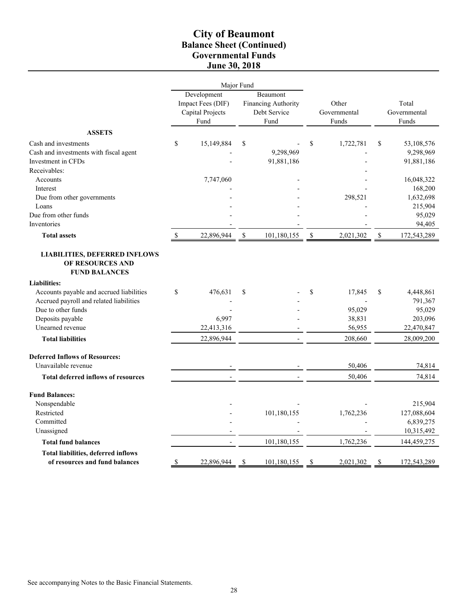## **June 30, 2018 Governmental Funds Balance Sheet (Continued) City of Beaumont**

|                                                                                  | Major Fund    |                                                              |                |                                                 |    |                       |                        |                         |  |
|----------------------------------------------------------------------------------|---------------|--------------------------------------------------------------|----------------|-------------------------------------------------|----|-----------------------|------------------------|-------------------------|--|
|                                                                                  |               | Development<br>Impact Fees (DIF)<br>Capital Projects<br>Fund |                | Beaumont<br>Financing Authority<br>Debt Service |    | Other<br>Governmental |                        | Total<br>Governmental   |  |
|                                                                                  |               |                                                              |                | Fund                                            |    | Funds                 |                        | Funds                   |  |
| <b>ASSETS</b>                                                                    |               |                                                              |                |                                                 |    |                       |                        |                         |  |
| Cash and investments                                                             | <sup>\$</sup> | 15,149,884                                                   | \$             | 9,298,969                                       | \$ | 1,722,781             | \$                     | 53,108,576              |  |
| Cash and investments with fiscal agent<br>Investment in CFDs                     |               |                                                              |                | 91,881,186                                      |    |                       |                        | 9,298,969<br>91,881,186 |  |
| Receivables:                                                                     |               |                                                              |                |                                                 |    |                       |                        |                         |  |
| Accounts                                                                         |               | 7,747,060                                                    |                |                                                 |    |                       |                        | 16,048,322              |  |
| Interest                                                                         |               |                                                              |                |                                                 |    |                       |                        | 168,200                 |  |
| Due from other governments                                                       |               |                                                              |                |                                                 |    | 298,521               |                        | 1,632,698               |  |
| Loans                                                                            |               |                                                              |                |                                                 |    |                       |                        | 215,904                 |  |
| Due from other funds                                                             |               |                                                              |                |                                                 |    |                       |                        | 95,029                  |  |
| Inventories                                                                      |               |                                                              |                |                                                 |    |                       |                        | 94,405                  |  |
| <b>Total assets</b>                                                              | \$            | 22,896,944                                                   | $\mathbf{\$\}$ | 101,180,155                                     | \$ | 2,021,302             | $\mathbf{\mathcal{S}}$ | 172,543,289             |  |
| <b>LIABILITIES, DEFERRED INFLOWS</b><br>OF RESOURCES AND<br><b>FUND BALANCES</b> |               |                                                              |                |                                                 |    |                       |                        |                         |  |
| <b>Liabilities:</b>                                                              |               |                                                              |                |                                                 |    |                       |                        |                         |  |
| Accounts payable and accrued liabilities                                         | <sup>\$</sup> | 476,631                                                      | \$             |                                                 | \$ | 17,845                | \$                     | 4,448,861               |  |
| Accrued payroll and related liabilities                                          |               |                                                              |                |                                                 |    |                       |                        | 791,367                 |  |
| Due to other funds                                                               |               |                                                              |                |                                                 |    | 95,029                |                        | 95,029                  |  |
| Deposits payable                                                                 |               | 6,997                                                        |                |                                                 |    | 38,831                |                        | 203,096                 |  |
| Unearned revenue                                                                 |               | 22,413,316                                                   |                |                                                 |    | 56,955                |                        | 22,470,847              |  |
| <b>Total liabilities</b>                                                         |               | 22,896,944                                                   |                |                                                 |    | 208,660               |                        | 28,009,200              |  |
| <b>Deferred Inflows of Resources:</b>                                            |               |                                                              |                |                                                 |    |                       |                        |                         |  |
| Unavailable revenue                                                              |               |                                                              |                |                                                 |    | 50,406                |                        | 74,814                  |  |
| <b>Total deferred inflows of resources</b>                                       |               |                                                              |                |                                                 |    | 50,406                |                        | 74,814                  |  |
| <b>Fund Balances:</b>                                                            |               |                                                              |                |                                                 |    |                       |                        |                         |  |
| Nonspendable                                                                     |               |                                                              |                |                                                 |    |                       |                        | 215,904                 |  |
| Restricted                                                                       |               |                                                              |                | 101,180,155                                     |    | 1,762,236             |                        | 127,088,604             |  |
| Committed                                                                        |               |                                                              |                |                                                 |    |                       |                        | 6,839,275               |  |
| Unassigned                                                                       |               |                                                              |                |                                                 |    |                       |                        | 10,315,492              |  |
| <b>Total fund balances</b>                                                       |               |                                                              |                | 101,180,155                                     |    | 1,762,236             |                        | 144,459,275             |  |
| Total liabilities, deferred inflows<br>of resources and fund balances            | S             | 22,896,944                                                   | S              | 101,180,155                                     | S  | 2,021,302             | S                      | 172,543,289             |  |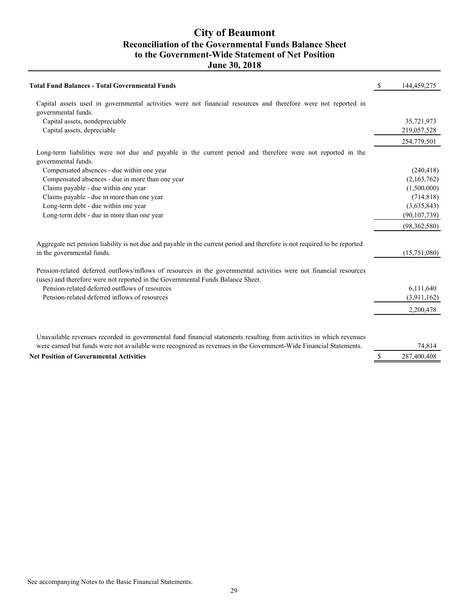## **City of Beaumont Reconciliation of the Governmental Funds Balance Sheet to the Government-Wide Statement of Net Position June 30, 2018**

| Capital assets used in governmental activities were not financial resources and therefore were not reported in<br>governmental funds.<br>Capital assets, nondepreciable<br>Capital assets, depreciable<br>Long-term liabilities were not due and payable in the current period and therefore were not reported in the<br>governmental funds. | 144,459,275    |
|----------------------------------------------------------------------------------------------------------------------------------------------------------------------------------------------------------------------------------------------------------------------------------------------------------------------------------------------|----------------|
|                                                                                                                                                                                                                                                                                                                                              |                |
|                                                                                                                                                                                                                                                                                                                                              | 35,721,973     |
|                                                                                                                                                                                                                                                                                                                                              | 219,057,528    |
|                                                                                                                                                                                                                                                                                                                                              | 254,779,501    |
|                                                                                                                                                                                                                                                                                                                                              |                |
| Compensated absences - due within one year                                                                                                                                                                                                                                                                                                   | (240, 418)     |
| Compensated absences - due in more than one year                                                                                                                                                                                                                                                                                             | (2,163,762)    |
| Claims payable - due within one year                                                                                                                                                                                                                                                                                                         | (1,500,000)    |
| Claims payable - due in more than one year                                                                                                                                                                                                                                                                                                   | (714, 818)     |
| Long-term debt - due within one year                                                                                                                                                                                                                                                                                                         | (3,635,843)    |
| Long-term debt - due in more than one year                                                                                                                                                                                                                                                                                                   | (90, 107, 739) |
|                                                                                                                                                                                                                                                                                                                                              | (98, 362, 580) |
| Aggregate net pension liability is not due and payable in the current period and therefore is not required to be reported<br>in the governmental funds.                                                                                                                                                                                      | (15,751,080)   |
| Pension-related deferred outflows/inflows of resources in the governmental activities were not financial resources<br>(uses) and therefore were not reported in the Governmental Funds Balance Sheet.                                                                                                                                        |                |
| Pension-related deferred outflows of resources                                                                                                                                                                                                                                                                                               | 6,111,640      |
| Pension-related deferred inflows of resources                                                                                                                                                                                                                                                                                                | (3,911,162)    |
|                                                                                                                                                                                                                                                                                                                                              | 2,200,478      |
| Unavailable revenues recorded in governmental fund financial statements resulting from activities in which revenues<br>were earned but funds were not available were recognized as revenues in the Government-Wide Financial Statements.                                                                                                     | 74,814         |
| <b>Net Position of Governmental Activities</b><br>\$                                                                                                                                                                                                                                                                                         | 287,400,408    |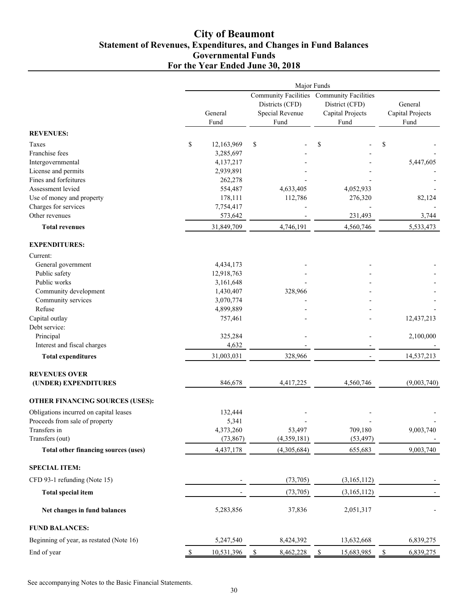## **City of Beaumont Statement of Revenues, Expenditures, and Changes in Fund Balances Governmental Funds For the Year Ended June 30, 2018**

|                                          | Major Funds |                 |    |                                                                                         |    |                                            |    |                                     |
|------------------------------------------|-------------|-----------------|----|-----------------------------------------------------------------------------------------|----|--------------------------------------------|----|-------------------------------------|
|                                          |             | General<br>Fund |    | Community Facilities Community Facilities<br>Districts (CFD)<br>Special Revenue<br>Fund |    | District (CFD)<br>Capital Projects<br>Fund |    | General<br>Capital Projects<br>Fund |
| <b>REVENUES:</b>                         |             |                 |    |                                                                                         |    |                                            |    |                                     |
| Taxes                                    | \$          | 12,163,969      | \$ |                                                                                         | \$ |                                            | \$ |                                     |
| Franchise fees                           |             | 3,285,697       |    |                                                                                         |    |                                            |    |                                     |
| Intergovernmental                        |             | 4,137,217       |    |                                                                                         |    |                                            |    | 5,447,605                           |
| License and permits                      |             | 2,939,891       |    |                                                                                         |    |                                            |    |                                     |
| Fines and forfeitures                    |             | 262,278         |    |                                                                                         |    |                                            |    |                                     |
| Assessment levied                        |             | 554,487         |    | 4,633,405                                                                               |    | 4,052,933                                  |    |                                     |
| Use of money and property                |             | 178,111         |    | 112,786                                                                                 |    | 276,320                                    |    | 82,124                              |
| Charges for services                     |             | 7,754,417       |    |                                                                                         |    |                                            |    |                                     |
| Other revenues                           |             | 573,642         |    |                                                                                         |    | 231,493                                    |    | 3,744                               |
| <b>Total revenues</b>                    |             | 31,849,709      |    | 4,746,191                                                                               |    | 4,560,746                                  |    | 5,533,473                           |
| <b>EXPENDITURES:</b>                     |             |                 |    |                                                                                         |    |                                            |    |                                     |
| Current:                                 |             |                 |    |                                                                                         |    |                                            |    |                                     |
| General government                       |             | 4,434,173       |    |                                                                                         |    |                                            |    |                                     |
| Public safety                            |             | 12,918,763      |    |                                                                                         |    |                                            |    |                                     |
| Public works                             |             | 3,161,648       |    |                                                                                         |    |                                            |    |                                     |
| Community development                    |             | 1,430,407       |    | 328,966                                                                                 |    |                                            |    |                                     |
| Community services                       |             | 3,070,774       |    |                                                                                         |    |                                            |    |                                     |
| Refuse                                   |             | 4,899,889       |    |                                                                                         |    |                                            |    |                                     |
| Capital outlay                           |             | 757,461         |    |                                                                                         |    |                                            |    | 12,437,213                          |
| Debt service:                            |             |                 |    |                                                                                         |    |                                            |    |                                     |
| Principal                                |             | 325,284         |    |                                                                                         |    |                                            |    | 2,100,000                           |
| Interest and fiscal charges              |             | 4,632           |    |                                                                                         |    |                                            |    |                                     |
| <b>Total expenditures</b>                |             | 31,003,031      |    | 328,966                                                                                 |    |                                            |    | 14,537,213                          |
| <b>REVENUES OVER</b>                     |             |                 |    |                                                                                         |    |                                            |    |                                     |
| (UNDER) EXPENDITURES                     |             | 846,678         |    | 4,417,225                                                                               |    | 4,560,746                                  |    | (9,003,740)                         |
| <b>OTHER FINANCING SOURCES (USES):</b>   |             |                 |    |                                                                                         |    |                                            |    |                                     |
| Obligations incurred on capital leases   |             | 132,444         |    |                                                                                         |    |                                            |    |                                     |
| Proceeds from sale of property           |             | 5,341           |    |                                                                                         |    |                                            |    |                                     |
| Transfers in                             |             | 4,373,260       |    | 53,497                                                                                  |    | 709,180                                    |    | 9,003,740                           |
| Transfers (out)                          |             | (73, 867)       |    | (4,359,181)                                                                             |    | (53, 497)                                  |    |                                     |
| Total other financing sources (uses)     |             | 4,437,178       |    | (4,305,684)                                                                             |    | 655,683                                    |    | 9,003,740                           |
| <b>SPECIAL ITEM:</b>                     |             |                 |    |                                                                                         |    |                                            |    |                                     |
| CFD 93-1 refunding (Note 15)             |             |                 |    | (73, 705)                                                                               |    | (3,165,112)                                |    |                                     |
| <b>Total special item</b>                |             |                 |    | (73, 705)                                                                               |    | (3,165,112)                                |    |                                     |
| Net changes in fund balances             |             | 5,283,856       |    | 37,836                                                                                  |    | 2,051,317                                  |    |                                     |
| <b>FUND BALANCES:</b>                    |             |                 |    |                                                                                         |    |                                            |    |                                     |
| Beginning of year, as restated (Note 16) |             | 5,247,540       |    | 8,424,392                                                                               |    | 13,632,668                                 |    | 6,839,275                           |
| End of year                              |             | 10,531,396      | P  | 8,462,228                                                                               |    | 15,683,985                                 |    | 6,839,275                           |

See accompanying Notes to the Basic Financial Statements.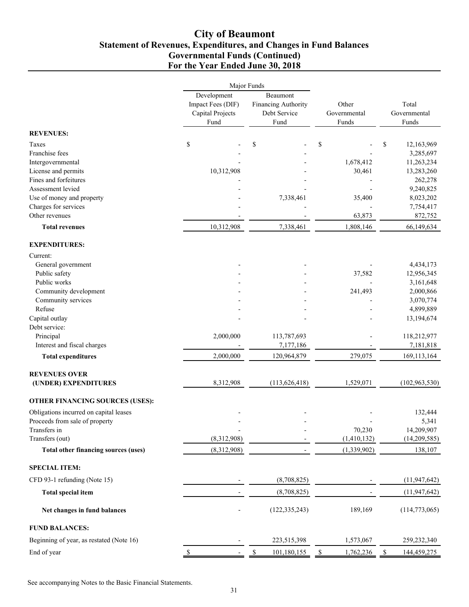## **City of Beaumont For the Year Ended June 30, 2018 Governmental Funds (Continued) Statement of Revenues, Expenditures, and Changes in Fund Balances**

|                                                |                                                              | Major Funds                                             |                                |                                |
|------------------------------------------------|--------------------------------------------------------------|---------------------------------------------------------|--------------------------------|--------------------------------|
|                                                | Development<br>Impact Fees (DIF)<br>Capital Projects<br>Fund | Beaumont<br>Financing Authority<br>Debt Service<br>Fund | Other<br>Governmental<br>Funds | Total<br>Governmental<br>Funds |
| <b>REVENUES:</b>                               |                                                              |                                                         |                                |                                |
| Taxes<br>Franchise fees                        | \$                                                           | \$                                                      | \$                             | \$<br>12,163,969<br>3,285,697  |
| Intergovernmental                              |                                                              |                                                         | 1,678,412                      | 11,263,234                     |
| License and permits                            | 10,312,908                                                   |                                                         | 30,461                         | 13,283,260                     |
| Fines and forfeitures                          |                                                              |                                                         |                                | 262,278                        |
| Assessment levied<br>Use of money and property |                                                              | 7,338,461                                               | 35,400                         | 9,240,825<br>8,023,202         |
| Charges for services                           |                                                              |                                                         |                                | 7,754,417                      |
| Other revenues                                 |                                                              |                                                         | 63,873                         | 872,752                        |
| <b>Total revenues</b>                          | 10,312,908                                                   | 7,338,461                                               | 1,808,146                      | 66,149,634                     |
| <b>EXPENDITURES:</b>                           |                                                              |                                                         |                                |                                |
| Current:                                       |                                                              |                                                         |                                |                                |
| General government                             |                                                              |                                                         |                                | 4,434,173                      |
| Public safety                                  |                                                              |                                                         | 37,582                         | 12,956,345                     |
| Public works                                   |                                                              |                                                         |                                | 3,161,648                      |
| Community development                          |                                                              |                                                         | 241,493                        | 2,000,866                      |
| Community services                             |                                                              |                                                         |                                | 3,070,774                      |
| Refuse                                         |                                                              |                                                         |                                | 4,899,889                      |
| Capital outlay                                 |                                                              |                                                         |                                | 13,194,674                     |
| Debt service:                                  |                                                              |                                                         |                                |                                |
| Principal                                      | 2,000,000                                                    | 113,787,693                                             |                                | 118,212,977                    |
| Interest and fiscal charges                    |                                                              | 7,177,186                                               |                                | 7,181,818                      |
| <b>Total expenditures</b>                      | 2,000,000                                                    | 120,964,879                                             | 279,075                        | 169, 113, 164                  |
| <b>REVENUES OVER</b>                           |                                                              |                                                         |                                |                                |
| (UNDER) EXPENDITURES                           | 8,312,908                                                    | (113, 626, 418)                                         | 1,529,071                      | (102, 963, 530)                |
| OTHER FINANCING SOURCES (USES):                |                                                              |                                                         |                                |                                |
| Obligations incurred on capital leases         |                                                              |                                                         |                                | 132,444                        |
| Proceeds from sale of property                 |                                                              |                                                         |                                | 5,341                          |
| Transfers in                                   |                                                              |                                                         | 70,230                         | 14,209,907                     |
| Transfers (out)                                | (8,312,908)                                                  |                                                         | (1,410,132)                    | (14,209,585)                   |
| Total other financing sources (uses)           | (8,312,908)                                                  |                                                         | (1,339,902)                    | 138,107                        |
| <b>SPECIAL ITEM:</b>                           |                                                              |                                                         |                                |                                |
| CFD 93-1 refunding (Note 15)                   |                                                              | (8,708,825)                                             |                                | (11, 947, 642)                 |
| <b>Total special item</b>                      |                                                              | (8,708,825)                                             |                                | (11, 947, 642)                 |
| Net changes in fund balances                   |                                                              | (122, 335, 243)                                         | 189,169                        | (114, 773, 065)                |
| <b>FUND BALANCES:</b>                          |                                                              |                                                         |                                |                                |
| Beginning of year, as restated (Note 16)       |                                                              | 223,515,398                                             | 1,573,067                      | 259,232,340                    |
| End of year                                    |                                                              | 101,180,155                                             | 1,762,236<br>Y.                | 144,459,275                    |

See accompanying Notes to the Basic Financial Statements.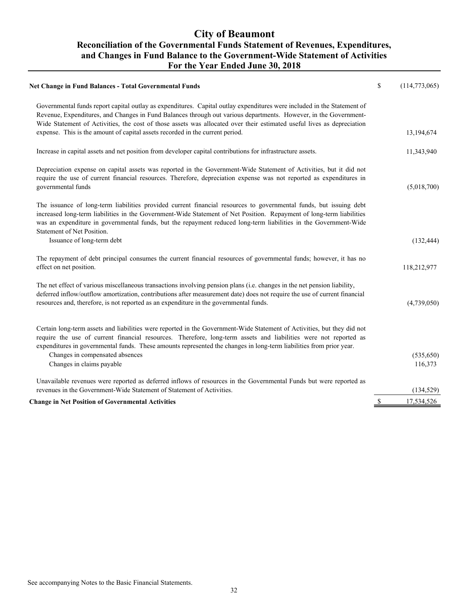## **City of Beaumont Reconciliation of the Governmental Funds Statement of Revenues, Expenditures, and Changes in Fund Balance to the Government-Wide Statement of Activities For the Year Ended June 30, 2018**

| <b>Net Change in Fund Balances - Total Governmental Funds</b>                                                                                                                                                                                                                                                                                                                                | \$            | (114, 773, 065) |
|----------------------------------------------------------------------------------------------------------------------------------------------------------------------------------------------------------------------------------------------------------------------------------------------------------------------------------------------------------------------------------------------|---------------|-----------------|
| Governmental funds report capital outlay as expenditures. Capital outlay expenditures were included in the Statement of<br>Revenue, Expenditures, and Changes in Fund Balances through out various departments. However, in the Government-<br>Wide Statement of Activities, the cost of those assets was allocated over their estimated useful lives as depreciation                        |               |                 |
| expense. This is the amount of capital assets recorded in the current period.                                                                                                                                                                                                                                                                                                                |               | 13,194,674      |
| Increase in capital assets and net position from developer capital contributions for infrastructure assets.                                                                                                                                                                                                                                                                                  |               | 11,343,940      |
| Depreciation expense on capital assets was reported in the Government-Wide Statement of Activities, but it did not<br>require the use of current financial resources. Therefore, depreciation expense was not reported as expenditures in                                                                                                                                                    |               |                 |
| governmental funds                                                                                                                                                                                                                                                                                                                                                                           |               | (5,018,700)     |
| The issuance of long-term liabilities provided current financial resources to governmental funds, but issuing debt<br>increased long-term liabilities in the Government-Wide Statement of Net Position. Repayment of long-term liabilities<br>was an expenditure in governmental funds, but the repayment reduced long-term liabilities in the Government-Wide<br>Statement of Net Position. |               |                 |
| Issuance of long-term debt                                                                                                                                                                                                                                                                                                                                                                   |               | (132, 444)      |
| The repayment of debt principal consumes the current financial resources of governmental funds; however, it has no<br>effect on net position.                                                                                                                                                                                                                                                |               | 118,212,977     |
| The net effect of various miscellaneous transactions involving pension plans (i.e. changes in the net pension liability,<br>deferred inflow/outflow amortization, contributions after measurement date) does not require the use of current financial                                                                                                                                        |               |                 |
| resources and, therefore, is not reported as an expenditure in the governmental funds.                                                                                                                                                                                                                                                                                                       |               | (4,739,050)     |
| Certain long-term assets and liabilities were reported in the Government-Wide Statement of Activities, but they did not<br>require the use of current financial resources. Therefore, long-term assets and liabilities were not reported as                                                                                                                                                  |               |                 |
| expenditures in governmental funds. These amounts represented the changes in long-term liabilities from prior year.<br>Changes in compensated absences                                                                                                                                                                                                                                       |               | (535, 650)      |
| Changes in claims payable                                                                                                                                                                                                                                                                                                                                                                    |               | 116,373         |
| Unavailable revenues were reported as deferred inflows of resources in the Governmental Funds but were reported as<br>revenues in the Government-Wide Statement of Statement of Activities.                                                                                                                                                                                                  |               | (134, 529)      |
| <b>Change in Net Position of Governmental Activities</b>                                                                                                                                                                                                                                                                                                                                     | <sup>\$</sup> | 17,534,526      |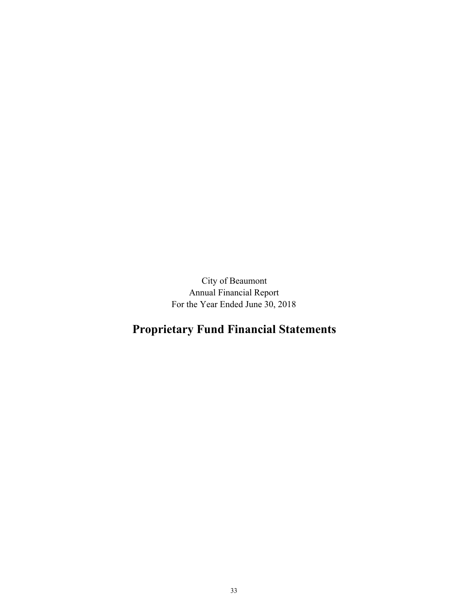# **Proprietary Fund Financial Statements**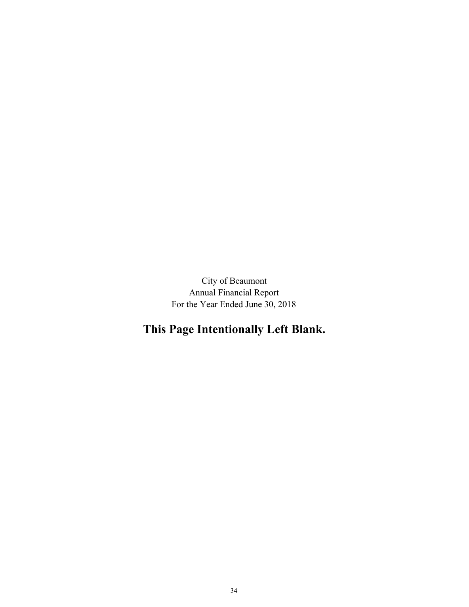# **This Page Intentionally Left Blank.**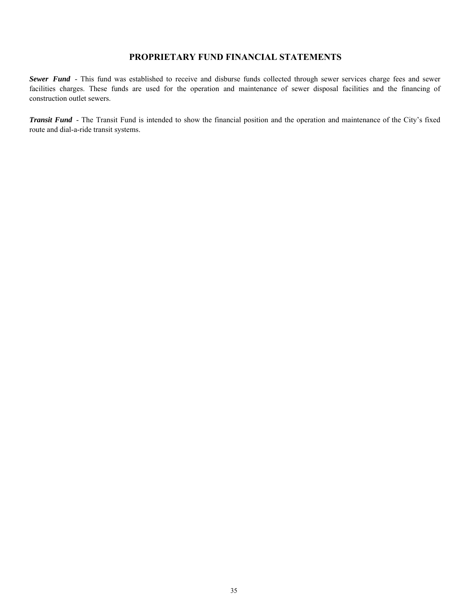#### **PROPRIETARY FUND FINANCIAL STATEMENTS**

*Sewer Fund* - This fund was established to receive and disburse funds collected through sewer services charge fees and sewer facilities charges. These funds are used for the operation and maintenance of sewer disposal facilities and the financing of construction outlet sewers.

*Transit Fund* - The Transit Fund is intended to show the financial position and the operation and maintenance of the City's fixed route and dial-a-ride transit systems.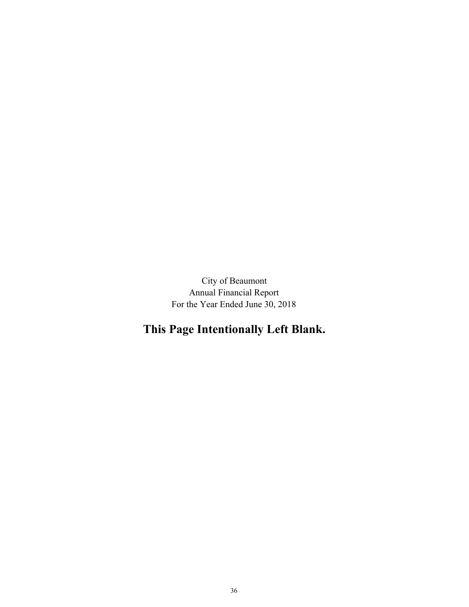# **This Page Intentionally Left Blank.**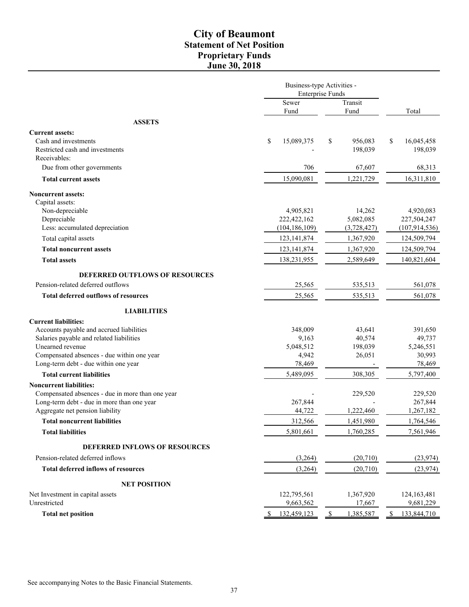## **City of Beaumont Statement of Net Position Proprietary Funds June 30, 2018**

|                                                                                    | Business-type Activities -<br><b>Enterprise Funds</b> |                 |                  |
|------------------------------------------------------------------------------------|-------------------------------------------------------|-----------------|------------------|
|                                                                                    | Sewer<br>Fund                                         | Transit<br>Fund | Total            |
| <b>ASSETS</b>                                                                      |                                                       |                 |                  |
| <b>Current assets:</b>                                                             |                                                       |                 |                  |
| Cash and investments                                                               | \$<br>15,089,375                                      | \$<br>956,083   | \$<br>16,045,458 |
| Restricted cash and investments<br>Receivables:                                    |                                                       | 198,039         | 198,039          |
| Due from other governments                                                         | 706                                                   | 67,607          | 68,313           |
| <b>Total current assets</b>                                                        | 15,090,081                                            | 1,221,729       | 16,311,810       |
|                                                                                    |                                                       |                 |                  |
| <b>Noncurrent assets:</b><br>Capital assets:                                       |                                                       |                 |                  |
| Non-depreciable                                                                    | 4,905,821                                             | 14,262          | 4,920,083        |
| Depreciable                                                                        | 222,422,162                                           | 5,082,085       | 227,504,247      |
| Less: accumulated depreciation                                                     | (104, 186, 109)                                       | (3, 728, 427)   | (107, 914, 536)  |
| Total capital assets                                                               | 123, 141, 874                                         | 1,367,920       | 124,509,794      |
| <b>Total noncurrent assets</b>                                                     | 123, 141, 874                                         | 1,367,920       | 124,509,794      |
| <b>Total assets</b>                                                                | 138,231,955                                           | 2,589,649       | 140,821,604      |
| <b>DEFERRED OUTFLOWS OF RESOURCES</b>                                              |                                                       |                 |                  |
| Pension-related deferred outflows                                                  | 25,565                                                | 535,513         | 561.078          |
| <b>Total deferred outflows of resources</b>                                        | 25,565                                                | 535,513         | 561,078          |
| <b>LIABILITIES</b>                                                                 |                                                       |                 |                  |
| <b>Current liabilities:</b>                                                        |                                                       |                 |                  |
| Accounts payable and accrued liabilities                                           | 348,009                                               | 43,641          | 391,650          |
| Salaries payable and related liabilities                                           | 9,163                                                 | 40,574          | 49,737           |
| Unearned revenue                                                                   | 5,048,512                                             | 198,039         | 5,246,551        |
| Compensated absences - due within one year<br>Long-term debt - due within one year | 4,942<br>78,469                                       | 26,051          | 30,993<br>78,469 |
| <b>Total current liabilities</b>                                                   | 5,489,095                                             | 308,305         | 5,797,400        |
| <b>Noncurrent liabilities:</b>                                                     |                                                       |                 |                  |
| Compensated absences - due in more than one year                                   |                                                       | 229,520         | 229,520          |
| Long-term debt - due in more than one year                                         | 267,844                                               |                 | 267,844          |
| Aggregate net pension liability                                                    | 44,722                                                | 1,222,460       | 1,267,182        |
| <b>Total noncurrent liabilities</b>                                                | 312,566                                               | 1,451,980       | 1,764,546        |
| <b>Total liabilities</b>                                                           | 5,801,661                                             | 1,760,285       | 7,561,946        |
| <b>DEFERRED INFLOWS OF RESOURCES</b>                                               |                                                       |                 |                  |
| Pension-related deferred inflows                                                   | (3,264)                                               | (20, 710)       | (23, 974)        |
| <b>Total deferred inflows of resources</b>                                         | (3,264)                                               | (20, 710)       | (23, 974)        |
| <b>NET POSITION</b>                                                                |                                                       |                 |                  |
| Net Investment in capital assets                                                   | 122,795,561                                           | 1,367,920       | 124, 163, 481    |
| Unrestricted                                                                       | 9,663,562                                             | 17,667          | 9,681,229        |
| <b>Total net position</b>                                                          | 132,459,123                                           | 1,385,587<br>\$ | 133,844,710      |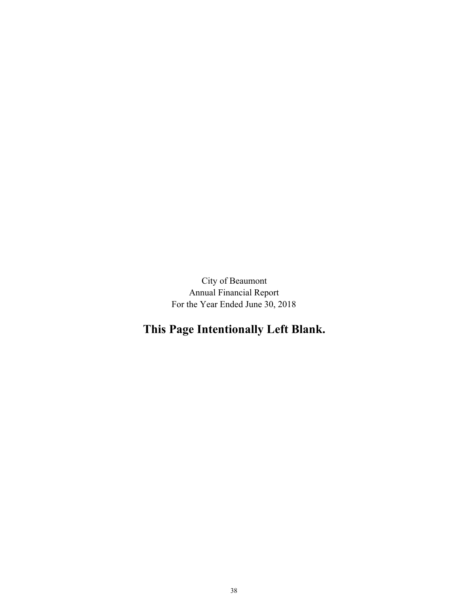# **This Page Intentionally Left Blank.**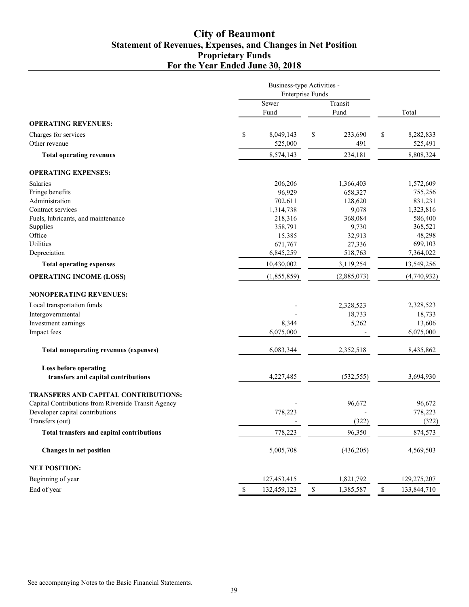## **City of Beaumont Statement of Revenues, Expenses, and Changes in Net Position Proprietary Funds For the Year Ended June 30, 2018**

|                                                     | Business-type Activities -<br><b>Enterprise Funds</b> |                          |                   |
|-----------------------------------------------------|-------------------------------------------------------|--------------------------|-------------------|
|                                                     | Sewer<br>Fund                                         | Transit<br>Fund          | Total             |
| <b>OPERATING REVENUES:</b>                          |                                                       |                          |                   |
| Charges for services                                | \$<br>8,049,143                                       | \$<br>233,690            | \$<br>8,282,833   |
| Other revenue                                       | 525,000                                               | 491                      | 525,491           |
| <b>Total operating revenues</b>                     | 8,574,143                                             | 234,181                  | 8,808,324         |
| <b>OPERATING EXPENSES:</b>                          |                                                       |                          |                   |
| <b>Salaries</b>                                     | 206,206                                               | 1,366,403                | 1,572,609         |
| Fringe benefits                                     | 96,929                                                | 658,327                  | 755,256           |
| Administration                                      | 702,611                                               | 128,620                  | 831,231           |
| Contract services                                   | 1,314,738                                             | 9,078                    | 1,323,816         |
| Fuels, lubricants, and maintenance                  | 218,316                                               | 368,084                  | 586,400           |
| Supplies                                            | 358,791                                               | 9,730                    | 368,521           |
| Office                                              | 15,385                                                | 32,913                   | 48,298            |
| Utilities                                           | 671,767                                               | 27,336                   | 699,103           |
| Depreciation                                        | 6,845,259                                             | 518,763                  | 7,364,022         |
| <b>Total operating expenses</b>                     | 10,430,002                                            | 3,119,254                | 13,549,256        |
| <b>OPERATING INCOME (LOSS)</b>                      | (1,855,859)                                           | (2,885,073)              | (4,740,932)       |
| <b>NONOPERATING REVENUES:</b>                       |                                                       |                          |                   |
| Local transportation funds                          |                                                       | 2,328,523                | 2,328,523         |
| Intergovernmental                                   |                                                       | 18,733                   | 18,733            |
| Investment earnings                                 | 8,344                                                 | 5,262                    | 13,606            |
| Impact fees                                         | 6,075,000                                             |                          | 6,075,000         |
| <b>Total nonoperating revenues (expenses)</b>       | 6,083,344                                             | 2,352,518                | 8,435,862         |
| Loss before operating                               |                                                       |                          |                   |
| transfers and capital contributions                 | 4,227,485                                             | (532, 555)               | 3,694,930         |
| TRANSFERS AND CAPITAL CONTRIBUTIONS:                |                                                       |                          |                   |
| Capital Contributions from Riverside Transit Agency |                                                       | 96,672                   | 96,672            |
| Developer capital contributions                     | 778,223                                               |                          | 778,223           |
| Transfers (out)                                     |                                                       | (322)                    | (322)             |
| Total transfers and capital contributions           | 778,223                                               | 96,350                   | 874,573           |
| <b>Changes in net position</b>                      | 5,005,708                                             | (436,205)                | 4,569,503         |
| <b>NET POSITION:</b>                                |                                                       |                          |                   |
| Beginning of year                                   | 127,453,415                                           | 1,821,792                | 129,275,207       |
| End of year                                         | 132,459,123<br>\$                                     | $\mathbb S$<br>1,385,587 | \$<br>133,844,710 |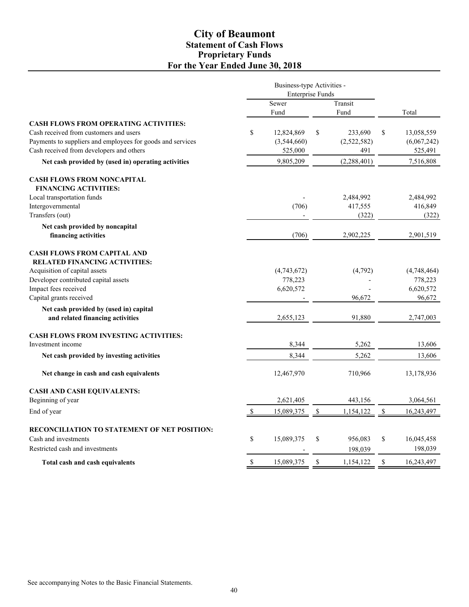## **City of Beaumont Statement of Cash Flows Proprietary Funds For the Year Ended June 30, 2018**

|                                                                            | Business-type Activities -<br><b>Enterprise Funds</b> |             |              |               |                  |
|----------------------------------------------------------------------------|-------------------------------------------------------|-------------|--------------|---------------|------------------|
|                                                                            |                                                       | Sewer       |              | Transit       |                  |
|                                                                            |                                                       | Fund        |              | Fund          | Total            |
| <b>CASH FLOWS FROM OPERATING ACTIVITIES:</b>                               |                                                       |             |              |               |                  |
| Cash received from customers and users                                     | $\mathbf S$                                           | 12,824,869  | \$           | 233,690       | \$<br>13,058,559 |
| Payments to suppliers and employees for goods and services                 |                                                       | (3,544,660) |              | (2,522,582)   | (6,067,242)      |
| Cash received from developers and others                                   |                                                       | 525,000     |              | 491           | 525,491          |
| Net cash provided by (used in) operating activities                        |                                                       | 9,805,209   |              | (2, 288, 401) | 7,516,808        |
| <b>CASH FLOWS FROM NONCAPITAL</b>                                          |                                                       |             |              |               |                  |
| <b>FINANCING ACTIVITIES:</b>                                               |                                                       |             |              |               |                  |
| Local transportation funds                                                 |                                                       |             |              | 2,484,992     | 2,484,992        |
| Intergovernmental                                                          |                                                       | (706)       |              | 417,555       | 416,849          |
| Transfers (out)                                                            |                                                       |             |              | (322)         | (322)            |
| Net cash provided by noncapital                                            |                                                       |             |              |               |                  |
| financing activities                                                       |                                                       | (706)       |              | 2,902,225     | 2,901,519        |
| <b>CASH FLOWS FROM CAPITAL AND</b><br><b>RELATED FINANCING ACTIVITIES:</b> |                                                       |             |              |               |                  |
| Acquisition of capital assets                                              |                                                       | (4,743,672) |              | (4,792)       | (4,748,464)      |
| Developer contributed capital assets                                       |                                                       | 778,223     |              |               | 778,223          |
| Impact fees received                                                       |                                                       | 6,620,572   |              |               | 6,620,572        |
| Capital grants received                                                    |                                                       |             |              | 96,672        | 96,672           |
| Net cash provided by (used in) capital                                     |                                                       |             |              |               |                  |
| and related financing activities                                           |                                                       | 2,655,123   |              | 91,880        | 2,747,003        |
| <b>CASH FLOWS FROM INVESTING ACTIVITIES:</b>                               |                                                       |             |              |               |                  |
| Investment income                                                          |                                                       | 8,344       |              | 5,262         | 13,606           |
| Net cash provided by investing activities                                  |                                                       | 8,344       |              | 5,262         | 13,606           |
| Net change in cash and cash equivalents                                    |                                                       | 12,467,970  |              | 710,966       | 13,178,936       |
| CASH AND CASH EQUIVALENTS:                                                 |                                                       |             |              |               |                  |
| Beginning of year                                                          |                                                       | 2,621,405   |              | 443,156       | 3,064,561        |
| End of year                                                                | \$                                                    | 15,089,375  | $\mathbb{S}$ | 1,154,122     | \$<br>16,243,497 |
| RECONCILIATION TO STATEMENT OF NET POSITION:                               |                                                       |             |              |               |                  |
| Cash and investments                                                       | \$                                                    | 15,089,375  | \$           | 956,083       | \$<br>16,045,458 |
| Restricted cash and investments                                            |                                                       |             |              | 198,039       | 198,039          |
| Total cash and cash equivalents                                            | \$                                                    | 15,089,375  | \$           | 1,154,122     | \$<br>16,243,497 |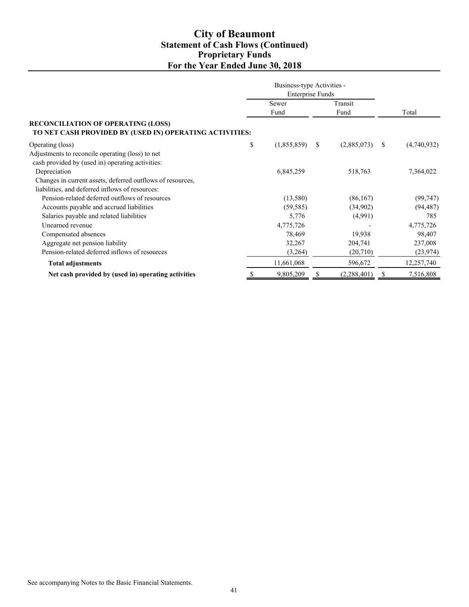## **City of Beaumont Statement of Cash Flows (Continued) Proprietary Funds For the Year Ended June 30, 2018**

|                                                                                                      | Business-type Activities -<br><b>Enterprise Funds</b> |               |               |                 |    |             |
|------------------------------------------------------------------------------------------------------|-------------------------------------------------------|---------------|---------------|-----------------|----|-------------|
|                                                                                                      |                                                       | Sewer<br>Fund |               | Transit<br>Fund |    | Total       |
| <b>RECONCILIATION OF OPERATING (LOSS)</b><br>TO NET CASH PROVIDED BY (USED IN) OPERATING ACTIVITIES: |                                                       |               |               |                 |    |             |
| Operating (loss)                                                                                     | \$                                                    | (1,855,859)   | <sup>\$</sup> | (2,885,073)     | S. | (4,740,932) |
| Adjustments to reconcile operating (loss) to net<br>cash provided by (used in) operating activities: |                                                       |               |               |                 |    |             |
| Depreciation                                                                                         |                                                       | 6,845,259     |               | 518,763         |    | 7,364,022   |
| Changes in current assets, deferred outflows of resources,                                           |                                                       |               |               |                 |    |             |
| liabilities, and deferred inflows of resources:                                                      |                                                       |               |               |                 |    |             |
| Pension-related deferred outflows of resources                                                       |                                                       | (13,580)      |               | (86, 167)       |    | (99, 747)   |
| Accounts payable and accrued liabilities                                                             |                                                       | (59, 585)     |               | (34,902)        |    | (94, 487)   |
| Salaries payable and related liabilities                                                             |                                                       | 5,776         |               | (4,991)         |    | 785         |
| Unearned revenue                                                                                     |                                                       | 4,775,726     |               |                 |    | 4,775,726   |
| Compensated absences                                                                                 |                                                       | 78,469        |               | 19,938          |    | 98,407      |
| Aggregate net pension liability                                                                      |                                                       | 32,267        |               | 204,741         |    | 237,008     |
| Pension-related deferred inflows of resources                                                        |                                                       | (3,264)       |               | (20,710)        |    | (23, 974)   |
| <b>Total adjustments</b>                                                                             |                                                       | 11,661,068    |               | 596,672         |    | 12,257,740  |
| Net cash provided by (used in) operating activities                                                  | S                                                     | 9,805,209     | S.            | (2, 288, 401)   | \$ | 7,516,808   |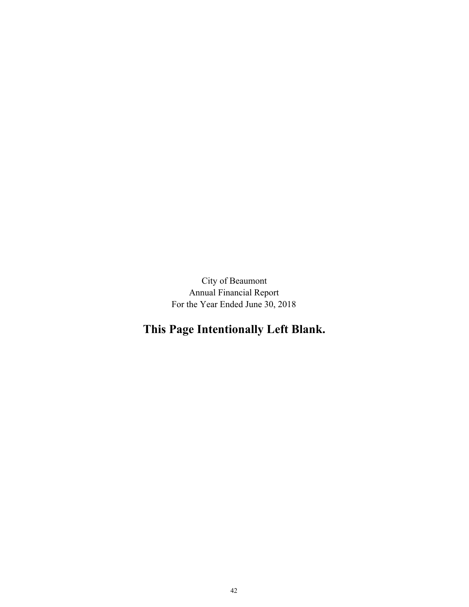# **This Page Intentionally Left Blank.**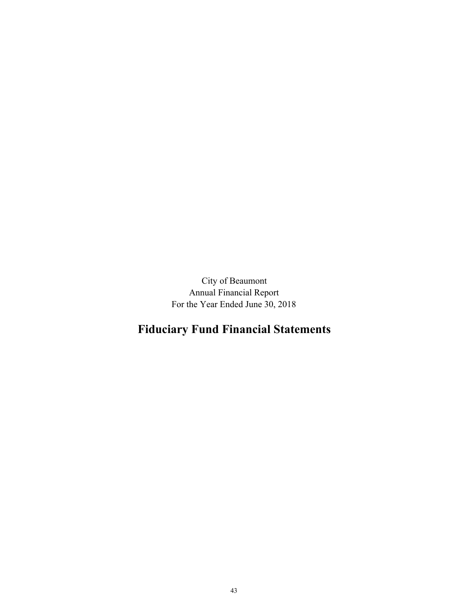# **Fiduciary Fund Financial Statements**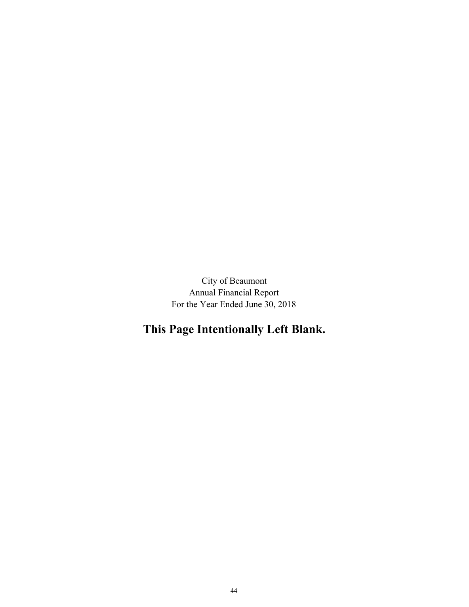# **This Page Intentionally Left Blank.**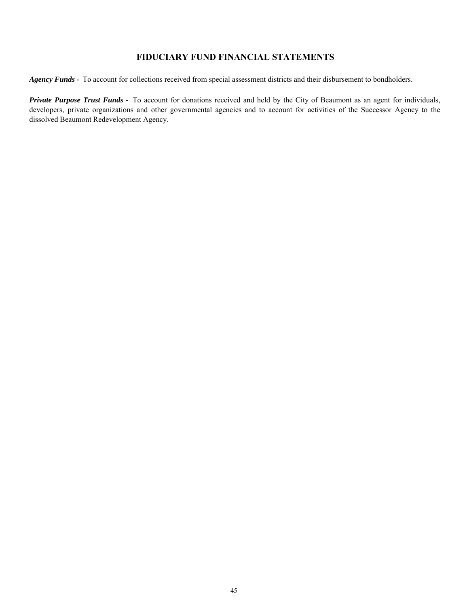#### **FIDUCIARY FUND FINANCIAL STATEMENTS**

*Agency Funds -* To account for collections received from special assessment districts and their disbursement to bondholders.

*Private Purpose Trust Funds -* To account for donations received and held by the City of Beaumont as an agent for individuals, developers, private organizations and other governmental agencies and to account for activities of the Successor Agency to the dissolved Beaumont Redevelopment Agency.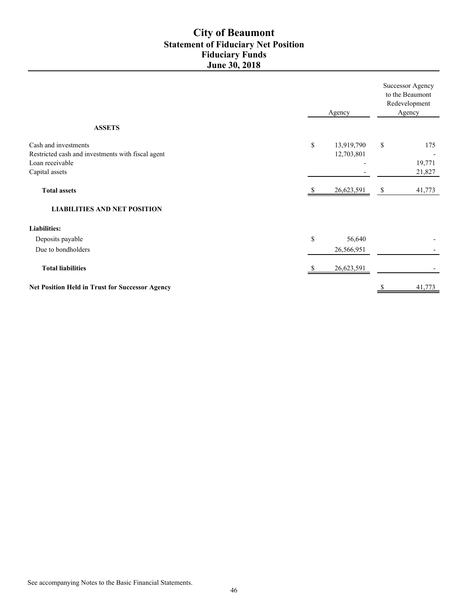## **June 30, 2018 Fiduciary Funds Statement of Fiduciary Net Position City of Beaumont**

|                                                                                              | Agency                         | <b>Successor Agency</b><br>to the Beaumont<br>Redevelopment<br>Agency |
|----------------------------------------------------------------------------------------------|--------------------------------|-----------------------------------------------------------------------|
| <b>ASSETS</b>                                                                                |                                |                                                                       |
| Cash and investments<br>Restricted cash and investments with fiscal agent<br>Loan receivable | \$<br>13,919,790<br>12,703,801 | \$<br>175<br>19,771                                                   |
| Capital assets                                                                               |                                | 21,827                                                                |
| <b>Total assets</b>                                                                          | 26,623,591                     | \$<br>41,773                                                          |
| <b>LIABILITIES AND NET POSITION</b>                                                          |                                |                                                                       |
| Liabilities:                                                                                 |                                |                                                                       |
| Deposits payable                                                                             | \$<br>56,640                   |                                                                       |
| Due to bondholders                                                                           | 26,566,951                     |                                                                       |
| <b>Total liabilities</b>                                                                     | 26,623,591                     |                                                                       |
| <b>Net Position Held in Trust for Successor Agency</b>                                       |                                | 41,773                                                                |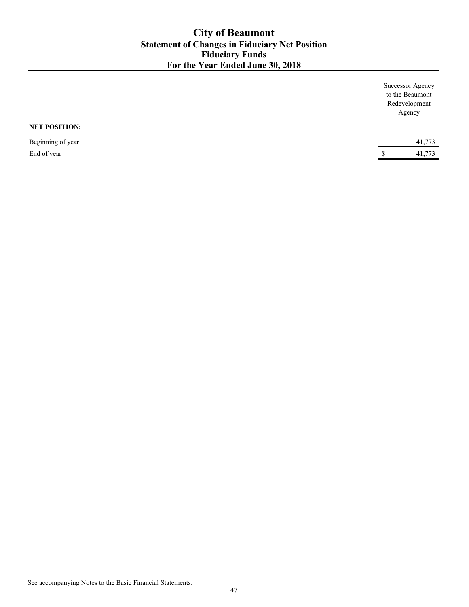## **City of Beaumont Statement of Changes in Fiduciary Net Position Fiduciary Funds For the Year Ended June 30, 2018**

|                      | <b>Successor Agency</b><br>to the Beaumont<br>Redevelopment<br>Agency |
|----------------------|-----------------------------------------------------------------------|
| <b>NET POSITION:</b> |                                                                       |
| Beginning of year    | 41,773                                                                |
| End of year          | 41,773                                                                |
|                      |                                                                       |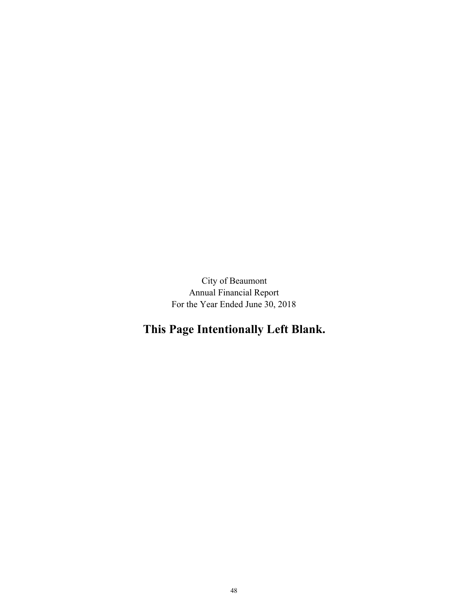# **This Page Intentionally Left Blank.**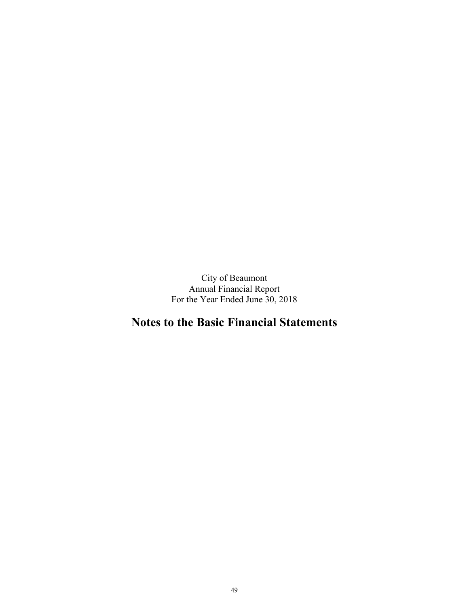## **Notes to the Basic Financial Statements**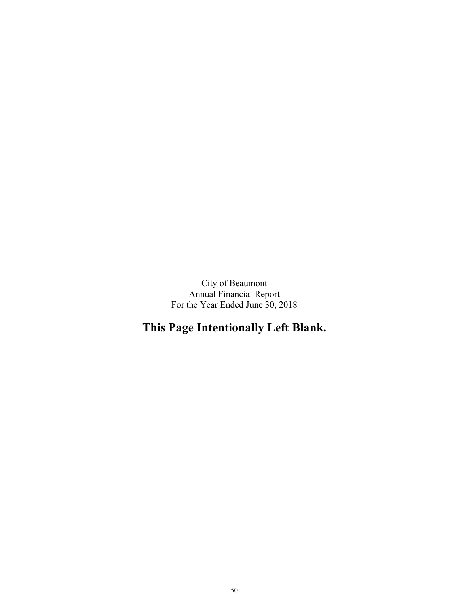# **This Page Intentionally Left Blank.**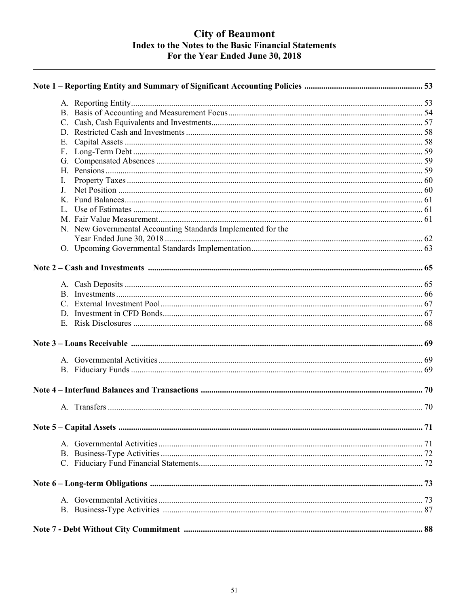# **City of Beaumont**<br>Index to the Notes to the Basic Financial Statements For the Year Ended June 30, 2018

| Е.                                                           |  |
|--------------------------------------------------------------|--|
|                                                              |  |
|                                                              |  |
|                                                              |  |
|                                                              |  |
|                                                              |  |
|                                                              |  |
|                                                              |  |
|                                                              |  |
| N. New Governmental Accounting Standards Implemented for the |  |
|                                                              |  |
|                                                              |  |
|                                                              |  |
|                                                              |  |
|                                                              |  |
|                                                              |  |
|                                                              |  |
|                                                              |  |
|                                                              |  |
|                                                              |  |
|                                                              |  |
|                                                              |  |
|                                                              |  |
|                                                              |  |
|                                                              |  |
|                                                              |  |
|                                                              |  |
|                                                              |  |
|                                                              |  |
|                                                              |  |
|                                                              |  |
|                                                              |  |
|                                                              |  |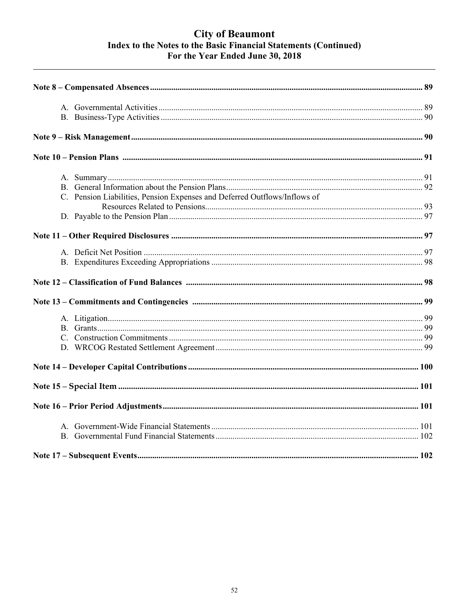# City of Beaumont<br>Index to the Notes to the Basic Financial Statements (Continued)<br>For the Year Ended June 30, 2018

| C. Pension Liabilities, Pension Expenses and Deferred Outflows/Inflows of |  |
|---------------------------------------------------------------------------|--|
|                                                                           |  |
|                                                                           |  |
|                                                                           |  |
|                                                                           |  |
|                                                                           |  |
|                                                                           |  |
|                                                                           |  |
|                                                                           |  |
|                                                                           |  |
|                                                                           |  |
|                                                                           |  |
|                                                                           |  |
|                                                                           |  |
|                                                                           |  |
|                                                                           |  |
|                                                                           |  |
|                                                                           |  |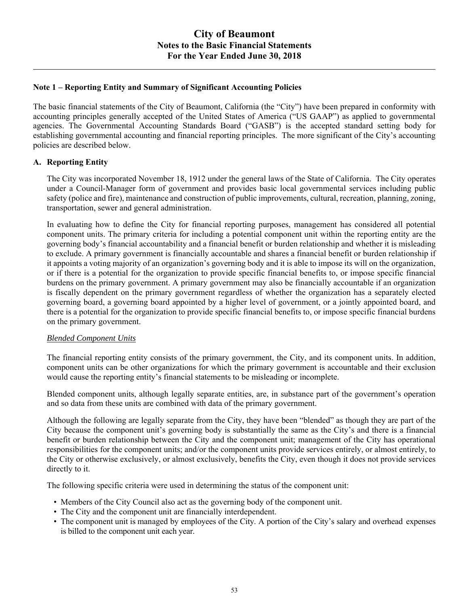The basic financial statements of the City of Beaumont, California (the "City") have been prepared in conformity with accounting principles generally accepted of the United States of America ("US GAAP") as applied to governmental agencies. The Governmental Accounting Standards Board ("GASB") is the accepted standard setting body for establishing governmental accounting and financial reporting principles. The more significant of the City's accounting policies are described below.

#### **A. Reporting Entity**

The City was incorporated November 18, 1912 under the general laws of the State of California. The City operates under a Council-Manager form of government and provides basic local governmental services including public safety (police and fire), maintenance and construction of public improvements, cultural, recreation, planning, zoning, transportation, sewer and general administration.

In evaluating how to define the City for financial reporting purposes, management has considered all potential component units. The primary criteria for including a potential component unit within the reporting entity are the governing body's financial accountability and a financial benefit or burden relationship and whether it is misleading to exclude. A primary government is financially accountable and shares a financial benefit or burden relationship if it appoints a voting majority of an organization's governing body and it is able to impose its will on the organization, or if there is a potential for the organization to provide specific financial benefits to, or impose specific financial burdens on the primary government. A primary government may also be financially accountable if an organization is fiscally dependent on the primary government regardless of whether the organization has a separately elected governing board, a governing board appointed by a higher level of government, or a jointly appointed board, and there is a potential for the organization to provide specific financial benefits to, or impose specific financial burdens on the primary government.

#### *Blended Component Units*

The financial reporting entity consists of the primary government, the City, and its component units. In addition, component units can be other organizations for which the primary government is accountable and their exclusion would cause the reporting entity's financial statements to be misleading or incomplete.

Blended component units, although legally separate entities, are, in substance part of the government's operation and so data from these units are combined with data of the primary government.

Although the following are legally separate from the City, they have been "blended" as though they are part of the City because the component unit's governing body is substantially the same as the City's and there is a financial benefit or burden relationship between the City and the component unit; management of the City has operational responsibilities for the component units; and/or the component units provide services entirely, or almost entirely, to the City or otherwise exclusively, or almost exclusively, benefits the City, even though it does not provide services directly to it.

The following specific criteria were used in determining the status of the component unit:

- Members of the City Council also act as the governing body of the component unit.
- The City and the component unit are financially interdependent.
- The component unit is managed by employees of the City. A portion of the City's salary and overhead expenses is billed to the component unit each year.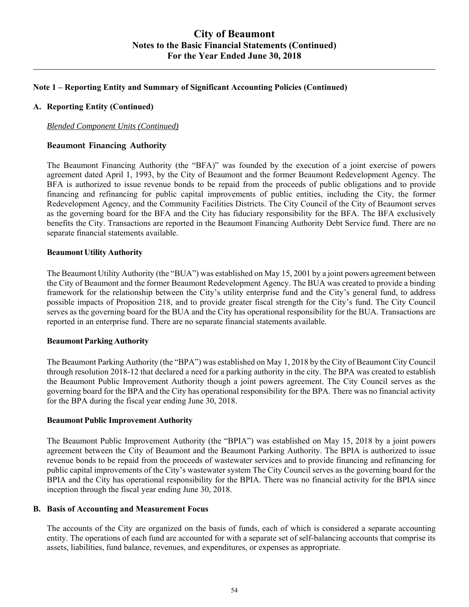#### **A. Reporting Entity (Continued)**

*Blended Component Units (Continued)* 

#### **Beaumont Financing Authority**

The Beaumont Financing Authority (the "BFA)" was founded by the execution of a joint exercise of powers agreement dated April 1, 1993, by the City of Beaumont and the former Beaumont Redevelopment Agency. The BFA is authorized to issue revenue bonds to be repaid from the proceeds of public obligations and to provide financing and refinancing for public capital improvements of public entities, including the City, the former Redevelopment Agency, and the Community Facilities Districts. The City Council of the City of Beaumont serves as the governing board for the BFA and the City has fiduciary responsibility for the BFA. The BFA exclusively benefits the City. Transactions are reported in the Beaumont Financing Authority Debt Service fund. There are no separate financial statements available.

#### **Beaumont Utility Authority**

The Beaumont Utility Authority (the "BUA") was established on May 15, 2001 by a joint powers agreement between the City of Beaumont and the former Beaumont Redevelopment Agency. The BUA was created to provide a binding framework for the relationship between the City's utility enterprise fund and the City's general fund, to address possible impacts of Proposition 218, and to provide greater fiscal strength for the City's fund. The City Council serves as the governing board for the BUA and the City has operational responsibility for the BUA. Transactions are reported in an enterprise fund. There are no separate financial statements available.

#### **Beaumont Parking Authority**

The Beaumont Parking Authority (the "BPA") was established on May 1, 2018 by the City of Beaumont City Council through resolution 2018-12 that declared a need for a parking authority in the city. The BPA was created to establish the Beaumont Public Improvement Authority though a joint powers agreement. The City Council serves as the governing board for the BPA and the City has operational responsibility for the BPA. There was no financial activity for the BPA during the fiscal year ending June 30, 2018.

#### **Beaumont Public Improvement Authority**

The Beaumont Public Improvement Authority (the "BPIA") was established on May 15, 2018 by a joint powers agreement between the City of Beaumont and the Beaumont Parking Authority. The BPIA is authorized to issue revenue bonds to be repaid from the proceeds of wastewater services and to provide financing and refinancing for public capital improvements of the City's wastewater system The City Council serves as the governing board for the BPIA and the City has operational responsibility for the BPIA. There was no financial activity for the BPIA since inception through the fiscal year ending June 30, 2018.

#### **B. Basis of Accounting and Measurement Focus**

The accounts of the City are organized on the basis of funds, each of which is considered a separate accounting entity. The operations of each fund are accounted for with a separate set of self-balancing accounts that comprise its assets, liabilities, fund balance, revenues, and expenditures, or expenses as appropriate.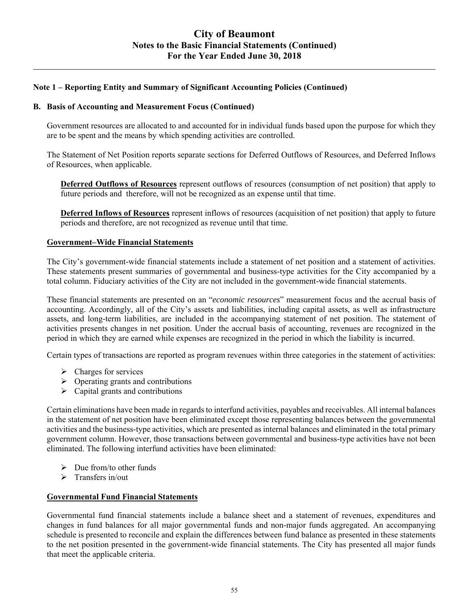#### **B. Basis of Accounting and Measurement Focus (Continued)**

Government resources are allocated to and accounted for in individual funds based upon the purpose for which they are to be spent and the means by which spending activities are controlled.

The Statement of Net Position reports separate sections for Deferred Outflows of Resources, and Deferred Inflows of Resources, when applicable.

**Deferred Outflows of Resources** represent outflows of resources (consumption of net position) that apply to future periods and therefore, will not be recognized as an expense until that time.

**Deferred Inflows of Resources** represent inflows of resources (acquisition of net position) that apply to future periods and therefore, are not recognized as revenue until that time.

#### **Government–Wide Financial Statements**

The City's government-wide financial statements include a statement of net position and a statement of activities. These statements present summaries of governmental and business-type activities for the City accompanied by a total column. Fiduciary activities of the City are not included in the government-wide financial statements.

These financial statements are presented on an "*economic resources*" measurement focus and the accrual basis of accounting. Accordingly, all of the City's assets and liabilities, including capital assets, as well as infrastructure assets, and long-term liabilities, are included in the accompanying statement of net position. The statement of activities presents changes in net position. Under the accrual basis of accounting, revenues are recognized in the period in which they are earned while expenses are recognized in the period in which the liability is incurred.

Certain types of transactions are reported as program revenues within three categories in the statement of activities:

- $\triangleright$  Charges for services
- $\triangleright$  Operating grants and contributions
- $\triangleright$  Capital grants and contributions

Certain eliminations have been made in regards to interfund activities, payables and receivables. All internal balances in the statement of net position have been eliminated except those representing balances between the governmental activities and the business-type activities, which are presented as internal balances and eliminated in the total primary government column. However, those transactions between governmental and business-type activities have not been eliminated. The following interfund activities have been eliminated:

- $\triangleright$  Due from/to other funds
- $\triangleright$  Transfers in/out

#### **Governmental Fund Financial Statements**

Governmental fund financial statements include a balance sheet and a statement of revenues, expenditures and changes in fund balances for all major governmental funds and non-major funds aggregated. An accompanying schedule is presented to reconcile and explain the differences between fund balance as presented in these statements to the net position presented in the government-wide financial statements. The City has presented all major funds that meet the applicable criteria.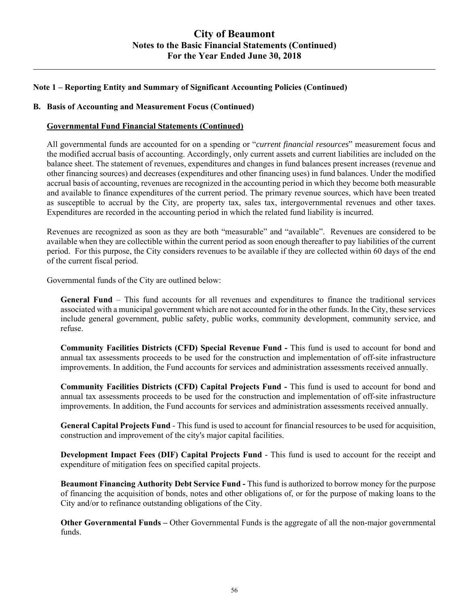#### **B. Basis of Accounting and Measurement Focus (Continued)**

#### **Governmental Fund Financial Statements (Continued)**

All governmental funds are accounted for on a spending or "*current financial resources*" measurement focus and the modified accrual basis of accounting. Accordingly, only current assets and current liabilities are included on the balance sheet. The statement of revenues, expenditures and changes in fund balances present increases (revenue and other financing sources) and decreases (expenditures and other financing uses) in fund balances. Under the modified accrual basis of accounting, revenues are recognized in the accounting period in which they become both measurable and available to finance expenditures of the current period. The primary revenue sources, which have been treated as susceptible to accrual by the City, are property tax, sales tax, intergovernmental revenues and other taxes. Expenditures are recorded in the accounting period in which the related fund liability is incurred.

Revenues are recognized as soon as they are both "measurable" and "available". Revenues are considered to be available when they are collectible within the current period as soon enough thereafter to pay liabilities of the current period. For this purpose, the City considers revenues to be available if they are collected within 60 days of the end of the current fiscal period.

Governmental funds of the City are outlined below:

**General Fund** – This fund accounts for all revenues and expenditures to finance the traditional services associated with a municipal government which are not accounted for in the other funds. In the City, these services include general government, public safety, public works, community development, community service, and refuse.

**Community Facilities Districts (CFD) Special Revenue Fund -** This fund is used to account for bond and annual tax assessments proceeds to be used for the construction and implementation of off-site infrastructure improvements. In addition, the Fund accounts for services and administration assessments received annually.

**Community Facilities Districts (CFD) Capital Projects Fund -** This fund is used to account for bond and annual tax assessments proceeds to be used for the construction and implementation of off-site infrastructure improvements. In addition, the Fund accounts for services and administration assessments received annually.

**General Capital Projects Fund** - This fund is used to account for financial resources to be used for acquisition, construction and improvement of the city's major capital facilities.

**Development Impact Fees (DIF) Capital Projects Fund** - This fund is used to account for the receipt and expenditure of mitigation fees on specified capital projects.

**Beaumont Financing Authority Debt Service Fund -** This fund is authorized to borrow money for the purpose of financing the acquisition of bonds, notes and other obligations of, or for the purpose of making loans to the City and/or to refinance outstanding obligations of the City.

**Other Governmental Funds** – Other Governmental Funds is the aggregate of all the non-major governmental funds.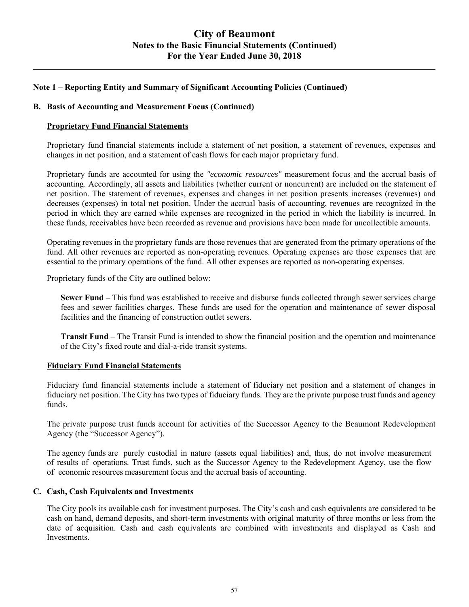#### **B. Basis of Accounting and Measurement Focus (Continued)**

#### **Proprietary Fund Financial Statements**

Proprietary fund financial statements include a statement of net position, a statement of revenues, expenses and changes in net position, and a statement of cash flows for each major proprietary fund.

Proprietary funds are accounted for using the *"economic resources"* measurement focus and the accrual basis of accounting. Accordingly, all assets and liabilities (whether current or noncurrent) are included on the statement of net position. The statement of revenues, expenses and changes in net position presents increases (revenues) and decreases (expenses) in total net position. Under the accrual basis of accounting, revenues are recognized in the period in which they are earned while expenses are recognized in the period in which the liability is incurred. In these funds, receivables have been recorded as revenue and provisions have been made for uncollectible amounts.

Operating revenues in the proprietary funds are those revenues that are generated from the primary operations of the fund. All other revenues are reported as non-operating revenues. Operating expenses are those expenses that are essential to the primary operations of the fund. All other expenses are reported as non-operating expenses.

Proprietary funds of the City are outlined below:

**Sewer Fund** – This fund was established to receive and disburse funds collected through sewer services charge fees and sewer facilities charges. These funds are used for the operation and maintenance of sewer disposal facilities and the financing of construction outlet sewers.

**Transit Fund** – The Transit Fund is intended to show the financial position and the operation and maintenance of the City's fixed route and dial-a-ride transit systems.

#### **Fiduciary Fund Financial Statements**

Fiduciary fund financial statements include a statement of fiduciary net position and a statement of changes in fiduciary net position. The City has two types of fiduciary funds. They are the private purpose trust funds and agency funds.

The private purpose trust funds account for activities of the Successor Agency to the Beaumont Redevelopment Agency (the "Successor Agency").

The agency funds are purely custodial in nature (assets equal liabilities) and, thus, do not involve measurement of results of operations. Trust funds, such as the Successor Agency to the Redevelopment Agency, use the flow of economic resources measurement focus and the accrual basis of accounting.

#### **C. Cash, Cash Equivalents and Investments**

The City pools its available cash for investment purposes. The City's cash and cash equivalents are considered to be cash on hand, demand deposits, and short-term investments with original maturity of three months or less from the date of acquisition. Cash and cash equivalents are combined with investments and displayed as Cash and Investments.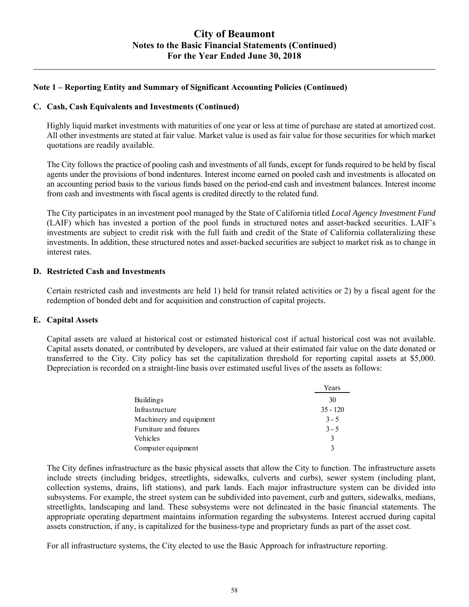#### **C. Cash, Cash Equivalents and Investments (Continued)**

Highly liquid market investments with maturities of one year or less at time of purchase are stated at amortized cost. All other investments are stated at fair value. Market value is used as fair value for those securities for which market quotations are readily available.

The City follows the practice of pooling cash and investments of all funds, except for funds required to be held by fiscal agents under the provisions of bond indentures. Interest income earned on pooled cash and investments is allocated on an accounting period basis to the various funds based on the period-end cash and investment balances. Interest income from cash and investments with fiscal agents is credited directly to the related fund.

The City participates in an investment pool managed by the State of California titled *Local Agency Investment Fund* (LAIF) which has invested a portion of the pool funds in structured notes and asset-backed securities. LAIF's investments are subject to credit risk with the full faith and credit of the State of California collateralizing these investments. In addition, these structured notes and asset-backed securities are subject to market risk as to change in interest rates.

#### **D. Restricted Cash and Investments**

Certain restricted cash and investments are held 1) held for transit related activities or 2) by a fiscal agent for the redemption of bonded debt and for acquisition and construction of capital projects.

#### **E. Capital Assets**

Capital assets are valued at historical cost or estimated historical cost if actual historical cost was not available. Capital assets donated, or contributed by developers, are valued at their estimated fair value on the date donated or transferred to the City. City policy has set the capitalization threshold for reporting capital assets at \$5,000. Depreciation is recorded on a straight-line basis over estimated useful lives of the assets as follows:

|                         | Years        |
|-------------------------|--------------|
| <b>Buildings</b>        | 30           |
| Infrastructure          | $35 - 120$   |
| Machinery and equipment | $3 - 5$      |
| Furniture and fixtures  | $3 - 5$      |
| Vehicles                | $\mathbf{3}$ |
| Computer equipment      |              |

The City defines infrastructure as the basic physical assets that allow the City to function. The infrastructure assets include streets (including bridges, streetlights, sidewalks, culverts and curbs), sewer system (including plant, collection systems, drains, lift stations), and park lands. Each major infrastructure system can be divided into subsystems. For example, the street system can be subdivided into pavement, curb and gutters, sidewalks, medians, streetlights, landscaping and land. These subsystems were not delineated in the basic financial statements. The appropriate operating department maintains information regarding the subsystems. Interest accrued during capital assets construction, if any, is capitalized for the business-type and proprietary funds as part of the asset cost.

For all infrastructure systems, the City elected to use the Basic Approach for infrastructure reporting.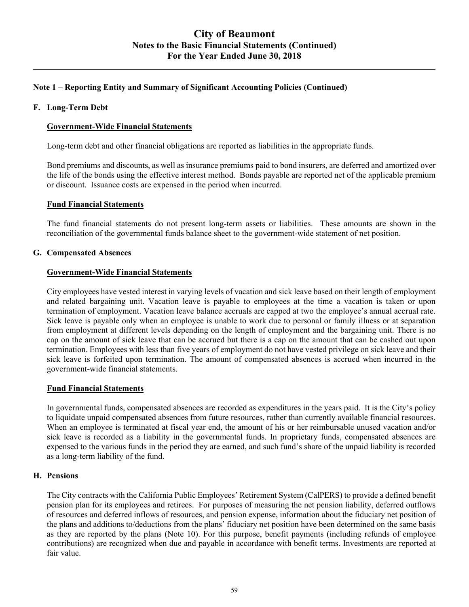#### **F. Long-Term Debt**

#### **Government-Wide Financial Statements**

Long-term debt and other financial obligations are reported as liabilities in the appropriate funds.

Bond premiums and discounts, as well as insurance premiums paid to bond insurers, are deferred and amortized over the life of the bonds using the effective interest method. Bonds payable are reported net of the applicable premium or discount. Issuance costs are expensed in the period when incurred.

#### **Fund Financial Statements**

The fund financial statements do not present long-term assets or liabilities. These amounts are shown in the reconciliation of the governmental funds balance sheet to the government-wide statement of net position.

#### **G. Compensated Absences**

#### **Government-Wide Financial Statements**

City employees have vested interest in varying levels of vacation and sick leave based on their length of employment and related bargaining unit. Vacation leave is payable to employees at the time a vacation is taken or upon termination of employment. Vacation leave balance accruals are capped at two the employee's annual accrual rate. Sick leave is payable only when an employee is unable to work due to personal or family illness or at separation from employment at different levels depending on the length of employment and the bargaining unit. There is no cap on the amount of sick leave that can be accrued but there is a cap on the amount that can be cashed out upon termination. Employees with less than five years of employment do not have vested privilege on sick leave and their sick leave is forfeited upon termination. The amount of compensated absences is accrued when incurred in the government-wide financial statements.

#### **Fund Financial Statements**

In governmental funds, compensated absences are recorded as expenditures in the years paid. It is the City's policy to liquidate unpaid compensated absences from future resources, rather than currently available financial resources. When an employee is terminated at fiscal year end, the amount of his or her reimbursable unused vacation and/or sick leave is recorded as a liability in the governmental funds. In proprietary funds, compensated absences are expensed to the various funds in the period they are earned, and such fund's share of the unpaid liability is recorded as a long-term liability of the fund.

#### **H. Pensions**

The City contracts with the California Public Employees' Retirement System (CalPERS) to provide a defined benefit pension plan for its employees and retirees. For purposes of measuring the net pension liability, deferred outflows of resources and deferred inflows of resources, and pension expense, information about the fiduciary net position of the plans and additions to/deductions from the plans' fiduciary net position have been determined on the same basis as they are reported by the plans (Note 10). For this purpose, benefit payments (including refunds of employee contributions) are recognized when due and payable in accordance with benefit terms. Investments are reported at fair value.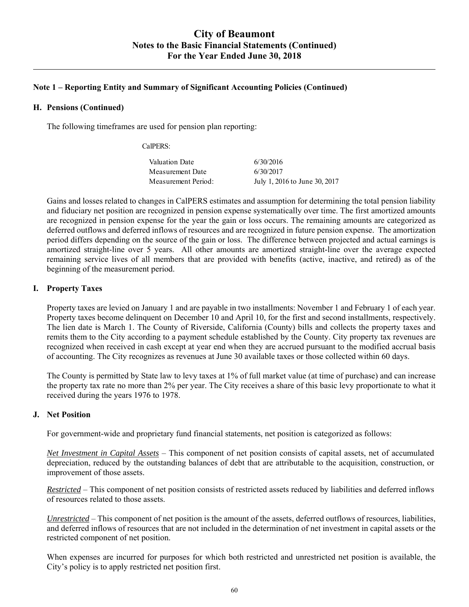#### **H. Pensions (Continued)**

The following timeframes are used for pension plan reporting:

CalPERS:

| Valuation Date      | 6/30/2016                     |
|---------------------|-------------------------------|
| Measurement Date    | 6/30/2017                     |
| Measurement Period: | July 1, 2016 to June 30, 2017 |

Gains and losses related to changes in CalPERS estimates and assumption for determining the total pension liability and fiduciary net position are recognized in pension expense systematically over time. The first amortized amounts are recognized in pension expense for the year the gain or loss occurs. The remaining amounts are categorized as deferred outflows and deferred inflows of resources and are recognized in future pension expense. The amortization period differs depending on the source of the gain or loss. The difference between projected and actual earnings is amortized straight-line over 5 years. All other amounts are amortized straight-line over the average expected remaining service lives of all members that are provided with benefits (active, inactive, and retired) as of the beginning of the measurement period.

#### **I. Property Taxes**

Property taxes are levied on January 1 and are payable in two installments: November 1 and February 1 of each year. Property taxes become delinquent on December 10 and April 10, for the first and second installments, respectively. The lien date is March 1. The County of Riverside, California (County) bills and collects the property taxes and remits them to the City according to a payment schedule established by the County. City property tax revenues are recognized when received in cash except at year end when they are accrued pursuant to the modified accrual basis of accounting. The City recognizes as revenues at June 30 available taxes or those collected within 60 days.

The County is permitted by State law to levy taxes at 1% of full market value (at time of purchase) and can increase the property tax rate no more than 2% per year. The City receives a share of this basic levy proportionate to what it received during the years 1976 to 1978.

#### **J. Net Position**

For government-wide and proprietary fund financial statements, net position is categorized as follows:

*Net Investment in Capital Assets* – This component of net position consists of capital assets, net of accumulated depreciation, reduced by the outstanding balances of debt that are attributable to the acquisition, construction, or improvement of those assets.

*Restricted* – This component of net position consists of restricted assets reduced by liabilities and deferred inflows of resources related to those assets.

*Unrestricted* – This component of net position is the amount of the assets, deferred outflows of resources, liabilities, and deferred inflows of resources that are not included in the determination of net investment in capital assets or the restricted component of net position.

When expenses are incurred for purposes for which both restricted and unrestricted net position is available, the City's policy is to apply restricted net position first.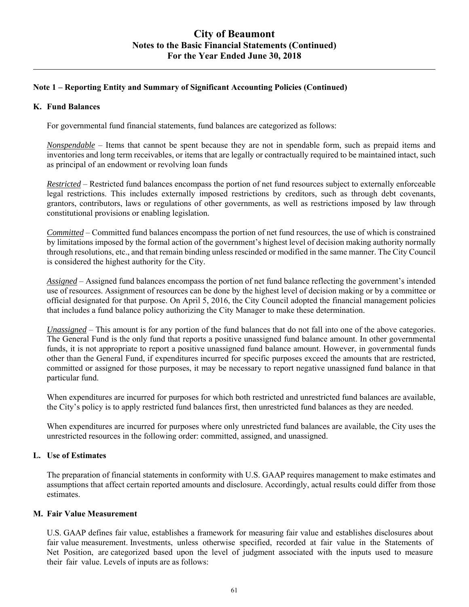#### **K. Fund Balances**

For governmental fund financial statements, fund balances are categorized as follows:

*Nonspendable* – Items that cannot be spent because they are not in spendable form, such as prepaid items and inventories and long term receivables, or items that are legally or contractually required to be maintained intact, such as principal of an endowment or revolving loan funds

*Restricted* – Restricted fund balances encompass the portion of net fund resources subject to externally enforceable legal restrictions. This includes externally imposed restrictions by creditors, such as through debt covenants, grantors, contributors, laws or regulations of other governments, as well as restrictions imposed by law through constitutional provisions or enabling legislation.

*Committed* – Committed fund balances encompass the portion of net fund resources, the use of which is constrained by limitations imposed by the formal action of the government's highest level of decision making authority normally through resolutions, etc., and that remain binding unless rescinded or modified in the same manner. The City Council is considered the highest authority for the City.

*Assigned* – Assigned fund balances encompass the portion of net fund balance reflecting the government's intended use of resources. Assignment of resources can be done by the highest level of decision making or by a committee or official designated for that purpose. On April 5, 2016, the City Council adopted the financial management policies that includes a fund balance policy authorizing the City Manager to make these determination.

*Unassigned* – This amount is for any portion of the fund balances that do not fall into one of the above categories. The General Fund is the only fund that reports a positive unassigned fund balance amount. In other governmental funds, it is not appropriate to report a positive unassigned fund balance amount. However, in governmental funds other than the General Fund, if expenditures incurred for specific purposes exceed the amounts that are restricted, committed or assigned for those purposes, it may be necessary to report negative unassigned fund balance in that particular fund.

When expenditures are incurred for purposes for which both restricted and unrestricted fund balances are available, the City's policy is to apply restricted fund balances first, then unrestricted fund balances as they are needed.

When expenditures are incurred for purposes where only unrestricted fund balances are available, the City uses the unrestricted resources in the following order: committed, assigned, and unassigned.

#### **L. Use of Estimates**

The preparation of financial statements in conformity with U.S. GAAP requires management to make estimates and assumptions that affect certain reported amounts and disclosure. Accordingly, actual results could differ from those estimates.

#### **M. Fair Value Measurement**

U.S. GAAP defines fair value, establishes a framework for measuring fair value and establishes disclosures about fair value measurement. Investments, unless otherwise specified, recorded at fair value in the Statements of Net Position, are categorized based upon the level of judgment associated with the inputs used to measure their fair value. Levels of inputs are as follows: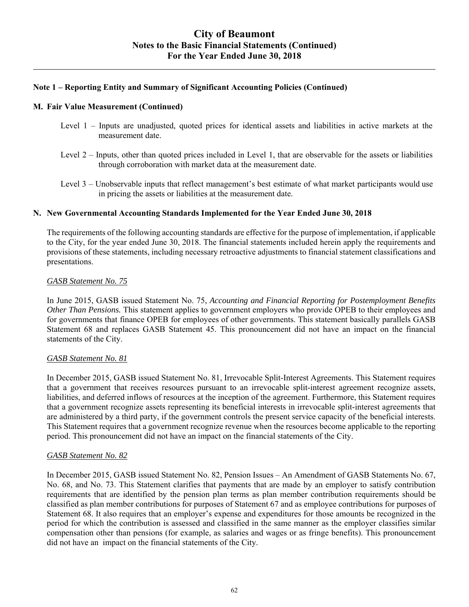#### **M. Fair Value Measurement (Continued)**

- Level 1 Inputs are unadjusted, quoted prices for identical assets and liabilities in active markets at the measurement date.
- Level 2 Inputs, other than quoted prices included in Level 1, that are observable for the assets or liabilities through corroboration with market data at the measurement date.
- Level 3 Unobservable inputs that reflect management's best estimate of what market participants would use in pricing the assets or liabilities at the measurement date.

#### **N. New Governmental Accounting Standards Implemented for the Year Ended June 30, 2018**

The requirements of the following accounting standards are effective for the purpose of implementation, if applicable to the City, for the year ended June 30, 2018. The financial statements included herein apply the requirements and provisions of these statements, including necessary retroactive adjustments to financial statement classifications and presentations.

#### *GASB Statement No. 75*

In June 2015, GASB issued Statement No. 75, *Accounting and Financial Reporting for Postemployment Benefits Other Than Pensions.* This statement applies to government employers who provide OPEB to their employees and for governments that finance OPEB for employees of other governments. This statement basically parallels GASB Statement 68 and replaces GASB Statement 45. This pronouncement did not have an impact on the financial statements of the City.

#### *GASB Statement No. 81*

In December 2015, GASB issued Statement No. 81, Irrevocable Split-Interest Agreements. This Statement requires that a government that receives resources pursuant to an irrevocable split-interest agreement recognize assets, liabilities, and deferred inflows of resources at the inception of the agreement. Furthermore, this Statement requires that a government recognize assets representing its beneficial interests in irrevocable split-interest agreements that are administered by a third party, if the government controls the present service capacity of the beneficial interests. This Statement requires that a government recognize revenue when the resources become applicable to the reporting period. This pronouncement did not have an impact on the financial statements of the City.

#### *GASB Statement No. 82*

In December 2015, GASB issued Statement No. 82, Pension Issues – An Amendment of GASB Statements No. 67, No. 68, and No. 73. This Statement clarifies that payments that are made by an employer to satisfy contribution requirements that are identified by the pension plan terms as plan member contribution requirements should be classified as plan member contributions for purposes of Statement 67 and as employee contributions for purposes of Statement 68. It also requires that an employer's expense and expenditures for those amounts be recognized in the period for which the contribution is assessed and classified in the same manner as the employer classifies similar compensation other than pensions (for example, as salaries and wages or as fringe benefits). This pronouncement did not have an impact on the financial statements of the City.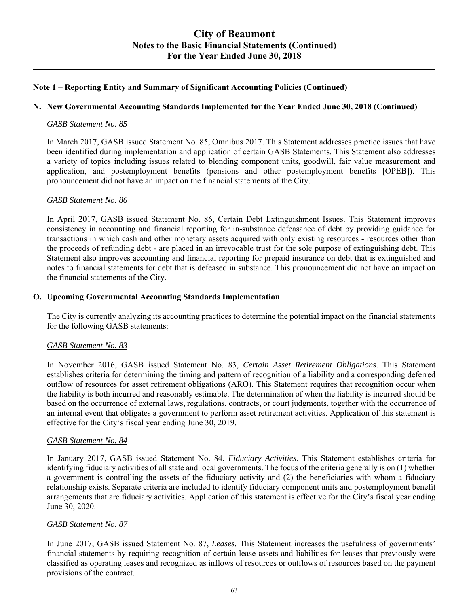#### **N. New Governmental Accounting Standards Implemented for the Year Ended June 30, 2018 (Continued)**

#### *GASB Statement No. 85*

In March 2017, GASB issued Statement No. 85, Omnibus 2017. This Statement addresses practice issues that have been identified during implementation and application of certain GASB Statements. This Statement also addresses a variety of topics including issues related to blending component units, goodwill, fair value measurement and application, and postemployment benefits (pensions and other postemployment benefits [OPEB]). This pronouncement did not have an impact on the financial statements of the City.

#### *GASB Statement No. 86*

In April 2017, GASB issued Statement No. 86, Certain Debt Extinguishment Issues. This Statement improves consistency in accounting and financial reporting for in-substance defeasance of debt by providing guidance for transactions in which cash and other monetary assets acquired with only existing resources - resources other than the proceeds of refunding debt - are placed in an irrevocable trust for the sole purpose of extinguishing debt. This Statement also improves accounting and financial reporting for prepaid insurance on debt that is extinguished and notes to financial statements for debt that is defeased in substance. This pronouncement did not have an impact on the financial statements of the City.

#### **O. Upcoming Governmental Accounting Standards Implementation**

The City is currently analyzing its accounting practices to determine the potential impact on the financial statements for the following GASB statements:

#### *GASB Statement No. 83*

In November 2016, GASB issued Statement No. 83, *Certain Asset Retirement Obligations*. This Statement establishes criteria for determining the timing and pattern of recognition of a liability and a corresponding deferred outflow of resources for asset retirement obligations (ARO). This Statement requires that recognition occur when the liability is both incurred and reasonably estimable. The determination of when the liability is incurred should be based on the occurrence of external laws, regulations, contracts, or court judgments, together with the occurrence of an internal event that obligates a government to perform asset retirement activities. Application of this statement is effective for the City's fiscal year ending June 30, 2019.

#### *GASB Statement No. 84*

In January 2017, GASB issued Statement No. 84, *Fiduciary Activities*. This Statement establishes criteria for identifying fiduciary activities of all state and local governments. The focus of the criteria generally is on (1) whether a government is controlling the assets of the fiduciary activity and (2) the beneficiaries with whom a fiduciary relationship exists. Separate criteria are included to identify fiduciary component units and postemployment benefit arrangements that are fiduciary activities. Application of this statement is effective for the City's fiscal year ending June 30, 2020.

#### *GASB Statement No. 87*

In June 2017, GASB issued Statement No. 87, *Leases.* This Statement increases the usefulness of governments' financial statements by requiring recognition of certain lease assets and liabilities for leases that previously were classified as operating leases and recognized as inflows of resources or outflows of resources based on the payment provisions of the contract.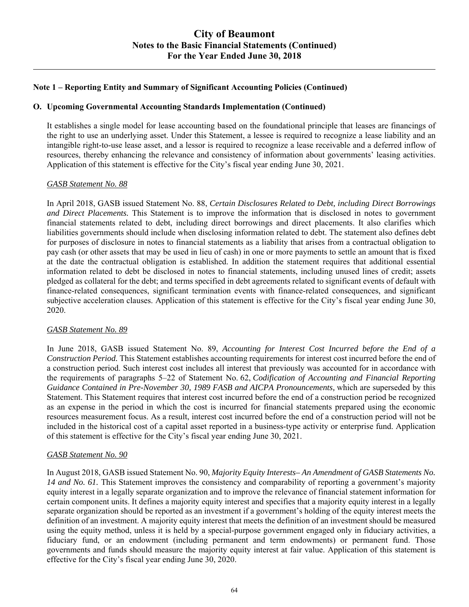#### **O. Upcoming Governmental Accounting Standards Implementation (Continued)**

It establishes a single model for lease accounting based on the foundational principle that leases are financings of the right to use an underlying asset. Under this Statement, a lessee is required to recognize a lease liability and an intangible right-to-use lease asset, and a lessor is required to recognize a lease receivable and a deferred inflow of resources, thereby enhancing the relevance and consistency of information about governments' leasing activities. Application of this statement is effective for the City's fiscal year ending June 30, 2021.

#### *GASB Statement No. 88*

In April 2018, GASB issued Statement No. 88, *Certain Disclosures Related to Debt, including Direct Borrowings and Direct Placements.* This Statement is to improve the information that is disclosed in notes to government financial statements related to debt, including direct borrowings and direct placements. It also clarifies which liabilities governments should include when disclosing information related to debt. The statement also defines debt for purposes of disclosure in notes to financial statements as a liability that arises from a contractual obligation to pay cash (or other assets that may be used in lieu of cash) in one or more payments to settle an amount that is fixed at the date the contractual obligation is established. In addition the statement requires that additional essential information related to debt be disclosed in notes to financial statements, including unused lines of credit; assets pledged as collateral for the debt; and terms specified in debt agreements related to significant events of default with finance-related consequences, significant termination events with finance-related consequences, and significant subjective acceleration clauses. Application of this statement is effective for the City's fiscal year ending June 30, 2020.

#### *GASB Statement No. 89*

In June 2018, GASB issued Statement No. 89, *Accounting for Interest Cost Incurred before the End of a Construction Period.* This Statement establishes accounting requirements for interest cost incurred before the end of a construction period. Such interest cost includes all interest that previously was accounted for in accordance with the requirements of paragraphs 5–22 of Statement No. 62, *Codification of Accounting and Financial Reporting Guidance Contained in Pre-November 30, 1989 FASB and AICPA Pronouncements,* which are superseded by this Statement. This Statement requires that interest cost incurred before the end of a construction period be recognized as an expense in the period in which the cost is incurred for financial statements prepared using the economic resources measurement focus. As a result, interest cost incurred before the end of a construction period will not be included in the historical cost of a capital asset reported in a business-type activity or enterprise fund. Application of this statement is effective for the City's fiscal year ending June 30, 2021.

#### *GASB Statement No. 90*

In August 2018, GASB issued Statement No. 90, *Majority Equity Interests– An Amendment of GASB Statements No. 14 and No. 61.* This Statement improves the consistency and comparability of reporting a government's majority equity interest in a legally separate organization and to improve the relevance of financial statement information for certain component units. It defines a majority equity interest and specifies that a majority equity interest in a legally separate organization should be reported as an investment if a government's holding of the equity interest meets the definition of an investment. A majority equity interest that meets the definition of an investment should be measured using the equity method, unless it is held by a special-purpose government engaged only in fiduciary activities, a fiduciary fund, or an endowment (including permanent and term endowments) or permanent fund. Those governments and funds should measure the majority equity interest at fair value. Application of this statement is effective for the City's fiscal year ending June 30, 2020.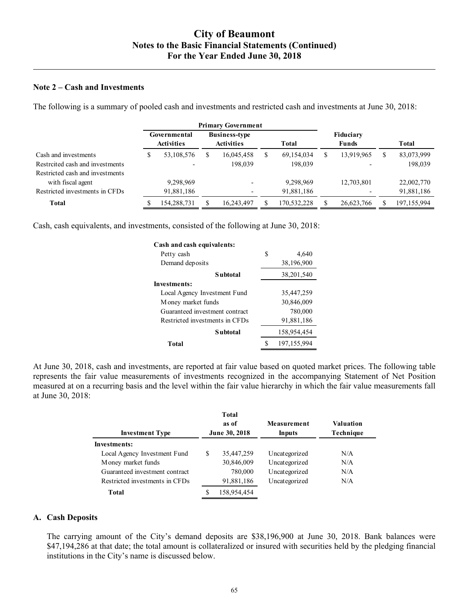#### **Note 2 – Cash and Investments**

The following is a summary of pooled cash and investments and restricted cash and investments at June 30, 2018:

|                                 |                                   |   | <b>Primary Government</b>                 |   |                                           |   |            |   |             |
|---------------------------------|-----------------------------------|---|-------------------------------------------|---|-------------------------------------------|---|------------|---|-------------|
|                                 | Governmental<br><b>Activities</b> |   | <b>Business-type</b><br><b>Activities</b> |   | <b>Fiduciary</b><br><b>Funds</b><br>Total |   |            |   | Total       |
| Cash and investments            | 53,108,576                        | S | 16,045,458                                | S | 69,154,034                                | S | 13,919,965 | S | 83,073,999  |
| Restrcited cash and investments |                                   |   | 198,039                                   |   | 198,039                                   |   |            |   | 198,039     |
| Restricted cash and investments |                                   |   |                                           |   |                                           |   |            |   |             |
| with fiscal agent               | 9,298,969                         |   |                                           |   | 9,298,969                                 |   | 12,703,801 |   | 22,002,770  |
| Restricted investments in CFDs  | 91,881,186                        |   |                                           |   | 91,881,186                                |   |            |   | 91,881,186  |
| Total                           | 154,288,731                       |   | 16,243,497                                |   | 170,532,228                               |   | 26,623,766 |   | 197,155,994 |

Cash, cash equivalents, and investments, consisted of the following at June 30, 2018:

| Cash and cash equivalents:     |   |             |
|--------------------------------|---|-------------|
| Petty cash                     | S | 4,640       |
| Demand deposits                |   | 38,196,900  |
| <b>Subtotal</b>                |   | 38,201,540  |
| Investments:                   |   |             |
| Local Agency Investment Fund   |   | 35,447,259  |
| Money market funds             |   | 30,846,009  |
| Guaranteed investment contract |   | 780,000     |
| Restricted investments in CFDs |   | 91,881,186  |
| <b>Subtotal</b>                |   | 158,954,454 |
| Total                          | S | 197,155,994 |

At June 30, 2018, cash and investments, are reported at fair value based on quoted market prices. The following table represents the fair value measurements of investments recognized in the accompanying Statement of Net Position measured at on a recurring basis and the level within the fair value hierarchy in which the fair value measurements fall at June 30, 2018:

|                                |   | Total                  |                       |                        |
|--------------------------------|---|------------------------|-----------------------|------------------------|
| <b>Investment Type</b>         |   | as of<br>June 30, 2018 | Measurement<br>Inputs | Valuation<br>Technique |
| Investments:                   |   |                        |                       |                        |
| Local Agency Investment Fund   | S | 35,447,259             | Uncategorized         | N/A                    |
| Money market funds             |   | 30,846,009             | Uncategorized         | N/A                    |
| Guaranteed investment contract |   | 780,000                | Uncategorized         | N/A                    |
| Restricted investments in CFDs |   | 91,881,186             | Uncategorized         | N/A                    |
| <b>Total</b>                   | S | 158,954,454            |                       |                        |

# **A. Cash Deposits**

The carrying amount of the City's demand deposits are \$38,196,900 at June 30, 2018. Bank balances were \$47,194,286 at that date; the total amount is collateralized or insured with securities held by the pledging financial institutions in the City's name is discussed below.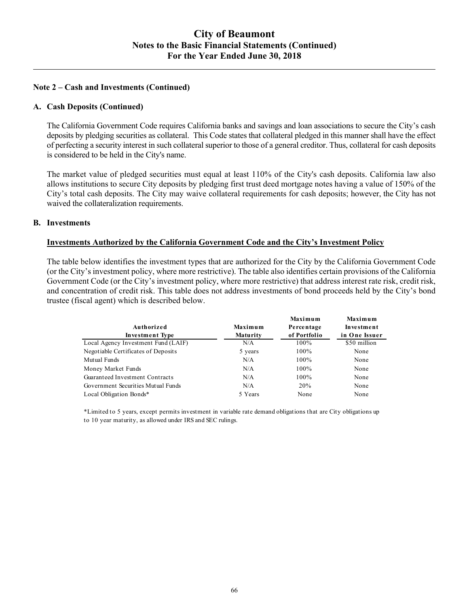#### **A. Cash Deposits (Continued)**

The California Government Code requires California banks and savings and loan associations to secure the City's cash deposits by pledging securities as collateral. This Code states that collateral pledged in this manner shall have the effect of perfecting a security interest in such collateral superior to those of a general creditor. Thus, collateral for cash deposits is considered to be held in the City's name.

The market value of pledged securities must equal at least 110% of the City's cash deposits. California law also allows institutions to secure City deposits by pledging first trust deed mortgage notes having a value of 150% of the City's total cash deposits. The City may waive collateral requirements for cash deposits; however, the City has not waived the collateralization requirements.

# **B. Investments**

# **Investments Authorized by the California Government Code and the City's Investment Policy**

The table below identifies the investment types that are authorized for the City by the California Government Code (or the City's investment policy, where more restrictive). The table also identifies certain provisions of the California Government Code (or the City's investment policy, where more restrictive) that address interest rate risk, credit risk, and concentration of credit risk. This table does not address investments of bond proceeds held by the City's bond trustee (fiscal agent) which is described below.

|                                     |          | Maximum      | Maximum       |
|-------------------------------------|----------|--------------|---------------|
| Authorized                          | Maximum  | Percentage   | Investment    |
| Investment Type                     | Maturity | of Portfolio | in One Issuer |
| Local Agency Investment Fund (LAIF) | N/A      | 100%         | \$50 million  |
| Negotiable Certificates of Deposits | 5 years  | 100%         | None          |
| Mutual Funds                        | N/A      | 100%         | None          |
| Money Market Funds                  | N/A      | 100%         | None          |
| Guaranteed Investment Contracts     | N/A      | 100%         | None          |
| Government Securities Mutual Funds  | N/A      | <b>20%</b>   | None          |
| Local Obligation Bonds*             | 5 Years  | None         | None          |

\*Limited to 5 years, except permits investment in variable rate demand obligations that are City obligations up to 10 year maturity, as allowed under IRS and SEC rulings.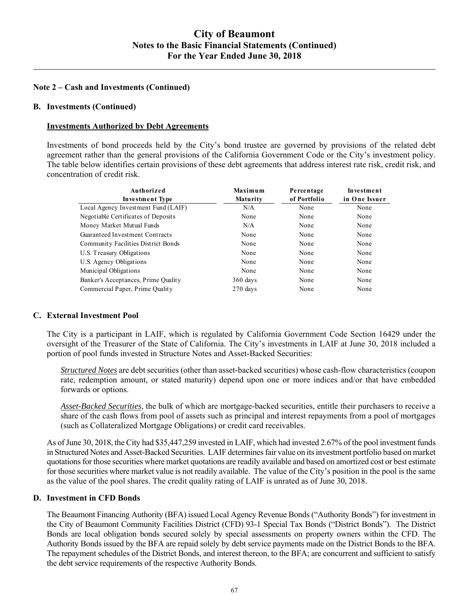#### **B. Investments (Continued)**

# **Investments Authorized by Debt Agreements**

Investments of bond proceeds held by the City's bond trustee are governed by provisions of the related debt agreement rather than the general provisions of the California Government Code or the City's investment policy. The table below identifies certain provisions of these debt agreements that address interest rate risk, credit risk, and concentration of credit risk.

| Authorized<br><b>Investment Type</b>       | Maximum<br><b>Maturity</b> | Percentage<br>of Portfolio | Investment<br>in One Issuer |
|--------------------------------------------|----------------------------|----------------------------|-----------------------------|
| Local Agency Investment Fund (LAIF)        | N/A                        | None                       | None                        |
| Negotiable Certificates of Deposits        | None                       | None                       | None                        |
| Money Market Mutual Funds                  | N/A                        | None                       | None                        |
| Guaranteed Investment Contracts            | None                       | None                       | None                        |
| <b>Community Facilities District Bonds</b> | None                       | None                       | None                        |
| U.S. Treasury Obligations                  | None                       | None                       | None                        |
| U.S. Agency Obligations                    | None                       | None                       | None                        |
| Municipal Obligations                      | None                       | None                       | None                        |
| Banker's Acceptances, Prime Quality        | $360$ days                 | None                       | None                        |
| Commercial Paper, Prime Quality            | $270$ days                 | None                       | None                        |

#### **C. External Investment Pool**

The City is a participant in LAIF, which is regulated by California Government Code Section 16429 under the oversight of the Treasurer of the State of California. The City's investments in LAIF at June 30, 2018 included a portion of pool funds invested in Structure Notes and Asset-Backed Securities:

*Structured Notes* are debt securities (other than asset-backed securities) whose cash-flow characteristics (coupon rate, redemption amount, or stated maturity) depend upon one or more indices and/or that have embedded forwards or options.

*Asset-Backed Securities*, the bulk of which are mortgage-backed securities, entitle their purchasers to receive a share of the cash flows from pool of assets such as principal and interest repayments from a pool of mortgages (such as Collateralized Mortgage Obligations) or credit card receivables.

As of June 30, 2018, the City had \$35,447,259 invested in LAIF, which had invested 2.67% of the pool investment funds in Structured Notes and Asset-Backed Securities. LAIF determines fair value on its investment portfolio based on market quotations for those securities where market quotations are readily available and based on amortized cost or best estimate for those securities where market value is not readily available. The value of the City's position in the pool is the same as the value of the pool shares. The credit quality rating of LAIF is unrated as of June 30, 2018.

#### **D. Investment in CFD Bonds**

The Beaumont Financing Authority (BFA) issued Local Agency Revenue Bonds ("Authority Bonds") for investment in the City of Beaumont Community Facilities District (CFD) 93-1 Special Tax Bonds ("District Bonds"). The District Bonds are local obligation bonds secured solely by special assessments on property owners within the CFD. The Authority Bonds issued by the BFA are repaid solely by debt service payments made on the District Bonds to the BFA. The repayment schedules of the District Bonds, and interest thereon, to the BFA; are concurrent and sufficient to satisfy the debt service requirements of the respective Authority Bonds.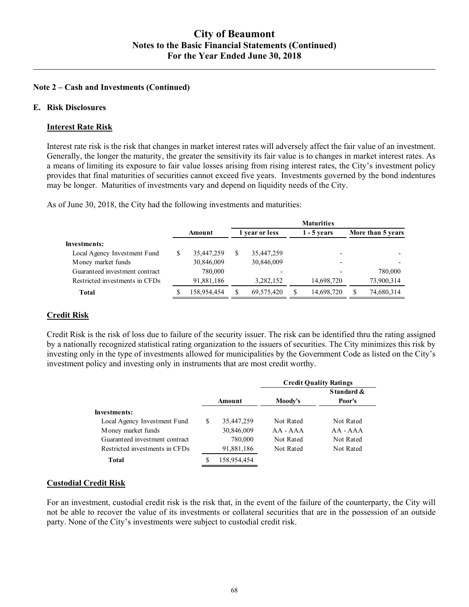#### **E. Risk Disclosures**

#### **Interest Rate Risk**

Interest rate risk is the risk that changes in market interest rates will adversely affect the fair value of an investment. Generally, the longer the maturity, the greater the sensitivity its fair value is to changes in market interest rates. As a means of limiting its exposure to fair value losses arising from rising interest rates, the City's investment policy provides that final maturities of securities cannot exceed five years. Investments governed by the bond indentures may be longer. Maturities of investments vary and depend on liquidity needs of the City.

As of June 30, 2018, the City had the following investments and maturities:

|                                |  |             |   |                | <b>Maturities</b>        |                   |            |  |
|--------------------------------|--|-------------|---|----------------|--------------------------|-------------------|------------|--|
|                                |  | Amount      |   | 1 year or less | $1 - 5$ years            | More than 5 years |            |  |
| Investments:                   |  |             |   |                |                          |                   |            |  |
| Local Agency Investment Fund   |  | 35,447,259  | S | 35,447,259     |                          |                   |            |  |
| Money market funds             |  | 30,846,009  |   | 30,846,009     | $\overline{\phantom{0}}$ |                   |            |  |
| Guaranteed investment contract |  | 780,000     |   |                |                          |                   | 780,000    |  |
| Restricted investments in CFDs |  | 91,881,186  |   | 3,282,152      | 14,698,720               |                   | 73,900,314 |  |
| Total                          |  | 158,954,454 |   | 69,575,420     | 14,698,720               |                   | 74,680,314 |  |

# **Credit Risk**

Credit Risk is the risk of loss due to failure of the security issuer. The risk can be identified thru the rating assigned by a nationally recognized statistical rating organization to the issuers of securities. The City minimizes this risk by investing only in the type of investments allowed for municipalities by the Government Code as listed on the City's investment policy and investing only in instruments that are most credit worthy.

|                                |   |             |            | <b>Credit Quality Ratings</b> |
|--------------------------------|---|-------------|------------|-------------------------------|
|                                |   |             |            | Standard &                    |
|                                |   | Amount      | Moody's    | Poor's                        |
| Investments:                   |   |             |            |                               |
| Local Agency Investment Fund   | S | 35,447,259  | Not Rated  | Not Rated                     |
| Money market funds             |   | 30,846,009  | $AA - AAA$ | $AA - AAA$                    |
| Guaranteed investment contract |   | 780,000     | Not Rated  | Not Rated                     |
| Restricted investments in CFDs |   | 91,881,186  | Not Rated  | Not Rated                     |
| Total                          |   | 158,954,454 |            |                               |

# **Custodial Credit Risk**

For an investment, custodial credit risk is the risk that, in the event of the failure of the counterparty, the City will not be able to recover the value of its investments or collateral securities that are in the possession of an outside party. None of the City's investments were subject to custodial credit risk.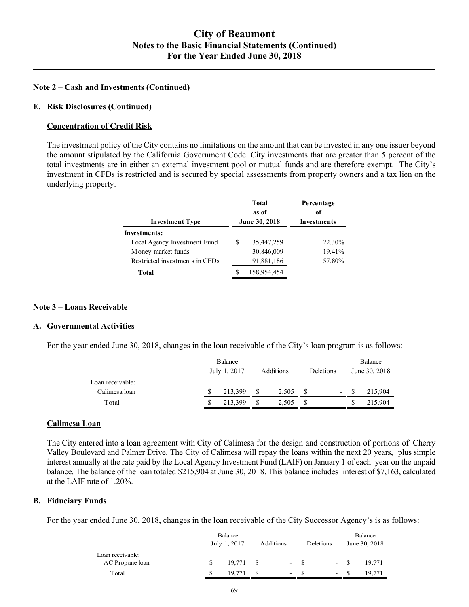#### **E. Risk Disclosures (Continued)**

#### **Concentration of Credit Risk**

The investment policy of the City contains no limitations on the amount that can be invested in any one issuer beyond the amount stipulated by the California Government Code. City investments that are greater than 5 percent of the total investments are in either an external investment pool or mutual funds and are therefore exempt. The City's investment in CFDs is restricted and is secured by special assessments from property owners and a tax lien on the underlying property.

|                                |   | <b>Total</b><br>as of | Percentage<br>of |
|--------------------------------|---|-----------------------|------------------|
| <b>Investment Type</b>         |   | June 30, 2018         | Investments      |
| Investments:                   |   |                       |                  |
| Local Agency Investment Fund   | S | 35,447,259            | 22.30%           |
| Money market funds             |   | 30,846,009            | 19.41%           |
| Restricted investments in CFDs |   | 91,881,186            | 57.80%           |
| Total                          |   | 158,954,454           |                  |
|                                |   |                       |                  |

#### **Note 3 – Loans Receivable**

#### **A. Governmental Activities**

For the year ended June 30, 2018, changes in the loan receivable of the City's loan program is as follows:

|                  | Balance      |           |                          | Balance       |
|------------------|--------------|-----------|--------------------------|---------------|
|                  | July 1, 2017 | Additions | Deletions                | June 30, 2018 |
| Loan receivable: |              |           |                          |               |
| Calimesa loan    | 213,399      | 2.505     | $\overline{\phantom{a}}$ | 215,904       |
| Total            | 213.399      | 2.505     | Ξ.                       | 215.904       |

#### **Calimesa Loan**

The City entered into a loan agreement with City of Calimesa for the design and construction of portions of Cherry Valley Boulevard and Palmer Drive. The City of Calimesa will repay the loans within the next 20 years, plus simple interest annually at the rate paid by the Local Agency Investment Fund (LAIF) on January 1 of each year on the unpaid balance. The balance of the loan totaled \$215,904 at June 30, 2018. This balance includes interest of \$7,163, calculated at the LAIF rate of 1.20%.

#### **B. Fiduciary Funds**

For the year ended June 30, 2018, changes in the loan receivable of the City Successor Agency's is as follows:

|                                     | Balance<br>July 1, 2017 |        |  | Additions                |  | Deletions                |  | Balance<br>June 30, 2018 |  |
|-------------------------------------|-------------------------|--------|--|--------------------------|--|--------------------------|--|--------------------------|--|
| Loan receivable:<br>AC Propane loan |                         | 19.771 |  | $\overline{\phantom{0}}$ |  | $\overline{\phantom{a}}$ |  | 19.771                   |  |
| Total                               |                         | 19.771 |  | $\overline{\phantom{a}}$ |  | $\overline{\phantom{a}}$ |  | 19.771                   |  |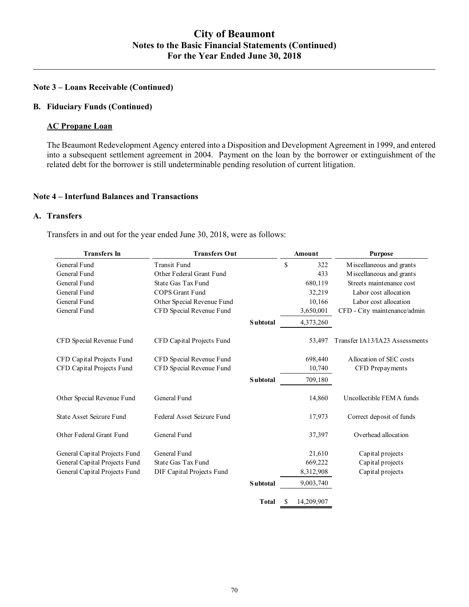# **Note 3 – Loans Receivable (Continued)**

# **B. Fiduciary Funds (Continued)**

# **AC Propane Loan**

The Beaumont Redevelopment Agency entered into a Disposition and Development Agreement in 1999, and entered into a subsequent settlement agreement in 2004. Payment on the loan by the borrower or extinguishment of the related debt for the borrower is still undeterminable pending resolution of current litigation.

# **Note 4 – Interfund Balances and Transactions**

#### **A. Transfers**

Transfers in and out for the year ended June 30, 2018, were as follows:

| <b>Transfers In</b>           | <b>Transfers Out</b>       |                 | <b>Amount</b>   | <b>Purpose</b>                 |
|-------------------------------|----------------------------|-----------------|-----------------|--------------------------------|
| General Fund                  | <b>Transit Fund</b>        |                 | \$<br>322       | M iscellaneous and grants      |
| General Fund                  | Other Federal Grant Fund   |                 | 433             | M iscellaneous and grants      |
| General Fund                  | State Gas Tax Fund         |                 | 680,119         | Streets maintenance cost       |
| General Fund                  | <b>COPS Grant Fund</b>     |                 | 32,219          | Labor cost allocation          |
| General Fund                  | Other Special Revenue Fund |                 | 10,166          | Labor cost allocation          |
| General Fund                  | CFD Special Revenue Fund   |                 | 3,650,001       | CFD - City maintenance/admin   |
|                               |                            | <b>Subtotal</b> | 4,373,260       |                                |
| CFD Special Revenue Fund      | CFD Capital Projects Fund  |                 | 53,497          | Transfer IA13/IA23 Assessments |
| CFD Capital Projects Fund     | CFD Special Revenue Fund   |                 | 698,440         | Allocation of SEC costs        |
| CFD Capital Projects Fund     | CFD Special Revenue Fund   |                 | 10,740          | CFD Prepayments                |
|                               |                            | <b>Subtotal</b> | 709,180         |                                |
| Other Special Revenue Fund    | General Fund               |                 | 14,860          | Uncollectible FEMA funds       |
| State Asset Seizure Fund      | Federal Asset Seizure Fund |                 | 17,973          | Correct deposit of funds       |
| Other Federal Grant Fund      | General Fund               |                 | 37,397          | Overhead allocation            |
| General Capital Projects Fund | General Fund               |                 | 21,610          | Capital projects               |
| General Capital Projects Fund | State Gas Tax Fund         |                 | 669,222         | Capital projects               |
| General Capital Projects Fund | DIF Capital Projects Fund  |                 | 8,312,908       | Capital projects               |
|                               |                            | <b>Subtotal</b> | 9,003,740       |                                |
|                               |                            | <b>Total</b>    | 14,209,907<br>S |                                |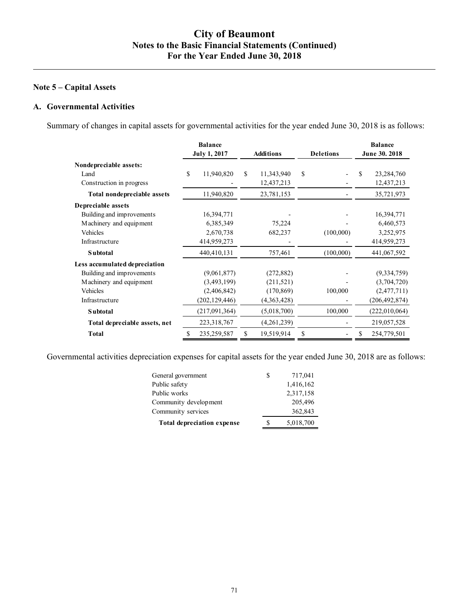# **Note 5 – Capital Assets**

# **A. Governmental Activities**

Summary of changes in capital assets for governmental activities for the year ended June 30, 2018 is as follows:

|                                    | <b>Balance</b><br><b>July 1, 2017</b><br><b>Additions</b> |                 |    | <b>Deletions</b> | <b>Balance</b><br>June 30. 2018 |     |                 |
|------------------------------------|-----------------------------------------------------------|-----------------|----|------------------|---------------------------------|-----|-----------------|
| Nondepreciable assets:             |                                                           |                 |    |                  |                                 |     |                 |
| Land                               | \$                                                        | 11,940,820      | \$ | 11,343,940       | \$                              | \$. | 23,284,760      |
| Construction in progress           |                                                           |                 |    | 12,437,213       |                                 |     | 12,437,213      |
| <b>Total nondepreciable assets</b> |                                                           | 11,940,820      |    | 23,781,153       |                                 |     | 35,721,973      |
| Depreciable assets                 |                                                           |                 |    |                  |                                 |     |                 |
| Building and improvements          |                                                           | 16,394,771      |    |                  |                                 |     | 16,394,771      |
| Machinery and equipment            |                                                           | 6,385,349       |    | 75,224           |                                 |     | 6,460,573       |
| Vehicles                           |                                                           | 2,670,738       |    | 682,237          | (100,000)                       |     | 3,252,975       |
| Infrastructure                     |                                                           | 414,959,273     |    |                  |                                 |     | 414,959,273     |
| <b>Subtotal</b>                    |                                                           | 440,410,131     |    | 757,461          | (100,000)                       |     | 441,067,592     |
| Less accumulated depreciation      |                                                           |                 |    |                  |                                 |     |                 |
| Building and improvements          |                                                           | (9,061,877)     |    | (272, 882)       |                                 |     | (9,334,759)     |
| Machinery and equipment            |                                                           | (3,493,199)     |    | (211, 521)       |                                 |     | (3,704,720)     |
| Vehicles                           |                                                           | (2,406,842)     |    | (170, 869)       | 100,000                         |     | (2,477,711)     |
| Infrastructure                     |                                                           | (202, 129, 446) |    | (4,363,428)      |                                 |     | (206, 492, 874) |
| <b>Subtotal</b>                    |                                                           | (217,091,364)   |    | (5,018,700)      | 100,000                         |     | (222,010,064)   |
| Total depreciable assets, net      |                                                           | 223,318,767     |    | (4,261,239)      |                                 |     | 219,057,528     |
| <b>Total</b>                       | \$                                                        | 235, 259, 587   | \$ | 19,519,914       | \$                              | \$  | 254,779,501     |

Governmental activities depreciation expenses for capital assets for the year ended June 30, 2018 are as follows:

| General government                | S | 717,041   |
|-----------------------------------|---|-----------|
| Public safety                     |   | 1,416,162 |
| Public works                      |   | 2,317,158 |
| Community development             |   | 205,496   |
| Community services                |   | 362,843   |
| <b>Total depreciation expense</b> | S | 5,018,700 |
|                                   |   |           |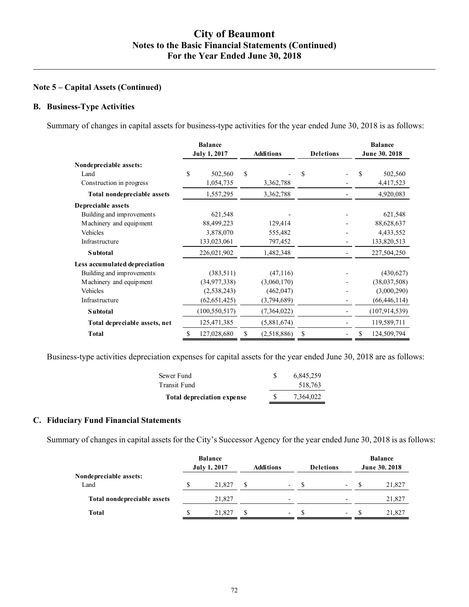# **Note 5 – Capital Assets (Continued)**

# **B. Business-Type Activities**

Summary of changes in capital assets for business-type activities for the year ended June 30, 2018 is as follows:

|                                | <b>Balance</b><br><b>July 1, 2017</b> |                 | <b>Additions</b>  | <b>Deletions</b> |  | <b>Balance</b><br>June 30. 2018 |                 |  |
|--------------------------------|---------------------------------------|-----------------|-------------------|------------------|--|---------------------------------|-----------------|--|
|                                |                                       |                 |                   |                  |  |                                 |                 |  |
| Nondepreciable assets:<br>Land | \$                                    | 502,560         | \$                | \$               |  | S                               | 502,560         |  |
| Construction in progress       |                                       | 1,054,735       | 3,362,788         |                  |  |                                 | 4,417,523       |  |
|                                |                                       |                 |                   |                  |  |                                 |                 |  |
| Total nondepreciable assets    |                                       | 1,557,295       | 3,362,788         |                  |  |                                 | 4,920,083       |  |
| Depreciable assets             |                                       |                 |                   |                  |  |                                 |                 |  |
| Building and improvements      |                                       | 621,548         |                   |                  |  |                                 | 621,548         |  |
| Machinery and equipment        |                                       | 88,499,223      | 129,414           |                  |  |                                 | 88,628,637      |  |
| Vehicles                       |                                       | 3,878,070       | 555,482           |                  |  |                                 | 4,433,552       |  |
| Infrastructure                 |                                       | 133,023,061     | 797,452           |                  |  |                                 | 133,820,513     |  |
| <b>Subtotal</b>                |                                       | 226,021,902     | 1,482,348         |                  |  |                                 | 227,504,250     |  |
| Less accumulated depreciation  |                                       |                 |                   |                  |  |                                 |                 |  |
| Building and improvements      |                                       | (383, 511)      | (47, 116)         |                  |  |                                 | (430,627)       |  |
| Machinery and equipment        |                                       | (34, 977, 338)  | (3,060,170)       |                  |  |                                 | (38,037,508)    |  |
| Vehicles                       |                                       | (2, 538, 243)   | (462, 047)        |                  |  |                                 | (3,000,290)     |  |
| Infrastructure                 |                                       | (62, 651, 425)  | (3,794,689)       |                  |  |                                 | (66, 446, 114)  |  |
| <b>Subtotal</b>                |                                       | (100, 550, 517) | (7,364,022)       |                  |  |                                 | (107, 914, 539) |  |
| Total depreciable assets, net  |                                       | 125,471,385     | (5,881,674)       |                  |  |                                 | 119,589,711     |  |
| <b>Total</b>                   | \$                                    | 127,028,680     | \$<br>(2,518,886) | \$               |  | \$                              | 124,509,794     |  |

Business-type activities depreciation expenses for capital assets for the year ended June 30, 2018 are as follows:

| Sewer Fund                        | S  | 6,845,259 |
|-----------------------------------|----|-----------|
| <b>Transit Fund</b>               |    | 518,763   |
| <b>Total depreciation expense</b> | S. | 7,364,022 |

# **C. Fiduciary Fund Financial Statements**

Summary of changes in capital assets for the City's Successor Agency for the year ended June 30, 2018 is as follows:

|                             | <b>Balance</b>      |   |                  |                  |                          |    | <b>Balance</b> |
|-----------------------------|---------------------|---|------------------|------------------|--------------------------|----|----------------|
|                             | <b>July 1, 2017</b> |   | <b>Additions</b> | <b>Deletions</b> |                          |    | June 30. 2018  |
| Nondepreciable assets:      |                     |   |                  |                  |                          |    |                |
| Land                        | 21.827              | S | ۰.               |                  | $\overline{\phantom{a}}$ | -8 | 21,827         |
| Total nondepreciable assets | 21.827              |   |                  |                  |                          |    | 21,827         |
| <b>Total</b>                | 21.827              | S |                  |                  | $\overline{\phantom{a}}$ |    | 21,827         |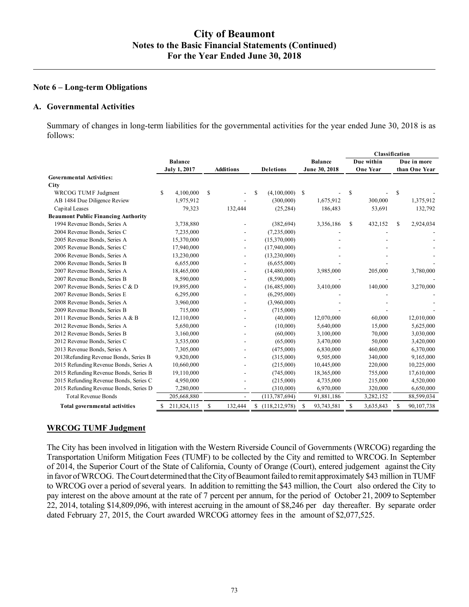#### **Note 6 – Long-term Obligations**

#### **A. Governmental Activities**

Summary of changes in long-term liabilities for the governmental activities for the year ended June 30, 2018 is as follows:

|                                            |                |                     |    |                          |   |                  |                |            |                 | Classification |               |            |
|--------------------------------------------|----------------|---------------------|----|--------------------------|---|------------------|----------------|------------|-----------------|----------------|---------------|------------|
|                                            | <b>Balance</b> |                     |    |                          |   |                  | <b>Balance</b> |            | Due within      | Due in more    |               |            |
|                                            |                | <b>July 1, 2017</b> |    | <b>Additions</b>         |   | <b>Deletions</b> | June 30, 2018  |            | <b>One Year</b> |                | than One Year |            |
| <b>Governmental Activities:</b>            |                |                     |    |                          |   |                  |                |            |                 |                |               |            |
| City                                       |                |                     |    |                          |   |                  |                |            |                 |                |               |            |
| WRCOG TUMF Judgment                        | S.             | 4,100,000           | \$ |                          | S | $(4,100,000)$ \$ |                |            | \$              |                | \$            |            |
| AB 1484 Due Diligence Review               |                | 1,975,912           |    |                          |   | (300,000)        |                | 1,675,912  |                 | 300,000        |               | 1,375,912  |
| Capital Leases                             |                | 79,323              |    | 132,444                  |   | (25, 284)        |                | 186,483    |                 | 53,691         |               | 132,792    |
| <b>Beaumont Public Financing Authority</b> |                |                     |    |                          |   |                  |                |            |                 |                |               |            |
| 1994 Revenue Bonds, Series A               |                | 3,738,880           |    |                          |   | (382, 694)       |                | 3,356,186  | S               | 432,152        | \$            | 2,924,034  |
| 2004 Revenue Bonds, Series C               |                | 7,235,000           |    |                          |   | (7,235,000)      |                |            |                 |                |               |            |
| 2005 Revenue Bonds, Series A               |                | 15,370,000          |    |                          |   | (15,370,000)     |                |            |                 |                |               |            |
| 2005 Revenue Bonds, Series C               |                | 17,940,000          |    |                          |   | (17,940,000)     |                |            |                 |                |               |            |
| 2006 Revenue Bonds, Series A               |                | 13,230,000          |    |                          |   | (13,230,000)     |                |            |                 |                |               |            |
| 2006 Revenue Bonds, Series B               |                | 6,655,000           |    |                          |   | (6,655,000)      |                |            |                 |                |               |            |
| 2007 Revenue Bonds, Series A               |                | 18,465,000          |    |                          |   | (14, 480, 000)   |                | 3,985,000  |                 | 205,000        |               | 3,780,000  |
| 2007 Revenue Bonds, Series B               |                | 8,590,000           |    |                          |   | (8,590,000)      |                |            |                 |                |               |            |
| 2007 Revenue Bonds, Series C & D           |                | 19,895,000          |    |                          |   | (16, 485, 000)   |                | 3,410,000  |                 | 140,000        |               | 3,270,000  |
| 2007 Revenue Bonds, Series E               |                | 6,295,000           |    |                          |   | (6,295,000)      |                |            |                 |                |               |            |
| 2008 Revenue Bonds, Series A               |                | 3,960,000           |    |                          |   | (3,960,000)      |                |            |                 |                |               |            |
| 2009 Revenue Bonds, Series B               |                | 715,000             |    |                          |   | (715,000)        |                |            |                 |                |               |            |
| 2011 Revenue Bonds, Series A & B           |                | 12,110,000          |    |                          |   | (40,000)         |                | 12,070,000 |                 | 60,000         |               | 12,010,000 |
| 2012 Revenue Bonds, Series A               |                | 5,650,000           |    |                          |   | (10,000)         |                | 5,640,000  |                 | 15,000         |               | 5,625,000  |
| 2012 Revenue Bonds, Series B               |                | 3,160,000           |    |                          |   | (60,000)         |                | 3,100,000  |                 | 70,000         |               | 3,030,000  |
| 2012 Revenue Bonds, Series C               |                | 3,535,000           |    |                          |   | (65,000)         |                | 3,470,000  |                 | 50,000         |               | 3,420,000  |
| 2013 Revenue Bonds, Series A               |                | 7,305,000           |    |                          |   | (475,000)        |                | 6,830,000  |                 | 460,000        |               | 6,370,000  |
| 2013Refunding Revenue Bonds, Series B      |                | 9,820,000           |    |                          |   | (315,000)        |                | 9,505,000  |                 | 340,000        |               | 9,165,000  |
| 2015 Refunding Revenue Bonds, Series A     |                | 10,660,000          |    |                          |   | (215,000)        |                | 10,445,000 |                 | 220,000        |               | 10,225,000 |
| 2015 Refunding Revenue Bonds, Series B     |                | 19,110,000          |    |                          |   | (745,000)        |                | 18,365,000 |                 | 755,000        |               | 17,610,000 |
| 2015 Refunding Revenue Bonds, Series C     |                | 4,950,000           |    |                          |   | (215,000)        |                | 4,735,000  |                 | 215,000        |               | 4,520,000  |
| 2015 Refunding Revenue Bonds, Series D     |                | 7,280,000           |    |                          |   | (310,000)        |                | 6,970,000  |                 | 320,000        |               | 6,650,000  |
| <b>Total Revenue Bonds</b>                 |                | 205,668,880         |    | $\overline{\phantom{a}}$ |   | (113, 787, 694)  |                | 91,881,186 |                 | 3,282,152      |               | 88,599,034 |
| <b>Total governmental activities</b>       |                | 211,824,115         | \$ | 132,444                  | S | (118, 212, 978)  | S              | 93,743,581 | \$              | 3,635,843      | \$            | 90,107,738 |

# **WRCOG TUMF Judgment**

The City has been involved in litigation with the Western Riverside Council of Governments (WRCOG) regarding the Transportation Uniform Mitigation Fees (TUMF) to be collected by the City and remitted to WRCOG. In September of 2014, the Superior Court of the State of California, County of Orange (Court), entered judgement against the City in favor of WRCOG. The Court determined that the City of Beaumont failed to remit approximately \$43 million in TUMF to WRCOG over a period of several years. In addition to remitting the \$43 million, the Court also ordered the City to pay interest on the above amount at the rate of 7 percent per annum, for the period of October 21, 2009 to September 22, 2014, totaling \$14,809,096, with interest accruing in the amount of \$8,246 per day thereafter. By separate order dated February 27, 2015, the Court awarded WRCOG attorney fees in the amount of \$2,077,525.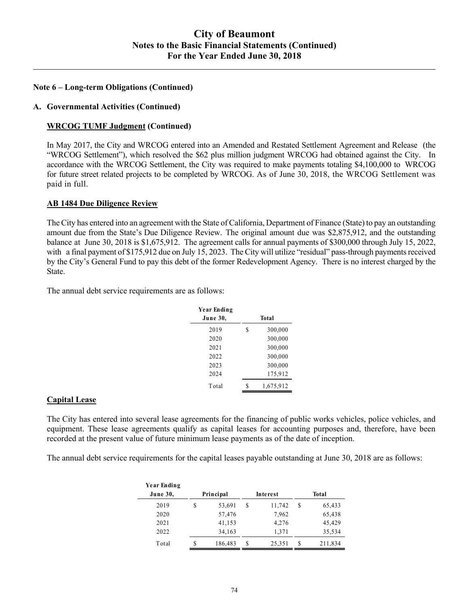#### **A. Governmental Activities (Continued)**

#### **WRCOG TUMF Judgment (Continued)**

In May 2017, the City and WRCOG entered into an Amended and Restated Settlement Agreement and Release (the "WRCOG Settlement"), which resolved the \$62 plus million judgment WRCOG had obtained against the City. In accordance with the WRCOG Settlement, the City was required to make payments totaling \$4,100,000 to WRCOG for future street related projects to be completed by WRCOG. As of June 30, 2018, the WRCOG Settlement was paid in full.

#### **AB 1484 Due Diligence Review**

The City has entered into an agreement with the State of California, Department of Finance (State) to pay an outstanding amount due from the State's Due Diligence Review. The original amount due was \$2,875,912, and the outstanding balance at June 30, 2018 is \$1,675,912. The agreement calls for annual payments of \$300,000 through July 15, 2022, with a final payment of \$175,912 due on July 15, 2023. The City will utilize "residual" pass-through payments received by the City's General Fund to pay this debt of the former Redevelopment Agency. There is no interest charged by the **State** 

The annual debt service requirements are as follows:

| Year Ending<br>June 30, |   | Total     |
|-------------------------|---|-----------|
| 2019                    | S | 300,000   |
| 2020                    |   | 300,000   |
| 2021                    |   | 300,000   |
| 2022                    |   | 300,000   |
| 2023                    |   | 300,000   |
| 2024                    |   | 175,912   |
| Total                   | S | 1,675,912 |
|                         |   |           |

#### **Capital Lease**

The City has entered into several lease agreements for the financing of public works vehicles, police vehicles, and equipment. These lease agreements qualify as capital leases for accounting purposes and, therefore, have been recorded at the present value of future minimum lease payments as of the date of inception.

The annual debt service requirements for the capital leases payable outstanding at June 30, 2018 are as follows:

| Year Ending |   |           |   |          |   |         |
|-------------|---|-----------|---|----------|---|---------|
| June 30,    |   | Principal |   | Interest |   | Total   |
| 2019        | S | 53,691    | S | 11,742   | S | 65,433  |
| 2020        |   | 57,476    |   | 7,962    |   | 65,438  |
| 2021        |   | 41,153    |   | 4,276    |   | 45,429  |
| 2022        |   | 34,163    |   | 1,371    |   | 35,534  |
| Total       | S | 186,483   | S | 25,351   | S | 211,834 |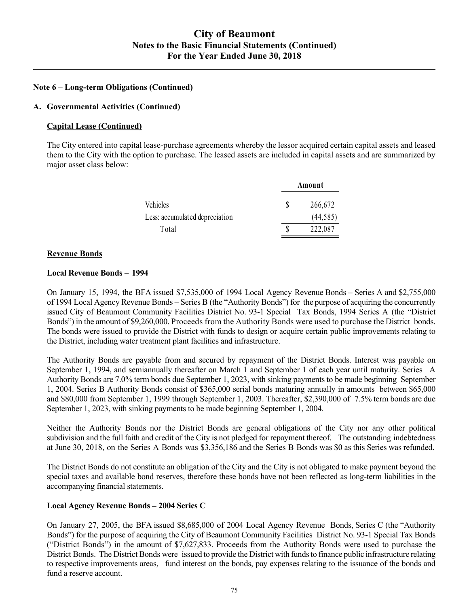#### **A. Governmental Activities (Continued)**

#### **Capital Lease (Continued)**

The City entered into capital lease-purchase agreements whereby the lessor acquired certain capital assets and leased them to the City with the option to purchase. The leased assets are included in capital assets and are summarized by major asset class below:

|                                | Amount |          |  |  |  |
|--------------------------------|--------|----------|--|--|--|
| Vehicles                       | X      | 266,672  |  |  |  |
| Less: accumulated depreciation |        | (44,585) |  |  |  |
| Total                          |        | 222,087  |  |  |  |

#### **Revenue Bonds**

#### **Local Revenue Bonds – 1994**

On January 15, 1994, the BFA issued \$7,535,000 of 1994 Local Agency Revenue Bonds – Series A and \$2,755,000 of 1994 Local Agency Revenue Bonds – Series B (the "Authority Bonds") for the purpose of acquiring the concurrently issued City of Beaumont Community Facilities District No. 93-1 Special Tax Bonds, 1994 Series A (the "District Bonds") in the amount of \$9,260,000. Proceeds from the Authority Bonds were used to purchase the District bonds. The bonds were issued to provide the District with funds to design or acquire certain public improvements relating to the District, including water treatment plant facilities and infrastructure.

The Authority Bonds are payable from and secured by repayment of the District Bonds. Interest was payable on September 1, 1994, and semiannually thereafter on March 1 and September 1 of each year until maturity. Series A Authority Bonds are 7.0% term bonds due September 1, 2023, with sinking payments to be made beginning September 1, 2004. Series B Authority Bonds consist of \$365,000 serial bonds maturing annually in amounts between \$65,000 and \$80,000 from September 1, 1999 through September 1, 2003. Thereafter, \$2,390,000 of 7.5% term bonds are due September 1, 2023, with sinking payments to be made beginning September 1, 2004.

Neither the Authority Bonds nor the District Bonds are general obligations of the City nor any other political subdivision and the full faith and credit of the City is not pledged for repayment thereof. The outstanding indebtedness at June 30, 2018, on the Series A Bonds was \$3,356,186 and the Series B Bonds was \$0 as this Series was refunded.

The District Bonds do not constitute an obligation of the City and the City is not obligated to make payment beyond the special taxes and available bond reserves, therefore these bonds have not been reflected as long-term liabilities in the accompanying financial statements.

# **Local Agency Revenue Bonds – 2004 Series C**

On January 27, 2005, the BFA issued \$8,685,000 of 2004 Local Agency Revenue Bonds, Series C (the "Authority Bonds") for the purpose of acquiring the City of Beaumont Community Facilities District No. 93-1 Special Tax Bonds ("District Bonds") in the amount of \$7,627,833. Proceeds from the Authority Bonds were used to purchase the District Bonds. The District Bonds were issued to provide the District with funds to finance public infrastructure relating to respective improvements areas, fund interest on the bonds, pay expenses relating to the issuance of the bonds and fund a reserve account.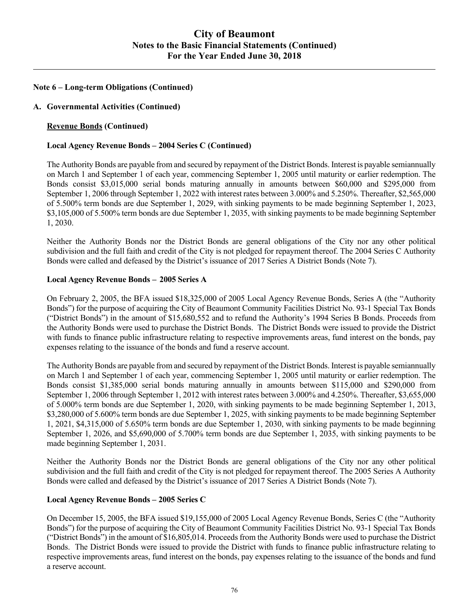# **A. Governmental Activities (Continued)**

# **Revenue Bonds (Continued)**

# **Local Agency Revenue Bonds – 2004 Series C (Continued)**

The Authority Bonds are payable from and secured by repayment of the District Bonds. Interest is payable semiannually on March 1 and September 1 of each year, commencing September 1, 2005 until maturity or earlier redemption. The Bonds consist \$3,015,000 serial bonds maturing annually in amounts between \$60,000 and \$295,000 from September 1, 2006 through September 1, 2022 with interest rates between 3.000% and 5.250%. Thereafter, \$2,565,000 of 5.500% term bonds are due September 1, 2029, with sinking payments to be made beginning September 1, 2023, \$3,105,000 of 5.500% term bonds are due September 1, 2035, with sinking payments to be made beginning September 1, 2030.

Neither the Authority Bonds nor the District Bonds are general obligations of the City nor any other political subdivision and the full faith and credit of the City is not pledged for repayment thereof. The 2004 Series C Authority Bonds were called and defeased by the District's issuance of 2017 Series A District Bonds (Note 7).

# **Local Agency Revenue Bonds – 2005 Series A**

On February 2, 2005, the BFA issued \$18,325,000 of 2005 Local Agency Revenue Bonds, Series A (the "Authority Bonds") for the purpose of acquiring the City of Beaumont Community Facilities District No. 93-1 Special Tax Bonds ("District Bonds") in the amount of \$15,680,552 and to refund the Authority's 1994 Series B Bonds. Proceeds from the Authority Bonds were used to purchase the District Bonds. The District Bonds were issued to provide the District with funds to finance public infrastructure relating to respective improvements areas, fund interest on the bonds, pay expenses relating to the issuance of the bonds and fund a reserve account.

The Authority Bonds are payable from and secured by repayment of the District Bonds. Interest is payable semiannually on March 1 and September 1 of each year, commencing September 1, 2005 until maturity or earlier redemption. The Bonds consist \$1,385,000 serial bonds maturing annually in amounts between \$115,000 and \$290,000 from September 1, 2006 through September 1, 2012 with interest rates between 3.000% and 4.250%. Thereafter, \$3,655,000 of 5.000% term bonds are due September 1, 2020, with sinking payments to be made beginning September 1, 2013, \$3,280,000 of 5.600% term bonds are due September 1, 2025, with sinking payments to be made beginning September 1, 2021, \$4,315,000 of 5.650% term bonds are due September 1, 2030, with sinking payments to be made beginning September 1, 2026, and \$5,690,000 of 5.700% term bonds are due September 1, 2035, with sinking payments to be made beginning September 1, 2031.

Neither the Authority Bonds nor the District Bonds are general obligations of the City nor any other political subdivision and the full faith and credit of the City is not pledged for repayment thereof. The 2005 Series A Authority Bonds were called and defeased by the District's issuance of 2017 Series A District Bonds (Note 7).

# **Local Agency Revenue Bonds – 2005 Series C**

On December 15, 2005, the BFA issued \$19,155,000 of 2005 Local Agency Revenue Bonds, Series C (the "Authority Bonds") for the purpose of acquiring the City of Beaumont Community Facilities District No. 93-1 Special Tax Bonds ("District Bonds") in the amount of \$16,805,014. Proceeds from the Authority Bonds were used to purchase the District Bonds. The District Bonds were issued to provide the District with funds to finance public infrastructure relating to respective improvements areas, fund interest on the bonds, pay expenses relating to the issuance of the bonds and fund a reserve account.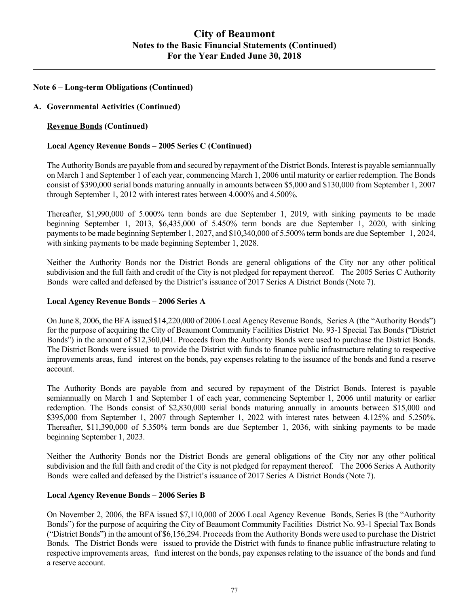# **A. Governmental Activities (Continued)**

# **Revenue Bonds (Continued)**

# **Local Agency Revenue Bonds – 2005 Series C (Continued)**

The Authority Bonds are payable from and secured by repayment of the District Bonds. Interest is payable semiannually on March 1 and September 1 of each year, commencing March 1, 2006 until maturity or earlier redemption. The Bonds consist of \$390,000 serial bonds maturing annually in amounts between \$5,000 and \$130,000 from September 1, 2007 through September 1, 2012 with interest rates between 4.000% and 4.500%.

Thereafter, \$1,990,000 of 5.000% term bonds are due September 1, 2019, with sinking payments to be made beginning September 1, 2013, \$6,435,000 of 5.450% term bonds are due September 1, 2020, with sinking payments to be made beginning September 1, 2027, and \$10,340,000 of 5.500% term bonds are due September 1, 2024, with sinking payments to be made beginning September 1, 2028.

Neither the Authority Bonds nor the District Bonds are general obligations of the City nor any other political subdivision and the full faith and credit of the City is not pledged for repayment thereof. The 2005 Series C Authority Bonds were called and defeased by the District's issuance of 2017 Series A District Bonds (Note 7).

# **Local Agency Revenue Bonds – 2006 Series A**

On June 8, 2006, the BFA issued \$14,220,000 of 2006 Local Agency Revenue Bonds, Series A (the "Authority Bonds") for the purpose of acquiring the City of Beaumont Community Facilities District No. 93-1 Special Tax Bonds ("District Bonds") in the amount of \$12,360,041. Proceeds from the Authority Bonds were used to purchase the District Bonds. The District Bonds were issued to provide the District with funds to finance public infrastructure relating to respective improvements areas, fund interest on the bonds, pay expenses relating to the issuance of the bonds and fund a reserve account.

The Authority Bonds are payable from and secured by repayment of the District Bonds. Interest is payable semiannually on March 1 and September 1 of each year, commencing September 1, 2006 until maturity or earlier redemption. The Bonds consist of \$2,830,000 serial bonds maturing annually in amounts between \$15,000 and \$395,000 from September 1, 2007 through September 1, 2022 with interest rates between 4.125% and 5.250%. Thereafter, \$11,390,000 of 5.350% term bonds are due September 1, 2036, with sinking payments to be made beginning September 1, 2023.

Neither the Authority Bonds nor the District Bonds are general obligations of the City nor any other political subdivision and the full faith and credit of the City is not pledged for repayment thereof. The 2006 Series A Authority Bonds were called and defeased by the District's issuance of 2017 Series A District Bonds (Note 7).

# **Local Agency Revenue Bonds – 2006 Series B**

On November 2, 2006, the BFA issued \$7,110,000 of 2006 Local Agency Revenue Bonds, Series B (the "Authority Bonds") for the purpose of acquiring the City of Beaumont Community Facilities District No. 93-1 Special Tax Bonds ("District Bonds") in the amount of \$6,156,294. Proceeds from the Authority Bonds were used to purchase the District Bonds. The District Bonds were issued to provide the District with funds to finance public infrastructure relating to respective improvements areas, fund interest on the bonds, pay expenses relating to the issuance of the bonds and fund a reserve account.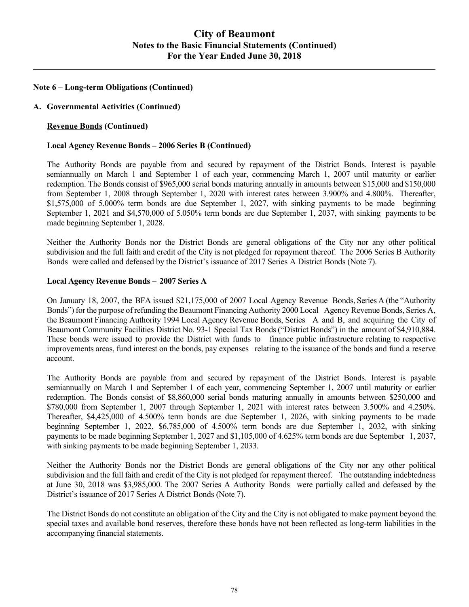#### **A. Governmental Activities (Continued)**

#### **Revenue Bonds (Continued)**

#### **Local Agency Revenue Bonds – 2006 Series B (Continued)**

The Authority Bonds are payable from and secured by repayment of the District Bonds. Interest is payable semiannually on March 1 and September 1 of each year, commencing March 1, 2007 until maturity or earlier redemption. The Bonds consist of \$965,000 serial bonds maturing annually in amounts between \$15,000 and \$150,000 from September 1, 2008 through September 1, 2020 with interest rates between 3.900% and 4.800%. Thereafter, \$1,575,000 of 5.000% term bonds are due September 1, 2027, with sinking payments to be made beginning September 1, 2021 and \$4,570,000 of 5.050% term bonds are due September 1, 2037, with sinking payments to be made beginning September 1, 2028.

Neither the Authority Bonds nor the District Bonds are general obligations of the City nor any other political subdivision and the full faith and credit of the City is not pledged for repayment thereof. The 2006 Series B Authority Bonds were called and defeased by the District's issuance of 2017 Series A District Bonds (Note 7).

#### **Local Agency Revenue Bonds – 2007 Series A**

On January 18, 2007, the BFA issued \$21,175,000 of 2007 Local Agency Revenue Bonds, Series A (the "Authority Bonds") for the purpose of refunding the Beaumont Financing Authority 2000 Local Agency Revenue Bonds, Series A, the Beaumont Financing Authority 1994 Local Agency Revenue Bonds, Series A and B, and acquiring the City of Beaumont Community Facilities District No. 93-1 Special Tax Bonds ("District Bonds") in the amount of \$4,910,884. These bonds were issued to provide the District with funds to finance public infrastructure relating to respective improvements areas, fund interest on the bonds, pay expenses relating to the issuance of the bonds and fund a reserve account.

The Authority Bonds are payable from and secured by repayment of the District Bonds. Interest is payable semiannually on March 1 and September 1 of each year, commencing September 1, 2007 until maturity or earlier redemption. The Bonds consist of \$8,860,000 serial bonds maturing annually in amounts between \$250,000 and \$780,000 from September 1, 2007 through September 1, 2021 with interest rates between 3.500% and 4.250%. Thereafter, \$4,425,000 of 4.500% term bonds are due September 1, 2026, with sinking payments to be made beginning September 1, 2022, \$6,785,000 of 4.500% term bonds are due September 1, 2032, with sinking payments to be made beginning September 1, 2027 and \$1,105,000 of 4.625% term bonds are due September 1, 2037, with sinking payments to be made beginning September 1, 2033.

Neither the Authority Bonds nor the District Bonds are general obligations of the City nor any other political subdivision and the full faith and credit of the City is not pledged for repayment thereof. The outstanding indebtedness at June 30, 2018 was \$3,985,000. The 2007 Series A Authority Bonds were partially called and defeased by the District's issuance of 2017 Series A District Bonds (Note 7).

The District Bonds do not constitute an obligation of the City and the City is not obligated to make payment beyond the special taxes and available bond reserves, therefore these bonds have not been reflected as long-term liabilities in the accompanying financial statements.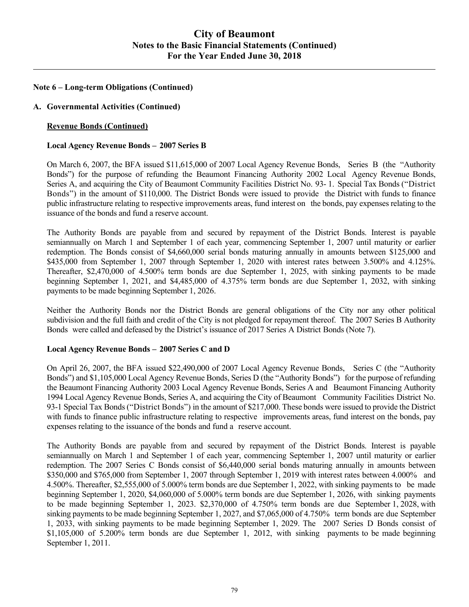#### **A. Governmental Activities (Continued)**

#### **Revenue Bonds (Continued)**

#### **Local Agency Revenue Bonds – 2007 Series B**

On March 6, 2007, the BFA issued \$11,615,000 of 2007 Local Agency Revenue Bonds, Series B (the "Authority Bonds") for the purpose of refunding the Beaumont Financing Authority 2002 Local Agency Revenue Bonds, Series A, and acquiring the City of Beaumont Community Facilities District No. 93- 1. Special Tax Bonds ("District Bonds") in the amount of \$110,000. The District Bonds were issued to provide the District with funds to finance public infrastructure relating to respective improvements areas, fund interest on the bonds, pay expenses relating to the issuance of the bonds and fund a reserve account.

The Authority Bonds are payable from and secured by repayment of the District Bonds. Interest is payable semiannually on March 1 and September 1 of each year, commencing September 1, 2007 until maturity or earlier redemption. The Bonds consist of \$4,660,000 serial bonds maturing annually in amounts between \$125,000 and \$435,000 from September 1, 2007 through September 1, 2020 with interest rates between 3.500% and 4.125%. Thereafter, \$2,470,000 of 4.500% term bonds are due September 1, 2025, with sinking payments to be made beginning September 1, 2021, and \$4,485,000 of 4.375% term bonds are due September 1, 2032, with sinking payments to be made beginning September 1, 2026.

Neither the Authority Bonds nor the District Bonds are general obligations of the City nor any other political subdivision and the full faith and credit of the City is not pledged for repayment thereof. The 2007 Series B Authority Bonds were called and defeased by the District's issuance of 2017 Series A District Bonds (Note 7).

#### **Local Agency Revenue Bonds – 2007 Series C and D**

On April 26, 2007, the BFA issued \$22,490,000 of 2007 Local Agency Revenue Bonds, Series C (the "Authority Bonds") and \$1,105,000 Local Agency Revenue Bonds, Series D (the "Authority Bonds") for the purpose of refunding the Beaumont Financing Authority 2003 Local Agency Revenue Bonds, Series A and Beaumont Financing Authority 1994 Local Agency Revenue Bonds, Series A, and acquiring the City of Beaumont Community Facilities District No. 93-1 Special Tax Bonds ("District Bonds") in the amount of \$217,000. These bonds were issued to provide the District with funds to finance public infrastructure relating to respective improvements areas, fund interest on the bonds, pay expenses relating to the issuance of the bonds and fund a reserve account.

The Authority Bonds are payable from and secured by repayment of the District Bonds. Interest is payable semiannually on March 1 and September 1 of each year, commencing September 1, 2007 until maturity or earlier redemption. The 2007 Series C Bonds consist of \$6,440,000 serial bonds maturing annually in amounts between \$350,000 and \$765,000 from September 1, 2007 through September 1, 2019 with interest rates between 4.000% and 4.500%. Thereafter, \$2,555,000 of 5.000% term bonds are due September 1, 2022, with sinking payments to be made beginning September 1, 2020, \$4,060,000 of 5.000% term bonds are due September 1, 2026, with sinking payments to be made beginning September 1, 2023. \$2,370,000 of 4.750% term bonds are due September 1, 2028, with sinking payments to be made beginning September 1, 2027, and \$7,065,000 of 4.750% term bonds are due September 1, 2033, with sinking payments to be made beginning September 1, 2029. The 2007 Series D Bonds consist of \$1,105,000 of 5.200% term bonds are due September 1, 2012, with sinking payments to be made beginning September 1, 2011.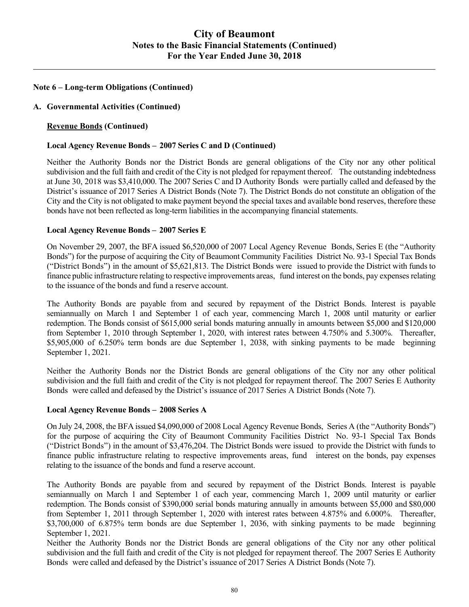#### **A. Governmental Activities (Continued)**

#### **Revenue Bonds (Continued)**

#### **Local Agency Revenue Bonds – 2007 Series C and D (Continued)**

Neither the Authority Bonds nor the District Bonds are general obligations of the City nor any other political subdivision and the full faith and credit of the City is not pledged for repayment thereof. The outstanding indebtedness at June 30, 2018 was \$3,410,000. The 2007 Series C and D Authority Bonds were partially called and defeased by the District's issuance of 2017 Series A District Bonds (Note 7). The District Bonds do not constitute an obligation of the City and the City is not obligated to make payment beyond the special taxes and available bond reserves, therefore these bonds have not been reflected as long-term liabilities in the accompanying financial statements.

#### **Local Agency Revenue Bonds – 2007 Series E**

On November 29, 2007, the BFA issued \$6,520,000 of 2007 Local Agency Revenue Bonds, Series E (the "Authority Bonds") for the purpose of acquiring the City of Beaumont Community Facilities District No. 93-1 Special Tax Bonds ("District Bonds") in the amount of \$5,621,813. The District Bonds were issued to provide the District with funds to finance public infrastructure relating to respective improvements areas, fund interest on the bonds, pay expenses relating to the issuance of the bonds and fund a reserve account.

The Authority Bonds are payable from and secured by repayment of the District Bonds. Interest is payable semiannually on March 1 and September 1 of each year, commencing March 1, 2008 until maturity or earlier redemption. The Bonds consist of \$615,000 serial bonds maturing annually in amounts between \$5,000 and \$120,000 from September 1, 2010 through September 1, 2020, with interest rates between 4.750% and 5.300%. Thereafter, \$5,905,000 of 6.250% term bonds are due September 1, 2038, with sinking payments to be made beginning September 1, 2021.

Neither the Authority Bonds nor the District Bonds are general obligations of the City nor any other political subdivision and the full faith and credit of the City is not pledged for repayment thereof. The 2007 Series E Authority Bonds were called and defeased by the District's issuance of 2017 Series A District Bonds (Note 7).

#### **Local Agency Revenue Bonds – 2008 Series A**

On July 24, 2008, the BFA issued \$4,090,000 of 2008 Local Agency Revenue Bonds, Series A (the "Authority Bonds") for the purpose of acquiring the City of Beaumont Community Facilities District No. 93-1 Special Tax Bonds ("District Bonds") in the amount of \$3,476,204. The District Bonds were issued to provide the District with funds to finance public infrastructure relating to respective improvements areas, fund interest on the bonds, pay expenses relating to the issuance of the bonds and fund a reserve account.

The Authority Bonds are payable from and secured by repayment of the District Bonds. Interest is payable semiannually on March 1 and September 1 of each year, commencing March 1, 2009 until maturity or earlier redemption. The Bonds consist of \$390,000 serial bonds maturing annually in amounts between \$5,000 and \$80,000 from September 1, 2011 through September 1, 2020 with interest rates between 4.875% and 6.000%. Thereafter, \$3,700,000 of 6.875% term bonds are due September 1, 2036, with sinking payments to be made beginning September 1, 2021.

Neither the Authority Bonds nor the District Bonds are general obligations of the City nor any other political subdivision and the full faith and credit of the City is not pledged for repayment thereof. The 2007 Series E Authority Bonds were called and defeased by the District's issuance of 2017 Series A District Bonds (Note 7).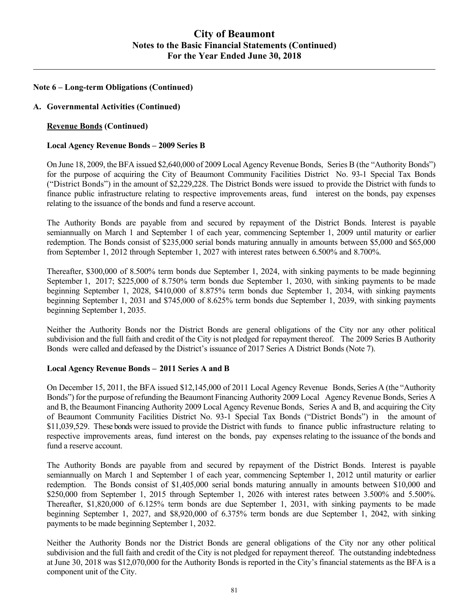# **A. Governmental Activities (Continued)**

# **Revenue Bonds (Continued)**

# **Local Agency Revenue Bonds – 2009 Series B**

On June 18, 2009, the BFA issued \$2,640,000 of 2009 Local Agency Revenue Bonds, Series B (the "Authority Bonds") for the purpose of acquiring the City of Beaumont Community Facilities District No. 93-1 Special Tax Bonds ("District Bonds") in the amount of \$2,229,228. The District Bonds were issued to provide the District with funds to finance public infrastructure relating to respective improvements areas, fund interest on the bonds, pay expenses relating to the issuance of the bonds and fund a reserve account.

The Authority Bonds are payable from and secured by repayment of the District Bonds. Interest is payable semiannually on March 1 and September 1 of each year, commencing September 1, 2009 until maturity or earlier redemption. The Bonds consist of \$235,000 serial bonds maturing annually in amounts between \$5,000 and \$65,000 from September 1, 2012 through September 1, 2027 with interest rates between 6.500% and 8.700%.

Thereafter, \$300,000 of 8.500% term bonds due September 1, 2024, with sinking payments to be made beginning September 1, 2017; \$225,000 of 8.750% term bonds due September 1, 2030, with sinking payments to be made beginning September 1, 2028, \$410,000 of 8.875% term bonds due September 1, 2034, with sinking payments beginning September 1, 2031 and \$745,000 of 8.625% term bonds due September 1, 2039, with sinking payments beginning September 1, 2035.

Neither the Authority Bonds nor the District Bonds are general obligations of the City nor any other political subdivision and the full faith and credit of the City is not pledged for repayment thereof. The 2009 Series B Authority Bonds were called and defeased by the District's issuance of 2017 Series A District Bonds (Note 7).

# **Local Agency Revenue Bonds – 2011 Series A and B**

On December 15, 2011, the BFA issued \$12,145,000 of 2011 Local Agency Revenue Bonds, Series A (the "Authority Bonds") for the purpose of refunding the Beaumont Financing Authority 2009 Local Agency Revenue Bonds, Series A and B, the Beaumont Financing Authority 2009 Local Agency Revenue Bonds, Series A and B, and acquiring the City of Beaumont Community Facilities District No. 93-1 Special Tax Bonds ("District Bonds") in the amount of \$11,039,529. These bonds were issued to provide the District with funds to finance public infrastructure relating to respective improvements areas, fund interest on the bonds, pay expenses relating to the issuance of the bonds and fund a reserve account.

The Authority Bonds are payable from and secured by repayment of the District Bonds. Interest is payable semiannually on March 1 and September 1 of each year, commencing September 1, 2012 until maturity or earlier redemption. The Bonds consist of \$1,405,000 serial bonds maturing annually in amounts between \$10,000 and \$250,000 from September 1, 2015 through September 1, 2026 with interest rates between 3.500% and 5.500%. Thereafter, \$1,820,000 of 6.125% term bonds are due September 1, 2031, with sinking payments to be made beginning September 1, 2027, and \$8,920,000 of 6.375% term bonds are due September 1, 2042, with sinking payments to be made beginning September 1, 2032.

Neither the Authority Bonds nor the District Bonds are general obligations of the City nor any other political subdivision and the full faith and credit of the City is not pledged for repayment thereof. The outstanding indebtedness at June 30, 2018 was \$12,070,000 for the Authority Bonds is reported in the City's financial statements as the BFA is a component unit of the City.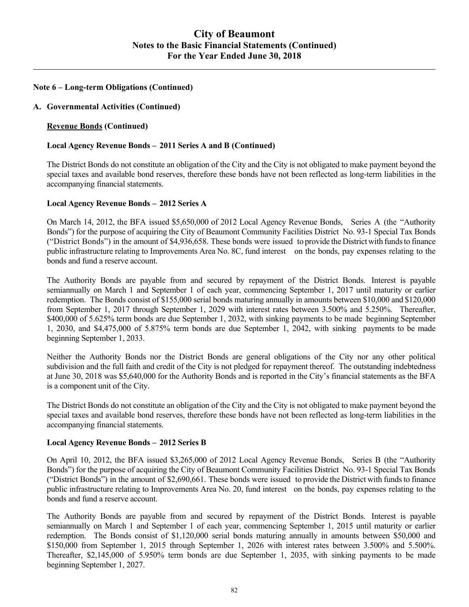# **A. Governmental Activities (Continued)**

# **Revenue Bonds (Continued)**

# **Local Agency Revenue Bonds – 2011 Series A and B (Continued)**

The District Bonds do not constitute an obligation of the City and the City is not obligated to make payment beyond the special taxes and available bond reserves, therefore these bonds have not been reflected as long-term liabilities in the accompanying financial statements.

# **Local Agency Revenue Bonds – 2012 Series A**

On March 14, 2012, the BFA issued \$5,650,000 of 2012 Local Agency Revenue Bonds, Series A (the "Authority Bonds") for the purpose of acquiring the City of Beaumont Community Facilities District No. 93-1 Special Tax Bonds ("District Bonds") in the amount of \$4,936,658. These bonds were issued to provide the District with funds to finance public infrastructure relating to Improvements Area No. 8C, fund interest on the bonds, pay expenses relating to the bonds and fund a reserve account.

The Authority Bonds are payable from and secured by repayment of the District Bonds. Interest is payable semiannually on March 1 and September 1 of each year, commencing September 1, 2017 until maturity or earlier redemption. The Bonds consist of \$155,000 serial bonds maturing annually in amounts between \$10,000 and \$120,000 from September 1, 2017 through September 1, 2029 with interest rates between 3.500% and 5.250%. Thereafter, \$400,000 of 5.625% term bonds are due September 1, 2032, with sinking payments to be made beginning September 1, 2030, and \$4,475,000 of 5.875% term bonds are due September 1, 2042, with sinking payments to be made beginning September 1, 2033.

Neither the Authority Bonds nor the District Bonds are general obligations of the City nor any other political subdivision and the full faith and credit of the City is not pledged for repayment thereof. The outstanding indebtedness at June 30, 2018 was \$5,640,000 for the Authority Bonds and is reported in the City's financial statements as the BFA is a component unit of the City.

The District Bonds do not constitute an obligation of the City and the City is not obligated to make payment beyond the special taxes and available bond reserves, therefore these bonds have not been reflected as long-term liabilities in the accompanying financial statements.

# **Local Agency Revenue Bonds – 2012 Series B**

On April 10, 2012, the BFA issued \$3,265,000 of 2012 Local Agency Revenue Bonds, Series B (the "Authority Bonds") for the purpose of acquiring the City of Beaumont Community Facilities District No. 93-1 Special Tax Bonds ("District Bonds") in the amount of \$2,690,661. These bonds were issued to provide the District with funds to finance public infrastructure relating to Improvements Area No. 20, fund interest on the bonds, pay expenses relating to the bonds and fund a reserve account.

The Authority Bonds are payable from and secured by repayment of the District Bonds. Interest is payable semiannually on March 1 and September 1 of each year, commencing September 1, 2015 until maturity or earlier redemption. The Bonds consist of \$1,120,000 serial bonds maturing annually in amounts between \$50,000 and \$150,000 from September 1, 2015 through September 1, 2026 with interest rates between 3.500% and 5.500%. Thereafter, \$2,145,000 of 5.950% term bonds are due September 1, 2035, with sinking payments to be made beginning September 1, 2027.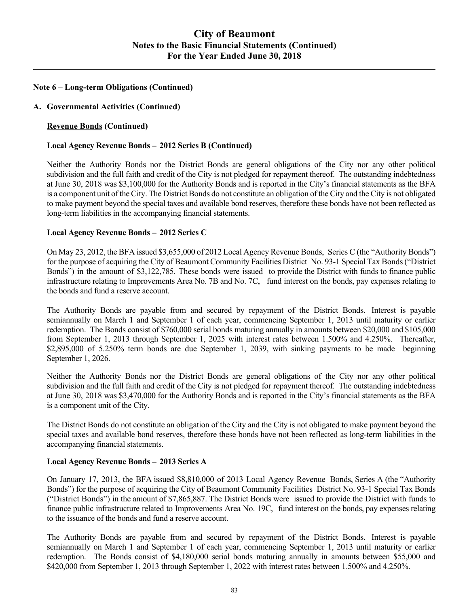# **A. Governmental Activities (Continued)**

# **Revenue Bonds (Continued)**

# **Local Agency Revenue Bonds – 2012 Series B (Continued)**

Neither the Authority Bonds nor the District Bonds are general obligations of the City nor any other political subdivision and the full faith and credit of the City is not pledged for repayment thereof. The outstanding indebtedness at June 30, 2018 was \$3,100,000 for the Authority Bonds and is reported in the City's financial statements as the BFA is a component unit of the City. The District Bonds do not constitute an obligation of the City and the City is not obligated to make payment beyond the special taxes and available bond reserves, therefore these bonds have not been reflected as long-term liabilities in the accompanying financial statements.

# **Local Agency Revenue Bonds – 2012 Series C**

On May 23, 2012, the BFA issued \$3,655,000 of 2012 Local Agency Revenue Bonds, Series C (the "Authority Bonds") for the purpose of acquiring the City of Beaumont Community Facilities District No. 93-1 Special Tax Bonds ("District Bonds") in the amount of \$3,122,785. These bonds were issued to provide the District with funds to finance public infrastructure relating to Improvements Area No. 7B and No. 7C, fund interest on the bonds, pay expenses relating to the bonds and fund a reserve account.

The Authority Bonds are payable from and secured by repayment of the District Bonds. Interest is payable semiannually on March 1 and September 1 of each year, commencing September 1, 2013 until maturity or earlier redemption. The Bonds consist of \$760,000 serial bonds maturing annually in amounts between \$20,000 and \$105,000 from September 1, 2013 through September 1, 2025 with interest rates between 1.500% and 4.250%. Thereafter, \$2,895,000 of 5.250% term bonds are due September 1, 2039, with sinking payments to be made beginning September 1, 2026.

Neither the Authority Bonds nor the District Bonds are general obligations of the City nor any other political subdivision and the full faith and credit of the City is not pledged for repayment thereof. The outstanding indebtedness at June 30, 2018 was \$3,470,000 for the Authority Bonds and is reported in the City's financial statements as the BFA is a component unit of the City.

The District Bonds do not constitute an obligation of the City and the City is not obligated to make payment beyond the special taxes and available bond reserves, therefore these bonds have not been reflected as long-term liabilities in the accompanying financial statements.

# **Local Agency Revenue Bonds – 2013 Series A**

On January 17, 2013, the BFA issued \$8,810,000 of 2013 Local Agency Revenue Bonds, Series A (the "Authority Bonds") for the purpose of acquiring the City of Beaumont Community Facilities District No. 93-1 Special Tax Bonds ("District Bonds") in the amount of \$7,865,887. The District Bonds were issued to provide the District with funds to finance public infrastructure related to Improvements Area No. 19C, fund interest on the bonds, pay expenses relating to the issuance of the bonds and fund a reserve account.

The Authority Bonds are payable from and secured by repayment of the District Bonds. Interest is payable semiannually on March 1 and September 1 of each year, commencing September 1, 2013 until maturity or earlier redemption. The Bonds consist of \$4,180,000 serial bonds maturing annually in amounts between \$55,000 and \$420,000 from September 1, 2013 through September 1, 2022 with interest rates between 1.500% and 4.250%.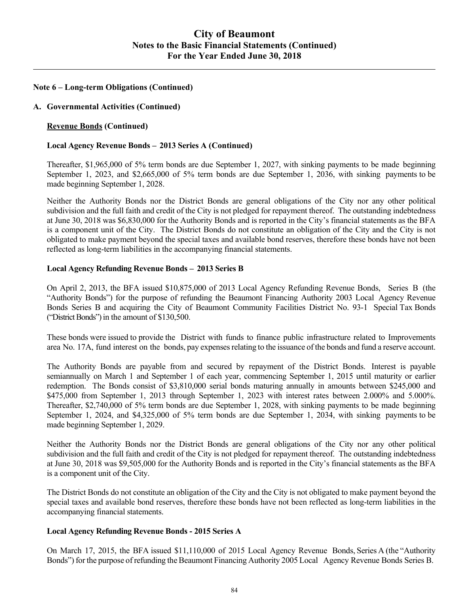#### **A. Governmental Activities (Continued)**

#### **Revenue Bonds (Continued)**

#### **Local Agency Revenue Bonds – 2013 Series A (Continued)**

Thereafter, \$1,965,000 of 5% term bonds are due September 1, 2027, with sinking payments to be made beginning September 1, 2023, and \$2,665,000 of 5% term bonds are due September 1, 2036, with sinking payments to be made beginning September 1, 2028.

Neither the Authority Bonds nor the District Bonds are general obligations of the City nor any other political subdivision and the full faith and credit of the City is not pledged for repayment thereof. The outstanding indebtedness at June 30, 2018 was \$6,830,000 for the Authority Bonds and is reported in the City's financial statements as the BFA is a component unit of the City. The District Bonds do not constitute an obligation of the City and the City is not obligated to make payment beyond the special taxes and available bond reserves, therefore these bonds have not been reflected as long-term liabilities in the accompanying financial statements.

#### **Local Agency Refunding Revenue Bonds – 2013 Series B**

On April 2, 2013, the BFA issued \$10,875,000 of 2013 Local Agency Refunding Revenue Bonds, Series B (the "Authority Bonds") for the purpose of refunding the Beaumont Financing Authority 2003 Local Agency Revenue Bonds Series B and acquiring the City of Beaumont Community Facilities District No. 93-1 Special Tax Bonds ("District Bonds") in the amount of \$130,500.

These bonds were issued to provide the District with funds to finance public infrastructure related to Improvements area No. 17A, fund interest on the bonds, pay expenses relating to the issuance of the bonds and fund a reserve account.

The Authority Bonds are payable from and secured by repayment of the District Bonds. Interest is payable semiannually on March 1 and September 1 of each year, commencing September 1, 2015 until maturity or earlier redemption. The Bonds consist of \$3,810,000 serial bonds maturing annually in amounts between \$245,000 and \$475,000 from September 1, 2013 through September 1, 2023 with interest rates between 2.000% and 5.000%. Thereafter, \$2,740,000 of 5% term bonds are due September 1, 2028, with sinking payments to be made beginning September 1, 2024, and \$4,325,000 of 5% term bonds are due September 1, 2034, with sinking payments to be made beginning September 1, 2029.

Neither the Authority Bonds nor the District Bonds are general obligations of the City nor any other political subdivision and the full faith and credit of the City is not pledged for repayment thereof. The outstanding indebtedness at June 30, 2018 was \$9,505,000 for the Authority Bonds and is reported in the City's financial statements as the BFA is a component unit of the City.

The District Bonds do not constitute an obligation of the City and the City is not obligated to make payment beyond the special taxes and available bond reserves, therefore these bonds have not been reflected as long-term liabilities in the accompanying financial statements.

# **Local Agency Refunding Revenue Bonds - 2015 Series A**

On March 17, 2015, the BFA issued \$11,110,000 of 2015 Local Agency Revenue Bonds, Series A (the "Authority Bonds") for the purpose of refunding the Beaumont Financing Authority 2005 Local Agency Revenue Bonds Series B.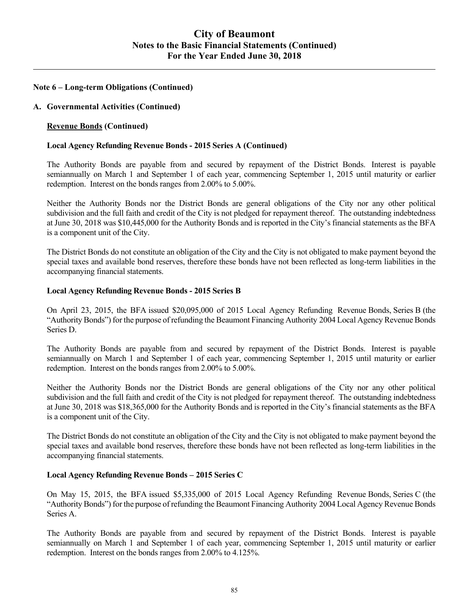#### **A. Governmental Activities (Continued)**

#### **Revenue Bonds (Continued)**

#### **Local Agency Refunding Revenue Bonds - 2015 Series A (Continued)**

The Authority Bonds are payable from and secured by repayment of the District Bonds. Interest is payable semiannually on March 1 and September 1 of each year, commencing September 1, 2015 until maturity or earlier redemption. Interest on the bonds ranges from 2.00% to 5.00%.

Neither the Authority Bonds nor the District Bonds are general obligations of the City nor any other political subdivision and the full faith and credit of the City is not pledged for repayment thereof. The outstanding indebtedness at June 30, 2018 was \$10,445,000 for the Authority Bonds and is reported in the City's financial statements as the BFA is a component unit of the City.

The District Bonds do not constitute an obligation of the City and the City is not obligated to make payment beyond the special taxes and available bond reserves, therefore these bonds have not been reflected as long-term liabilities in the accompanying financial statements.

#### **Local Agency Refunding Revenue Bonds - 2015 Series B**

On April 23, 2015, the BFA issued \$20,095,000 of 2015 Local Agency Refunding Revenue Bonds, Series B (the "Authority Bonds") for the purpose of refunding the Beaumont Financing Authority 2004 Local Agency Revenue Bonds Series D.

The Authority Bonds are payable from and secured by repayment of the District Bonds. Interest is payable semiannually on March 1 and September 1 of each year, commencing September 1, 2015 until maturity or earlier redemption. Interest on the bonds ranges from 2.00% to 5.00%.

Neither the Authority Bonds nor the District Bonds are general obligations of the City nor any other political subdivision and the full faith and credit of the City is not pledged for repayment thereof. The outstanding indebtedness at June 30, 2018 was \$18,365,000 for the Authority Bonds and is reported in the City's financial statements as the BFA is a component unit of the City.

The District Bonds do not constitute an obligation of the City and the City is not obligated to make payment beyond the special taxes and available bond reserves, therefore these bonds have not been reflected as long-term liabilities in the accompanying financial statements.

# **Local Agency Refunding Revenue Bonds – 2015 Series C**

On May 15, 2015, the BFA issued \$5,335,000 of 2015 Local Agency Refunding Revenue Bonds, Series C (the "Authority Bonds") for the purpose of refunding the Beaumont Financing Authority 2004 Local Agency Revenue Bonds Series A.

The Authority Bonds are payable from and secured by repayment of the District Bonds. Interest is payable semiannually on March 1 and September 1 of each year, commencing September 1, 2015 until maturity or earlier redemption. Interest on the bonds ranges from 2.00% to 4.125%.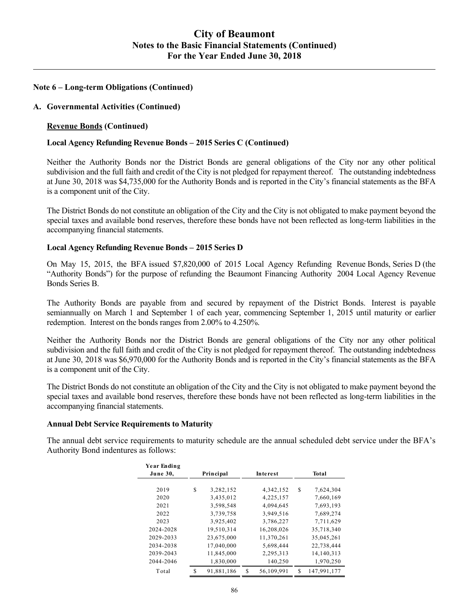#### **A. Governmental Activities (Continued)**

#### **Revenue Bonds (Continued)**

#### **Local Agency Refunding Revenue Bonds – 2015 Series C (Continued)**

Neither the Authority Bonds nor the District Bonds are general obligations of the City nor any other political subdivision and the full faith and credit of the City is not pledged for repayment thereof. The outstanding indebtedness at June 30, 2018 was \$4,735,000 for the Authority Bonds and is reported in the City's financial statements as the BFA is a component unit of the City.

The District Bonds do not constitute an obligation of the City and the City is not obligated to make payment beyond the special taxes and available bond reserves, therefore these bonds have not been reflected as long-term liabilities in the accompanying financial statements.

#### **Local Agency Refunding Revenue Bonds – 2015 Series D**

On May 15, 2015, the BFA issued \$7,820,000 of 2015 Local Agency Refunding Revenue Bonds, Series D (the "Authority Bonds") for the purpose of refunding the Beaumont Financing Authority 2004 Local Agency Revenue Bonds Series B.

The Authority Bonds are payable from and secured by repayment of the District Bonds. Interest is payable semiannually on March 1 and September 1 of each year, commencing September 1, 2015 until maturity or earlier redemption. Interest on the bonds ranges from 2.00% to 4.250%.

Neither the Authority Bonds nor the District Bonds are general obligations of the City nor any other political subdivision and the full faith and credit of the City is not pledged for repayment thereof. The outstanding indebtedness at June 30, 2018 was \$6,970,000 for the Authority Bonds and is reported in the City's financial statements as the BFA is a component unit of the City.

The District Bonds do not constitute an obligation of the City and the City is not obligated to make payment beyond the special taxes and available bond reserves, therefore these bonds have not been reflected as long-term liabilities in the accompanying financial statements.

#### **Annual Debt Service Requirements to Maturity**

The annual debt service requirements to maturity schedule are the annual scheduled debt service under the BFA's Authority Bond indentures as follows:

| Year Ending     |    |            |   |            |   |             |
|-----------------|----|------------|---|------------|---|-------------|
| <b>June 30,</b> |    | Principal  |   | Interest   |   | Total       |
|                 |    |            |   |            |   |             |
| 2019            | \$ | 3,282,152  |   | 4,342,152  | S | 7,624,304   |
| 2020            |    | 3,435,012  |   | 4,225,157  |   | 7,660,169   |
| 2021            |    | 3,598,548  |   | 4,094,645  |   | 7,693,193   |
| 2022            |    | 3,739,758  |   | 3,949,516  |   | 7,689,274   |
| 2023            |    | 3,925,402  |   | 3,786,227  |   | 7,711,629   |
| 2024-2028       |    | 19,510,314 |   | 16,208,026 |   | 35,718,340  |
| 2029-2033       |    | 23,675,000 |   | 11,370,261 |   | 35,045,261  |
| 2034-2038       |    | 17,040,000 |   | 5,698,444  |   | 22,738,444  |
| 2039-2043       |    | 11,845,000 |   | 2,295,313  |   | 14,140,313  |
| 2044-2046       |    | 1,830,000  |   | 140,250    |   | 1,970,250   |
| Total           | S  | 91,881,186 | S | 56,109,991 | S | 147,991,177 |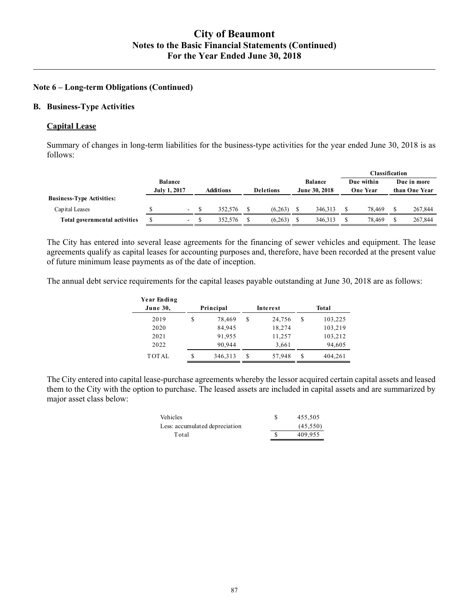#### **B. Business-Type Activities**

# **Capital Lease**

Summary of changes in long-term liabilities for the business-type activities for the year ended June 30, 2018 is as follows:

|                                  |                     |                          |                  |                  |  |                      | <b>Classification</b> |                 |  |               |
|----------------------------------|---------------------|--------------------------|------------------|------------------|--|----------------------|-----------------------|-----------------|--|---------------|
|                                  | <b>Balance</b>      |                          |                  |                  |  | <b>Balance</b>       |                       | Due within      |  | Due in more   |
|                                  | <b>July 1, 2017</b> |                          | <b>Additions</b> | <b>Deletions</b> |  | <b>June 30, 2018</b> |                       | <b>One Year</b> |  | than One Year |
| <b>Business-Type Activities:</b> |                     |                          |                  |                  |  |                      |                       |                 |  |               |
| Capital Leases                   |                     | <b>Contract Contract</b> | 352.576          | (6.263)          |  | 346.313              |                       | 78.469          |  | 267,844       |
| Total governmental activities    |                     | $\sim$                   | 352.576          | (6,263)          |  | 346.313              |                       | 78.469          |  | 267,844       |

The City has entered into several lease agreements for the financing of sewer vehicles and equipment. The lease agreements qualify as capital leases for accounting purposes and, therefore, have been recorded at the present value of future minimum lease payments as of the date of inception.

The annual debt service requirements for the capital leases payable outstanding at June 30, 2018 are as follows:

| Year Ending<br>June 30, |   | Principal |   | Interest |   | <b>Total</b> |
|-------------------------|---|-----------|---|----------|---|--------------|
| 2019                    | S | 78,469    | S | 24,756   | S | 103,225      |
| 2020                    |   | 84,945    |   | 18,274   |   | 103,219      |
| 2021                    |   | 91,955    |   | 11,257   |   | 103,212      |
| 2022                    |   | 90.944    |   | 3,661    |   | 94,605       |
| TOTAL                   | S | 346,313   | ς | 57,948   | S | 404,261      |

The City entered into capital lease-purchase agreements whereby the lessor acquired certain capital assets and leased them to the City with the option to purchase. The leased assets are included in capital assets and are summarized by major asset class below:

| Vehicles                       | S | 455,505   |
|--------------------------------|---|-----------|
| Less: accumulated depreciation |   | (45, 550) |
| Total                          |   | 409.955   |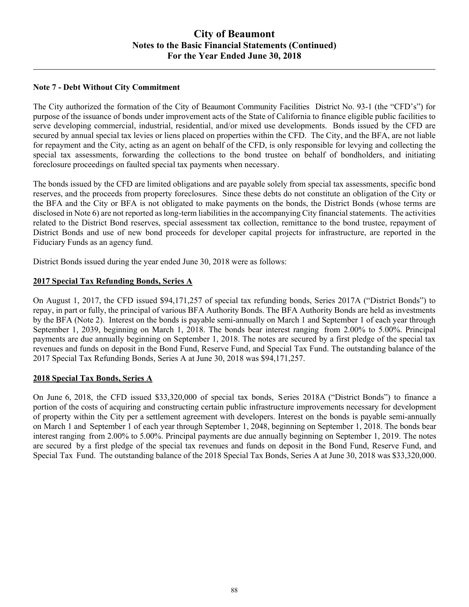# **Note 7 - Debt Without City Commitment**

The City authorized the formation of the City of Beaumont Community Facilities District No. 93-1 (the "CFD's") for purpose of the issuance of bonds under improvement acts of the State of California to finance eligible public facilities to serve developing commercial, industrial, residential, and/or mixed use developments. Bonds issued by the CFD are secured by annual special tax levies or liens placed on properties within the CFD. The City, and the BFA, are not liable for repayment and the City, acting as an agent on behalf of the CFD, is only responsible for levying and collecting the special tax assessments, forwarding the collections to the bond trustee on behalf of bondholders, and initiating foreclosure proceedings on faulted special tax payments when necessary.

The bonds issued by the CFD are limited obligations and are payable solely from special tax assessments, specific bond reserves, and the proceeds from property foreclosures. Since these debts do not constitute an obligation of the City or the BFA and the City or BFA is not obligated to make payments on the bonds, the District Bonds (whose terms are disclosed in Note 6) are not reported as long-term liabilities in the accompanying City financial statements. The activities related to the District Bond reserves, special assessment tax collection, remittance to the bond trustee, repayment of District Bonds and use of new bond proceeds for developer capital projects for infrastructure, are reported in the Fiduciary Funds as an agency fund.

District Bonds issued during the year ended June 30, 2018 were as follows:

# **2017 Special Tax Refunding Bonds, Series A**

On August 1, 2017, the CFD issued \$94,171,257 of special tax refunding bonds, Series 2017A ("District Bonds") to repay, in part or fully, the principal of various BFA Authority Bonds. The BFA Authority Bonds are held as investments by the BFA (Note 2). Interest on the bonds is payable semi-annually on March 1 and September 1 of each year through September 1, 2039, beginning on March 1, 2018. The bonds bear interest ranging from 2.00% to 5.00%. Principal payments are due annually beginning on September 1, 2018. The notes are secured by a first pledge of the special tax revenues and funds on deposit in the Bond Fund, Reserve Fund, and Special Tax Fund. The outstanding balance of the 2017 Special Tax Refunding Bonds, Series A at June 30, 2018 was \$94,171,257.

# **2018 Special Tax Bonds, Series A**

On June 6, 2018, the CFD issued \$33,320,000 of special tax bonds, Series 2018A ("District Bonds") to finance a portion of the costs of acquiring and constructing certain public infrastructure improvements necessary for development of property within the City per a settlement agreement with developers. Interest on the bonds is payable semi-annually on March 1 and September 1 of each year through September 1, 2048, beginning on September 1, 2018. The bonds bear interest ranging from 2.00% to 5.00%. Principal payments are due annually beginning on September 1, 2019. The notes are secured by a first pledge of the special tax revenues and funds on deposit in the Bond Fund, Reserve Fund, and Special Tax Fund. The outstanding balance of the 2018 Special Tax Bonds, Series A at June 30, 2018 was \$33,320,000.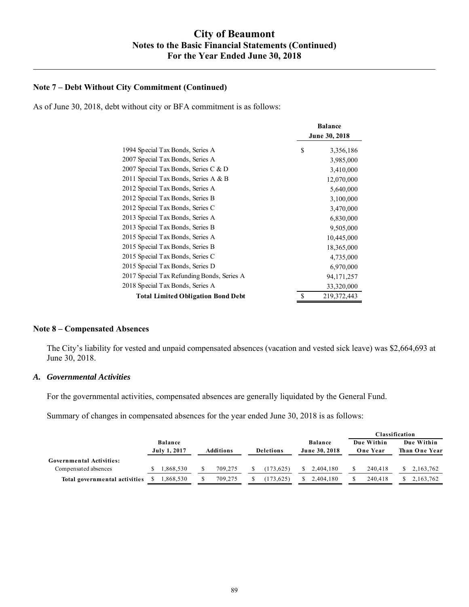# **Note 7 – Debt Without City Commitment (Continued)**

As of June 30, 2018, debt without city or BFA commitment is as follows:

|                                            | <b>Balance</b><br>June 30, 2018 |
|--------------------------------------------|---------------------------------|
| 1994 Special Tax Bonds, Series A           | \$<br>3,356,186                 |
| 2007 Special Tax Bonds, Series A           | 3,985,000                       |
| 2007 Special Tax Bonds, Series C & D       | 3,410,000                       |
| 2011 Special Tax Bonds, Series A & B       | 12,070,000                      |
| 2012 Special Tax Bonds, Series A           | 5,640,000                       |
| 2012 Special Tax Bonds, Series B           | 3,100,000                       |
| 2012 Special Tax Bonds, Series C           | 3,470,000                       |
| 2013 Special Tax Bonds, Series A           | 6,830,000                       |
| 2013 Special Tax Bonds, Series B           | 9,505,000                       |
| 2015 Special Tax Bonds, Series A           | 10,445,000                      |
| 2015 Special Tax Bonds, Series B           | 18,365,000                      |
| 2015 Special Tax Bonds, Series C           | 4,735,000                       |
| 2015 Special Tax Bonds, Series D           | 6,970,000                       |
| 2017 Special Tax Refunding Bonds, Series A | 94, 171, 257                    |
| 2018 Special Tax Bonds, Series A           | 33,320,000                      |
| <b>Total Limited Obligation Bond Debt</b>  | \$<br>219,372,443               |

# **Note 8 – Compensated Absences**

The City's liability for vested and unpaid compensated absences (vacation and vested sick leave) was \$2,664,693 at June 30, 2018.

#### *A. Governmental Activities*

For the governmental activities, compensated absences are generally liquidated by the General Fund.

Summary of changes in compensated absences for the year ended June 30, 2018 is as follows:

|                                 |                |                  |                  |                | <b>Classification</b> |            |  |               |
|---------------------------------|----------------|------------------|------------------|----------------|-----------------------|------------|--|---------------|
|                                 | <b>Balance</b> |                  |                  | <b>Balance</b> |                       | Due Within |  | Due Within    |
|                                 | July 1, 2017   | <b>Additions</b> | <b>Deletions</b> | June 30, 2018  |                       | One Year   |  | Than One Year |
| <b>Governmental Activities:</b> |                |                  |                  |                |                       |            |  |               |
| Compensated absences            | 1,868,530      | 709.275          | (173.625)        | 2.404.180      |                       | 240.418    |  | 2, 163, 762   |
| Total governmental activities   | 1,868,530      | 709.275          | (173.625)        | 2.404.180      |                       | 240.418    |  | 2.163.762     |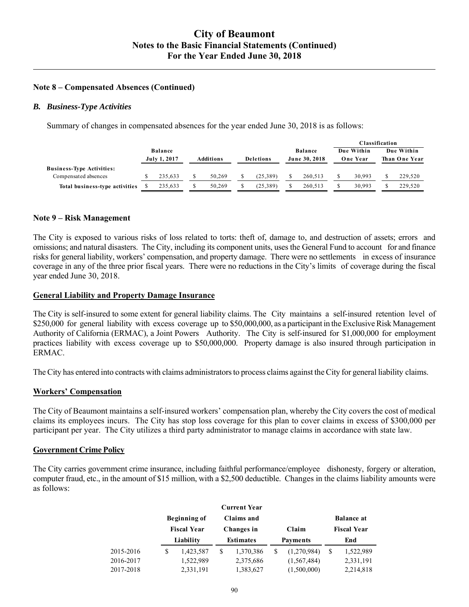# **Note 8 – Compensated Absences (Continued)**

#### *B. Business-Type Activities*

Summary of changes in compensated absences for the year ended June 30, 2018 is as follows:

|                                  |                |           |                  |                |  |            |  | Classification |  |  |
|----------------------------------|----------------|-----------|------------------|----------------|--|------------|--|----------------|--|--|
|                                  | <b>Balance</b> |           |                  | <b>Balance</b> |  | Due Within |  | Due Within     |  |  |
|                                  | July 1, 2017   | Additions | <b>Deletions</b> | June 30, 2018  |  | One Year   |  | Than One Year  |  |  |
| <b>Business-Type Activities:</b> |                |           |                  |                |  |            |  |                |  |  |
| Compensated absences             | 235.633        | 50.269    | (25.389)         | 260.513        |  | 30.993     |  | 229,520        |  |  |
| Total business-type activities   | 235.633        | 50.269    | (25, 389)        | 260.513        |  | 30.993     |  | 229.520        |  |  |

#### **Note 9 – Risk Management**

The City is exposed to various risks of loss related to torts: theft of, damage to, and destruction of assets; errors and omissions; and natural disasters. The City, including its component units, uses the General Fund to account for and finance risks for general liability, workers' compensation, and property damage. There were no settlements in excess of insurance coverage in any of the three prior fiscal years. There were no reductions in the City's limits of coverage during the fiscal year ended June 30, 2018.

#### **General Liability and Property Damage Insurance**

The City is self-insured to some extent for general liability claims. The City maintains a self-insured retention level of \$250,000 for general liability with excess coverage up to \$50,000,000, as a participant in the Exclusive Risk Management Authority of California (ERMAC), a Joint Powers Authority. The City is self-insured for \$1,000,000 for employment practices liability with excess coverage up to \$50,000,000. Property damage is also insured through participation in ERMAC.

The City has entered into contracts with claims administrators to process claims against the City for general liability claims.

# **Workers' Compensation**

The City of Beaumont maintains a self-insured workers' compensation plan, whereby the City covers the cost of medical claims its employees incurs. The City has stop loss coverage for this plan to cover claims in excess of \$300,000 per participant per year. The City utilizes a third party administrator to manage claims in accordance with state law.

#### **Government Crime Policy**

The City carries government crime insurance, including faithful performance/employee dishonesty, forgery or alteration, computer fraud, etc., in the amount of \$15 million, with a \$2,500 deductible. Changes in the claims liability amounts were as follows:

|           |   |                     |   | <b>Current Year</b> |                 |   |                    |
|-----------|---|---------------------|---|---------------------|-----------------|---|--------------------|
|           |   | <b>Beginning of</b> |   | Claims and          |                 |   | <b>Balance at</b>  |
|           |   | <b>Fiscal Year</b>  |   | Changes in          | Claim           |   | <b>Fiscal Year</b> |
|           |   | Liability           |   | <b>Estimates</b>    | <b>Payments</b> |   | End                |
| 2015-2016 | S | 1.423.587           | S | 1,370,386           | (1,270,984)     | S | 1,522,989          |
| 2016-2017 |   | 1,522,989           |   | 2,375,686           | (1,567,484)     |   | 2,331,191          |
| 2017-2018 |   | 2,331,191           |   | 1,383,627           | (1,500,000)     |   | 2,214,818          |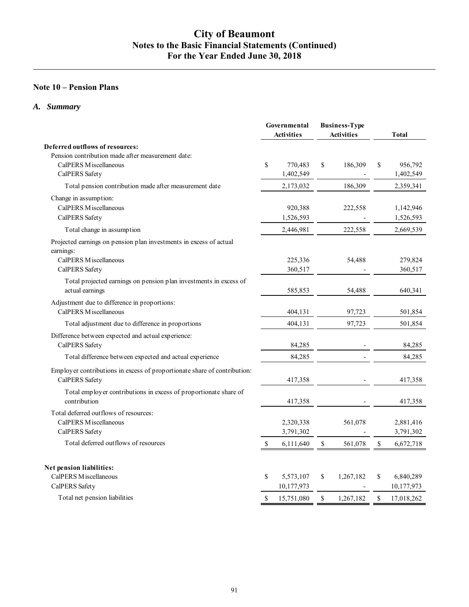# **City of Beaumont Notes to the Basic Financial Statements (Continued) For the Year Ended June 30, 2018**

# **Note 10 – Pension Plans**

# *A. Summary*

|                                                                                                                             | Governmental<br><b>Activities</b> | <b>Business-Type</b><br><b>Activities</b> | <b>Total</b>                  |
|-----------------------------------------------------------------------------------------------------------------------------|-----------------------------------|-------------------------------------------|-------------------------------|
| Deferred outflows of resources:                                                                                             |                                   |                                           |                               |
| Pension contribution made after measurement date:<br>CalPERS M iscellaneous<br>CalPERS Safety                               | \$<br>770,483<br>1,402,549        | \$<br>186,309                             | \$<br>956,792<br>1,402,549    |
| Total pension contribution made after measurement date                                                                      | 2,173,032                         | 186,309                                   | 2,359,341                     |
| Change in assumption:<br>CalPERS M iscellaneous<br>CalPERS Safety                                                           | 920,388<br>1,526,593              | 222,558                                   | 1,142,946<br>1,526,593        |
| Total change in assumption                                                                                                  | 2,446,981                         | 222,558                                   | 2,669,539                     |
| Projected earnings on pension plan investments in excess of actual<br>earnings:<br>CalPERS M iscellaneous<br>CalPERS Safety | 225,336<br>360,517                | 54,488                                    | 279,824<br>360,517            |
| Total projected earnings on pension plan investments in excess of<br>actual earnings                                        | 585,853                           | 54,488                                    | 640,341                       |
| Adjustment due to difference in proportions:<br>CalPERS M iscellaneous                                                      | 404,131                           | 97,723                                    | 501,854                       |
| Total adjustment due to difference in proportions                                                                           | 404,131                           | 97,723                                    | 501,854                       |
| Difference between expected and actual experience:<br>CalPERS Safety                                                        | 84,285                            |                                           | 84,285                        |
| Total difference between expected and actual experience                                                                     | 84,285                            |                                           | 84,285                        |
| Employer contributions in excess of proportionate share of contribution:<br>CalPERS Safety                                  | 417,358                           |                                           | 417,358                       |
| Total employer contributions in excess of proportionate share of<br>contribution                                            | 417,358                           |                                           | 417,358                       |
| Total deferred outflows of resources:<br>CalPERS M iscellaneous<br>CalPERS Safety                                           | 2,320,338<br>3,791,302            | 561,078                                   | 2,881,416<br>3,791,302        |
| Total deferred outflows of resources                                                                                        | \$<br>6,111,640                   | \$<br>561,078                             | \$<br>6,672,718               |
| Net pension liabilities:<br>CalPERS M iscellaneous<br>CalPERS Safety                                                        | \$<br>5,573,107<br>10,177,973     | \$<br>1,267,182                           | \$<br>6,840,289<br>10,177,973 |
| Total net pension liabilities                                                                                               | \$<br>15,751,080                  | \$<br>1,267,182                           | \$<br>17,018,262              |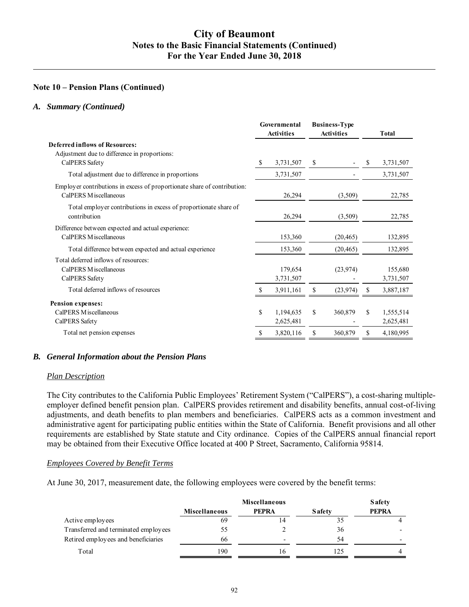# *A. Summary (Continued)*

|                                                                                                    | Governmental<br><b>Activities</b> |                      | <b>Business-Type</b><br><b>Activities</b> |           |    | <b>Total</b>         |
|----------------------------------------------------------------------------------------------------|-----------------------------------|----------------------|-------------------------------------------|-----------|----|----------------------|
| <b>Deferred inflows of Resources:</b><br>Adjustment due to difference in proportions:              |                                   |                      |                                           |           |    |                      |
| CalPERS Safety                                                                                     | \$                                | 3,731,507            | S                                         |           | S  | 3,731,507            |
| Total adjustment due to difference in proportions                                                  |                                   | 3,731,507            |                                           |           |    | 3,731,507            |
| Employer contributions in excess of proportionate share of contribution:<br>CalPERS M iscellaneous |                                   | 26,294               |                                           | (3,509)   |    | 22,785               |
| Total employer contributions in excess of proportionate share of<br>contribution                   |                                   | 26,294               |                                           | (3,509)   |    | 22,785               |
| Difference between expected and actual experience:<br>CalPERS M iscellaneous                       |                                   | 153,360              |                                           | (20, 465) |    | 132,895              |
| Total difference between expected and actual experience                                            |                                   | 153,360              |                                           | (20, 465) |    | 132,895              |
| Total deferred inflows of resources:<br>CalPERS M iscellaneous<br>CalPERS Safety                   |                                   | 179,654<br>3,731,507 |                                           | (23, 974) |    | 155,680<br>3,731,507 |
| Total deferred inflows of resources                                                                | S                                 | 3,911,161            | \$                                        | (23, 974) | S. | 3,887,187            |
| <b>Pension expenses:</b><br>CalPERS M iscellaneous                                                 | \$                                | 1,194,635            | S                                         | 360,879   | S  | 1,555,514            |
| <b>CalPERS Safety</b>                                                                              |                                   | 2,625,481            |                                           |           |    | 2,625,481            |
| Total net pension expenses                                                                         | S                                 | 3,820,116            | \$                                        | 360,879   | S  | 4,180,995            |

# *B. General Information about the Pension Plans*

#### *Plan Description*

The City contributes to the California Public Employees' Retirement System ("CalPERS"), a cost-sharing multipleemployer defined benefit pension plan. CalPERS provides retirement and disability benefits, annual cost-of-living adjustments, and death benefits to plan members and beneficiaries. CalPERS acts as a common investment and administrative agent for participating public entities within the State of California. Benefit provisions and all other requirements are established by State statute and City ordinance. Copies of the CalPERS annual financial report may be obtained from their Executive Office located at 400 P Street, Sacramento, California 95814.

# *Employees Covered by Benefit Terms*

At June 30, 2017, measurement date, the following employees were covered by the benefit terms:

|                                      |                      | <b>Safety</b> |               |                |
|--------------------------------------|----------------------|---------------|---------------|----------------|
|                                      | <b>Miscellaneous</b> | <b>PEPRA</b>  | <b>Safety</b> | <b>PEPRA</b>   |
| Active employees                     | 69                   | ا 4           | 35            |                |
| Transferred and terminated employees | 55                   |               | 36            |                |
| Retired employees and beneficiaries  | 66                   | $\,$          | 54            |                |
| Total                                | 190                  | 16            | 125           | $\overline{4}$ |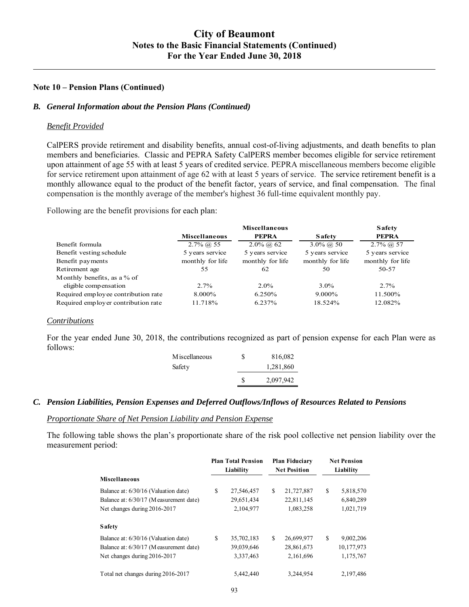#### *B. General Information about the Pension Plans (Continued)*

#### *Benefit Provided*

CalPERS provide retirement and disability benefits, annual cost-of-living adjustments, and death benefits to plan members and beneficiaries. Classic and PEPRA Safety CalPERS member becomes eligible for service retirement upon attainment of age 55 with at least 5 years of credited service. PEPRA miscellaneous members become eligible for service retirement upon attainment of age 62 with at least 5 years of service. The service retirement benefit is a monthly allowance equal to the product of the benefit factor, years of service, and final compensation. The final compensation is the monthly average of the member's highest 36 full-time equivalent monthly pay.

Following are the benefit provisions for each plan:

|                                     |                      | <b>Miscellaneous</b> |                  | <b>Safety</b>    |
|-------------------------------------|----------------------|----------------------|------------------|------------------|
|                                     | <b>Miscellaneous</b> | <b>PEPRA</b>         | <b>Safety</b>    | <b>PEPRA</b>     |
| Benefit formula                     | $2.7\%$ (a) 55       | $2.0\%$ (a) 62       | $3.0\%$ (a) 50   | $2.7\%$ (a) 57   |
| Benefit vesting schedule            | 5 years service      | 5 years service      | 5 years service  | 5 years service  |
| Benefit payments                    | monthly for life     | monthly for life     | monthly for life | monthly for life |
| Retirement age                      | 55                   | 62                   | 50               | 50-57            |
| Monthly benefits, as a $\%$ of      |                      |                      |                  |                  |
| eligible compensation               | $2.7\%$              | $2.0\%$              | $3.0\%$          | $2.7\%$          |
| Required employee contribution rate | 8.000\%              | 6.250%               | $9.000\%$        | 11.500%          |
| Required employer contribution rate | 11.718%              | 6.237%               | 18.524%          | 12.082%          |

#### *Contributions*

For the year ended June 30, 2018, the contributions recognized as part of pension expense for each Plan were as follows:

| M iscellaneous | S | 816,082   |
|----------------|---|-----------|
| Safety         |   | 1,281,860 |
|                | S | 2,097,942 |

# *C. Pension Liabilities, Pension Expenses and Deferred Outflows/Inflows of Resources Related to Pensions*

#### *Proportionate Share of Net Pension Liability and Pension Expense*

 The following table shows the plan's proportionate share of the risk pool collective net pension liability over the measurement period:

|                                        | <b>Plan Total Pension</b><br>Liability |   | <b>Plan Fiduciary</b><br><b>Net Position</b> | <b>Net Pension</b><br>Liability |            |  |
|----------------------------------------|----------------------------------------|---|----------------------------------------------|---------------------------------|------------|--|
| <b>Miscellaneous</b>                   |                                        |   |                                              |                                 |            |  |
| Balance at: 6/30/16 (Valuation date)   | \$<br>27,546,457                       | S | 21,727,887                                   | S                               | 5,818,570  |  |
| Balance at: 6/30/17 (Measurement date) | 29,651,434                             |   | 22,811,145                                   |                                 | 6,840,289  |  |
| Net changes during 2016-2017           | 2,104,977                              |   | 1,083,258                                    |                                 | 1,021,719  |  |
| <b>Safety</b>                          |                                        |   |                                              |                                 |            |  |
| Balance at: 6/30/16 (Valuation date)   | \$<br>35,702,183                       | S | 26,699,977                                   | S                               | 9,002,206  |  |
| Balance at: 6/30/17 (Measurement date) | 39,039,646                             |   | 28,861,673                                   |                                 | 10,177,973 |  |
| Net changes during 2016-2017           | 3,337,463                              |   | 2,161,696                                    |                                 | 1,175,767  |  |
| Total net changes during 2016-2017     | 5,442,440                              |   | 3,244,954                                    |                                 | 2,197,486  |  |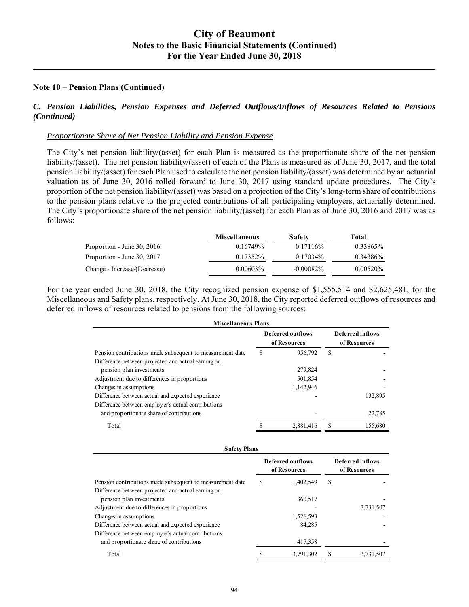# *C. Pension Liabilities, Pension Expenses and Deferred Outflows/Inflows of Resources Related to Pensions (Continued)*

#### *Proportionate Share of Net Pension Liability and Pension Expense*

The City's net pension liability/(asset) for each Plan is measured as the proportionate share of the net pension liability/(asset). The net pension liability/(asset) of each of the Plans is measured as of June 30, 2017, and the total pension liability/(asset) for each Plan used to calculate the net pension liability/(asset) was determined by an actuarial valuation as of June 30, 2016 rolled forward to June 30, 2017 using standard update procedures. The City's proportion of the net pension liability/(asset) was based on a projection of the City's long-term share of contributions to the pension plans relative to the projected contributions of all participating employers, actuarially determined. The City's proportionate share of the net pension liability/(asset) for each Plan as of June 30, 2016 and 2017 was as follows:

|                              | <b>Miscellaneous</b> | <b>Safety</b> | Total    |
|------------------------------|----------------------|---------------|----------|
| Proportion - June 30, 2016   | $0.16749\%$          | 0.17116%      | 0.33865% |
| Proportion - June 30, 2017   | 0.17352\%            | $0.17034\%$   | 0.34386% |
| Change - Increase/(Decrease) | $0.00603\%$          | $-0.00082\%$  | 0.00520% |

For the year ended June 30, 2018, the City recognized pension expense of \$1,555,514 and \$2,625,481, for the Miscellaneous and Safety plans, respectively. At June 30, 2018, the City reported deferred outflows of resources and deferred inflows of resources related to pensions from the following sources:

| <b>Miscellaneous Plans</b>                                |   |                                   |                                  |         |  |  |  |  |  |
|-----------------------------------------------------------|---|-----------------------------------|----------------------------------|---------|--|--|--|--|--|
|                                                           |   | Deferred outflows<br>of Resources | Deferred inflows<br>of Resources |         |  |  |  |  |  |
| Pension contributions made subsequent to measurement date | S | 956,792                           | S                                |         |  |  |  |  |  |
| Difference between projected and actual earning on        |   |                                   |                                  |         |  |  |  |  |  |
| pension plan investments                                  |   | 279,824                           |                                  |         |  |  |  |  |  |
| Adjustment due to differences in proportions              |   | 501,854                           |                                  |         |  |  |  |  |  |
| Changes in assumptions                                    |   | 1,142,946                         |                                  |         |  |  |  |  |  |
| Difference between actual and expected experience         |   |                                   |                                  | 132,895 |  |  |  |  |  |
| Difference between employer's actual contributions        |   |                                   |                                  |         |  |  |  |  |  |
| and proportionate share of contributions                  |   |                                   |                                  | 22,785  |  |  |  |  |  |
| Total                                                     |   | 2,881,416                         |                                  | 155,680 |  |  |  |  |  |

| <b>Safety Plans</b>                                                                                             |   |                                   |   |                                  |  |  |  |  |
|-----------------------------------------------------------------------------------------------------------------|---|-----------------------------------|---|----------------------------------|--|--|--|--|
|                                                                                                                 |   | Deferred outflows<br>of Resources |   | Deferred inflows<br>of Resources |  |  |  |  |
| Pension contributions made subsequent to measurement date<br>Difference between projected and actual earning on | S | 1,402,549                         | S |                                  |  |  |  |  |
| pension plan investments                                                                                        |   | 360,517                           |   |                                  |  |  |  |  |
| Adjustment due to differences in proportions                                                                    |   |                                   |   | 3,731,507                        |  |  |  |  |
| Changes in assumptions                                                                                          |   | 1,526,593                         |   |                                  |  |  |  |  |
| Difference between actual and expected experience<br>Difference between employer's actual contributions         |   | 84,285                            |   |                                  |  |  |  |  |
| and proportionate share of contributions                                                                        |   | 417,358                           |   |                                  |  |  |  |  |
| Total                                                                                                           | S | 3.791.302                         |   | 3.731.507                        |  |  |  |  |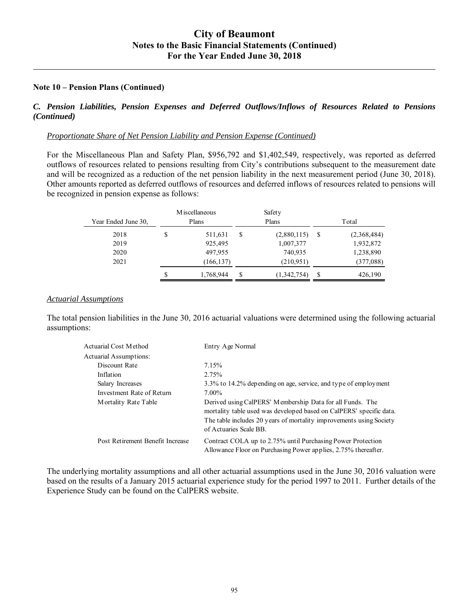# *C. Pension Liabilities, Pension Expenses and Deferred Outflows/Inflows of Resources Related to Pensions (Continued)*

#### *Proportionate Share of Net Pension Liability and Pension Expense (Continued)*

For the Miscellaneous Plan and Safety Plan, \$956,792 and \$1,402,549, respectively, was reported as deferred outflows of resources related to pensions resulting from City's contributions subsequent to the measurement date and will be recognized as a reduction of the net pension liability in the next measurement period (June 30, 2018). Other amounts reported as deferred outflows of resources and deferred inflows of resources related to pensions will be recognized in pension expense as follows:

| Year Ended June 30,          | M iscellaneous<br>Plans                           |   | Safety<br>Plans                                  |    | Total                                              |
|------------------------------|---------------------------------------------------|---|--------------------------------------------------|----|----------------------------------------------------|
| 2018<br>2019<br>2020<br>2021 | \$<br>511,631<br>925,495<br>497,955<br>(166, 137) | S | (2,880,115)<br>1,007,377<br>740,935<br>(210.951) | S  | (2,368,484)<br>1,932,872<br>1,238,890<br>(377,088) |
|                              | \$<br>1,768,944                                   | S | (1,342,754)                                      | \$ | 426,190                                            |

# *Actuarial Assumptions*

The total pension liabilities in the June 30, 2016 actuarial valuations were determined using the following actuarial assumptions:

| Actuarial Cost Method            | Entry Age Normal                                                                                                                                                                                                                  |
|----------------------------------|-----------------------------------------------------------------------------------------------------------------------------------------------------------------------------------------------------------------------------------|
| <b>Actuarial Assumptions:</b>    |                                                                                                                                                                                                                                   |
| Discount Rate                    | 7.15%                                                                                                                                                                                                                             |
| Inflation                        | 2.75%                                                                                                                                                                                                                             |
| Salary Increases                 | 3.3% to 14.2% depending on age, service, and type of employment                                                                                                                                                                   |
| Investment Rate of Return        | $7.00\%$                                                                                                                                                                                                                          |
| Mortality Rate Table             | Derived using CalPERS' Membership Data for all Funds. The<br>mortality table used was developed based on CalPERS' specific data.<br>The table includes 20 years of mortality improvements using Society<br>of Actuaries Scale BB. |
| Post Retirement Benefit Increase | Contract COLA up to 2.75% until Purchasing Power Protection<br>Allowance Floor on Purchasing Power applies, 2.75% thereafter.                                                                                                     |

The underlying mortality assumptions and all other actuarial assumptions used in the June 30, 2016 valuation were based on the results of a January 2015 actuarial experience study for the period 1997 to 2011. Further details of the Experience Study can be found on the CalPERS website.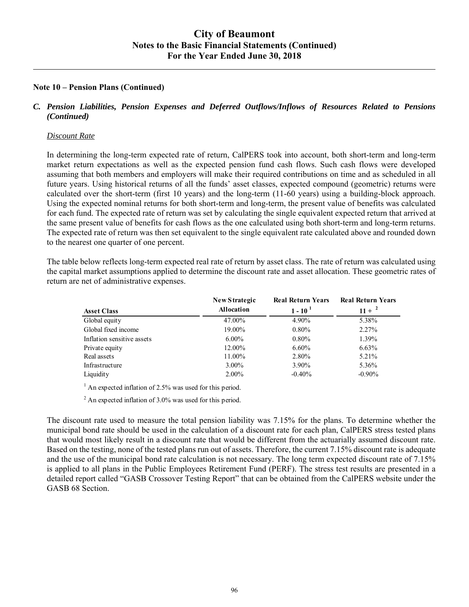# **City of Beaumont Notes to the Basic Financial Statements (Continued) For the Year Ended June 30, 2018**

#### **Note 10 – Pension Plans (Continued)**

# *C. Pension Liabilities, Pension Expenses and Deferred Outflows/Inflows of Resources Related to Pensions (Continued)*

#### *Discount Rate*

In determining the long-term expected rate of return, CalPERS took into account, both short-term and long-term market return expectations as well as the expected pension fund cash flows. Such cash flows were developed assuming that both members and employers will make their required contributions on time and as scheduled in all future years. Using historical returns of all the funds' asset classes, expected compound (geometric) returns were calculated over the short-term (first 10 years) and the long-term (11-60 years) using a building-block approach. Using the expected nominal returns for both short-term and long-term, the present value of benefits was calculated for each fund. The expected rate of return was set by calculating the single equivalent expected return that arrived at the same present value of benefits for cash flows as the one calculated using both short-term and long-term returns. The expected rate of return was then set equivalent to the single equivalent rate calculated above and rounded down to the nearest one quarter of one percent.

The table below reflects long-term expected real rate of return by asset class. The rate of return was calculated using the capital market assumptions applied to determine the discount rate and asset allocation. These geometric rates of return are net of administrative expenses.

|                            | New Strategic     | <b>Real Return Years</b> | <b>Real Return Years</b> |
|----------------------------|-------------------|--------------------------|--------------------------|
| <b>Asset Class</b>         | <b>Allocation</b> | $1 - 10^{-1}$            | $11 + \frac{2}{3}$       |
| Global equity              | 47.00%            | 4.90%                    | 5.38%                    |
| Global fixed income        | 19.00%            | $0.80\%$                 | 2.27%                    |
| Inflation sensitive assets | $6.00\%$          | $0.80\%$                 | 1.39%                    |
| Private equity             | 12.00%            | $6.60\%$                 | 6.63%                    |
| Real assets                | 11.00%            | 2.80%                    | 5.21%                    |
| Infrastructure             | $3.00\%$          | 3.90%                    | 5.36%                    |
| Liquidity                  | $2.00\%$          | $-0.40%$                 | $-0.90\%$                |

<sup>1</sup> An expected inflation of 2.5% was used for this period.

 $2$  An expected inflation of 3.0% was used for this period.

The discount rate used to measure the total pension liability was 7.15% for the plans. To determine whether the municipal bond rate should be used in the calculation of a discount rate for each plan, CalPERS stress tested plans that would most likely result in a discount rate that would be different from the actuarially assumed discount rate. Based on the testing, none of the tested plans run out of assets. Therefore, the current 7.15% discount rate is adequate and the use of the municipal bond rate calculation is not necessary. The long term expected discount rate of 7.15% is applied to all plans in the Public Employees Retirement Fund (PERF). The stress test results are presented in a detailed report called "GASB Crossover Testing Report" that can be obtained from the CalPERS website under the GASB 68 Section.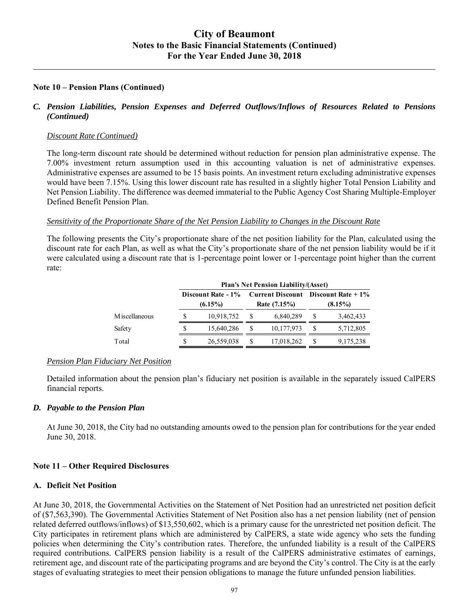# *C. Pension Liabilities, Pension Expenses and Deferred Outflows/Inflows of Resources Related to Pensions (Continued)*

#### *Discount Rate (Continued)*

The long-term discount rate should be determined without reduction for pension plan administrative expense. The 7.00% investment return assumption used in this accounting valuation is net of administrative expenses. Administrative expenses are assumed to be 15 basis points. An investment return excluding administrative expenses would have been 7.15%. Using this lower discount rate has resulted in a slightly higher Total Pension Liability and Net Pension Liability. The difference was deemed immaterial to the Public Agency Cost Sharing Multiple-Employer Defined Benefit Pension Plan.

#### *Sensitivity of the Proportionate Share of the Net Pension Liability to Changes in the Discount Rate*

The following presents the City's proportionate share of the net position liability for the Plan, calculated using the discount rate for each Plan, as well as what the City's proportionate share of the net pension liability would be if it were calculated using a discount rate that is 1-percentage point lower or 1-percentage point higher than the current rate:

|                |    | Discount Rate - 1%<br>$(6.15\%)$ | <b>Plan's Net Pension Liability/(Asset)</b><br><b>Current Discount</b> Discount Rate $+1\%$<br>Rate (7.15%)<br>$(8.15\%)$<br>6,840,289<br>3,462,433<br>S<br>10,177,973<br>5,712,805<br>S<br>9,175,238<br>17,018,262<br>S |  |  |
|----------------|----|----------------------------------|--------------------------------------------------------------------------------------------------------------------------------------------------------------------------------------------------------------------------|--|--|
| M iscellaneous | S  | 10,918,752                       |                                                                                                                                                                                                                          |  |  |
| Safety         | \$ | 15,640,286                       |                                                                                                                                                                                                                          |  |  |
| Total          | S  | 26,559,038                       |                                                                                                                                                                                                                          |  |  |

# *Pension Plan Fiduciary Net Position*

Detailed information about the pension plan's fiduciary net position is available in the separately issued CalPERS financial reports.

#### *D. Payable to the Pension Plan*

At June 30, 2018, the City had no outstanding amounts owed to the pension plan for contributions for the year ended June 30, 2018.

# **Note 11 – Other Required Disclosures**

# **A. Deficit Net Position**

At June 30, 2018, the Governmental Activities on the Statement of Net Position had an unrestricted net position deficit of (\$7,563,390). The Governmental Activities Statement of Net Position also has a net pension liability (net of pension related deferred outflows/inflows) of \$13,550,602, which is a primary cause for the unrestricted net position deficit. The City participates in retirement plans which are administered by CalPERS, a state wide agency who sets the funding policies when determining the City's contribution rates. Therefore, the unfunded liability is a result of the CalPERS required contributions. CalPERS pension liability is a result of the CalPERS administrative estimates of earnings, retirement age, and discount rate of the participating programs and are beyond the City's control. The City is at the early stages of evaluating strategies to meet their pension obligations to manage the future unfunded pension liabilities.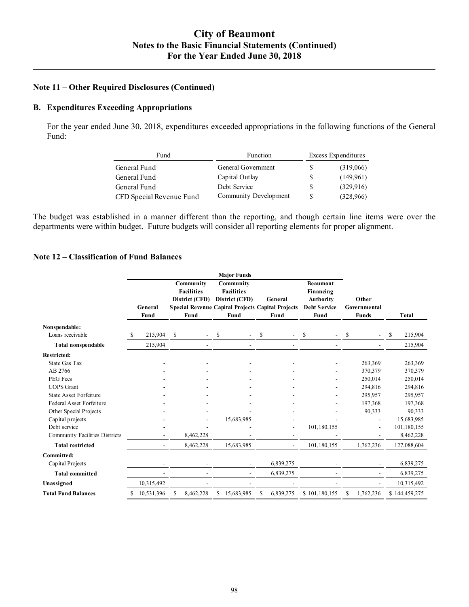# **Note 11 – Other Required Disclosures (Continued)**

#### **B. Expenditures Exceeding Appropriations**

For the year ended June 30, 2018, expenditures exceeded appropriations in the following functions of the General Fund:

| Fund                     | Function              |     | Excess Expenditures |  |  |  |
|--------------------------|-----------------------|-----|---------------------|--|--|--|
| General Fund             | General Government    | S   | (319,066)           |  |  |  |
| General Fund             | Capital Outlay        | S   | (149, 961)          |  |  |  |
| General Fund             | Debt Service          | S   | (329.916)           |  |  |  |
| CFD Special Revenue Fund | Community Development | \$. | (328,966)           |  |  |  |

The budget was established in a manner different than the reporting, and though certain line items were over the departments were within budget. Future budgets will consider all reporting elements for proper alignment.

# **Note 12 – Classification of Fund Balances**

|                                 |   |                 |               |                                                          |    | <b>Major Funds</b>                                                                                                   |                 |                                                                          |               |                                       |   |               |
|---------------------------------|---|-----------------|---------------|----------------------------------------------------------|----|----------------------------------------------------------------------------------------------------------------------|-----------------|--------------------------------------------------------------------------|---------------|---------------------------------------|---|---------------|
|                                 |   | General<br>Fund |               | Community<br><b>Facilities</b><br>District (CFD)<br>Fund |    | Community<br><b>Facilities</b><br>District (CFD)<br><b>Special Revenue Capital Projects Capital Projects</b><br>Fund | General<br>Fund | <b>Beaumont</b><br>Financing<br>Authority<br><b>Debt Service</b><br>Fund |               | Other<br>Governmental<br><b>Funds</b> |   | Total         |
| Nonspendable:                   |   |                 |               |                                                          |    |                                                                                                                      |                 |                                                                          |               |                                       |   |               |
| Loans receivable                | S | 215,904         | <sup>\$</sup> |                                                          | S  | ۰                                                                                                                    | \$              | \$                                                                       | <sup>\$</sup> |                                       | S | 215,904       |
| <b>Total nonspendable</b>       |   | 215,904         |               |                                                          |    |                                                                                                                      |                 |                                                                          |               |                                       |   | 215,904       |
| <b>Restricted:</b>              |   |                 |               |                                                          |    |                                                                                                                      |                 |                                                                          |               |                                       |   |               |
| State Gas Tax                   |   |                 |               |                                                          |    |                                                                                                                      |                 |                                                                          |               | 263,369                               |   | 263,369       |
| AB 2766                         |   |                 |               |                                                          |    |                                                                                                                      |                 |                                                                          |               | 370,379                               |   | 370,379       |
| <b>PEG</b> Fees                 |   |                 |               |                                                          |    |                                                                                                                      |                 |                                                                          |               | 250,014                               |   | 250,014       |
| <b>COPS</b> Grant               |   |                 |               |                                                          |    |                                                                                                                      |                 |                                                                          |               | 294,816                               |   | 294,816       |
| <b>State Asset Forfeiture</b>   |   |                 |               |                                                          |    |                                                                                                                      |                 |                                                                          |               | 295,957                               |   | 295,957       |
| <b>Federal Asset Forfeiture</b> |   |                 |               |                                                          |    |                                                                                                                      |                 |                                                                          |               | 197,368                               |   | 197,368       |
| Other Special Projects          |   |                 |               |                                                          |    |                                                                                                                      |                 |                                                                          |               | 90,333                                |   | 90,333        |
| Capital projects                |   |                 |               |                                                          |    | 15,683,985                                                                                                           |                 |                                                                          |               |                                       |   | 15,683,985    |
| Debt service                    |   |                 |               |                                                          |    |                                                                                                                      |                 | 101,180,155                                                              |               |                                       |   | 101,180,155   |
| Community Facilities Districts  |   |                 |               | 8,462,228                                                |    |                                                                                                                      |                 |                                                                          |               |                                       |   | 8,462,228     |
| <b>Total restricted</b>         |   |                 |               | 8,462,228                                                |    | 15,683,985                                                                                                           |                 | 101,180,155                                                              |               | 1,762,236                             |   | 127,088,604   |
| Committed:                      |   |                 |               |                                                          |    |                                                                                                                      |                 |                                                                          |               |                                       |   |               |
| Capital Projects                |   |                 |               |                                                          |    |                                                                                                                      | 6,839,275       |                                                                          |               |                                       |   | 6,839,275     |
| <b>Total committed</b>          |   |                 |               |                                                          |    | ۰                                                                                                                    | 6,839,275       |                                                                          |               |                                       |   | 6,839,275     |
| Unassigned                      |   | 10,315,492      |               |                                                          |    |                                                                                                                      |                 |                                                                          |               |                                       |   | 10,315,492    |
| <b>Total Fund Balances</b>      | S | 10,531,396      | \$            | 8,462,228                                                | \$ | 15,683,985                                                                                                           | \$<br>6,839,275 | \$101,180,155                                                            | S             | 1,762,236                             |   | \$144,459,275 |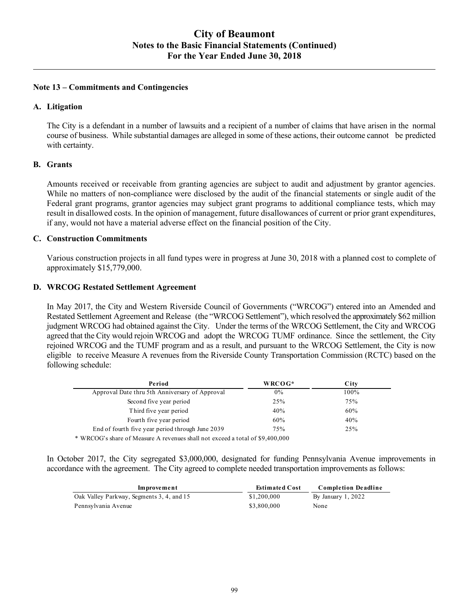#### **Note 13 – Commitments and Contingencies**

# **A. Litigation**

The City is a defendant in a number of lawsuits and a recipient of a number of claims that have arisen in the normal course of business. While substantial damages are alleged in some of these actions, their outcome cannot be predicted with certainty.

# **B. Grants**

Amounts received or receivable from granting agencies are subject to audit and adjustment by grantor agencies. While no matters of non-compliance were disclosed by the audit of the financial statements or single audit of the Federal grant programs, grantor agencies may subject grant programs to additional compliance tests, which may result in disallowed costs. In the opinion of management, future disallowances of current or prior grant expenditures, if any, would not have a material adverse effect on the financial position of the City.

# **C. Construction Commitments**

Various construction projects in all fund types were in progress at June 30, 2018 with a planned cost to complete of approximately \$15,779,000.

#### **D. WRCOG Restated Settlement Agreement**

In May 2017, the City and Western Riverside Council of Governments ("WRCOG") entered into an Amended and Restated Settlement Agreement and Release (the "WRCOG Settlement"), which resolved the approximately \$62 million judgment WRCOG had obtained against the City. Under the terms of the WRCOG Settlement, the City and WRCOG agreed that the City would rejoin WRCOG and adopt the WRCOG TUMF ordinance. Since the settlement, the City rejoined WRCOG and the TUMF program and as a result, and pursuant to the WRCOG Settlement, the City is now eligible to receive Measure A revenues from the Riverside County Transportation Commission (RCTC) based on the following schedule:

| Period                                                                           | WRCOG* | City |
|----------------------------------------------------------------------------------|--------|------|
| Approval Date thru 5th Anniversary of Approval                                   | $0\%$  | 100% |
| Second five year period                                                          | 25%    | 75%  |
| Third five year period                                                           | 40%    | 60%  |
| Fourth five year period                                                          | 60%    | 40%  |
| End of fourth five year period through June 2039                                 | 75%    | 25%  |
| $*$ WDCOC's shape of Magazine A processes shall not accord a total of CO 400,000 |        |      |

WRCOG's share of Measure A revenues shall not exceed a total of \$9,400,000

In October 2017, the City segregated \$3,000,000, designated for funding Pennsylvania Avenue improvements in accordance with the agreement. The City agreed to complete needed transportation improvements as follows:

| Improvement                               | <b>Estimated Cost</b> | <b>Completion Deadline</b> |
|-------------------------------------------|-----------------------|----------------------------|
| Oak Valley Parkway, Segments 3, 4, and 15 | \$1,200,000           | By January 1, $2022$       |
| Pennsylvania Avenue                       | \$3.800.000           | None                       |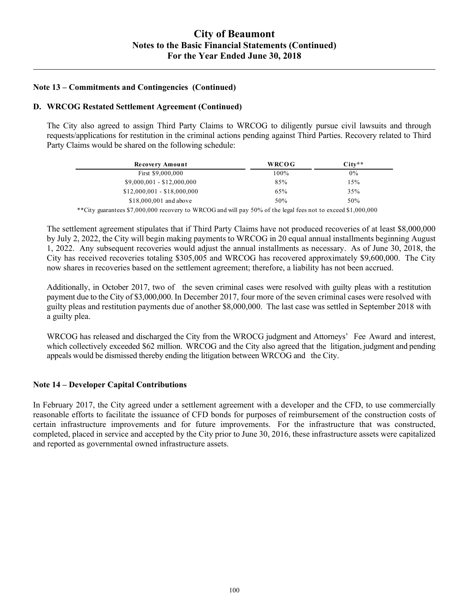# **Note 13 – Commitments and Contingencies (Continued)**

# **D. WRCOG Restated Settlement Agreement (Continued)**

The City also agreed to assign Third Party Claims to WRCOG to diligently pursue civil lawsuits and through requests/applications for restitution in the criminal actions pending against Third Parties. Recovery related to Third Party Claims would be shared on the following schedule:

| Recovery Amount                                                                                              | <b>WRCOG</b> | $City**$ |
|--------------------------------------------------------------------------------------------------------------|--------------|----------|
| First \$9,000,000                                                                                            | $100\%$      | $0\%$    |
| $$9,000,001 - $12,000,000$                                                                                   | 85%          | 15%      |
| $$12,000,001 - $18,000,000$                                                                                  | 65%          | 35%      |
| \$18,000,001 and above                                                                                       | 50%          | 50%      |
| **City guarantees \$7,000,000 recovery to WRCOG and will pay 50% of the legal fees not to exceed \$1,000,000 |              |          |

The settlement agreement stipulates that if Third Party Claims have not produced recoveries of at least \$8,000,000 by July 2, 2022, the City will begin making payments to WRCOG in 20 equal annual installments beginning August 1, 2022. Any subsequent recoveries would adjust the annual installments as necessary. As of June 30, 2018, the City has received recoveries totaling \$305,005 and WRCOG has recovered approximately \$9,600,000. The City

now shares in recoveries based on the settlement agreement; therefore, a liability has not been accrued.

Additionally, in October 2017, two of the seven criminal cases were resolved with guilty pleas with a restitution payment due to the City of \$3,000,000. In December 2017, four more of the seven criminal cases were resolved with guilty pleas and restitution payments due of another \$8,000,000. The last case was settled in September 2018 with a guilty plea.

WRCOG has released and discharged the City from the WROCG judgment and Attorneys' Fee Award and interest, which collectively exceeded \$62 million. WRCOG and the City also agreed that the litigation, judgment and pending appeals would be dismissed thereby ending the litigation between WRCOG and the City.

# **Note 14 – Developer Capital Contributions**

In February 2017, the City agreed under a settlement agreement with a developer and the CFD, to use commercially reasonable efforts to facilitate the issuance of CFD bonds for purposes of reimbursement of the construction costs of certain infrastructure improvements and for future improvements. For the infrastructure that was constructed, completed, placed in service and accepted by the City prior to June 30, 2016, these infrastructure assets were capitalized and reported as governmental owned infrastructure assets.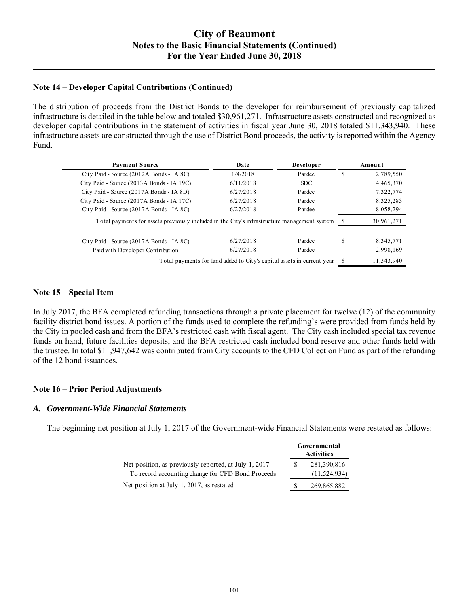# **City of Beaumont Notes to the Basic Financial Statements (Continued) For the Year Ended June 30, 2018**

## **Note 14 – Developer Capital Contributions (Continued)**

The distribution of proceeds from the District Bonds to the developer for reimbursement of previously capitalized infrastructure is detailed in the table below and totaled \$30,961,271. Infrastructure assets constructed and recognized as developer capital contributions in the statement of activities in fiscal year June 30, 2018 totaled \$11,343,940. These infrastructure assets are constructed through the use of District Bond proceeds, the activity is reported within the Agency Fund.

| <b>Payment Source</b>                                                                        | Date      | Developer  |   | Amount      |
|----------------------------------------------------------------------------------------------|-----------|------------|---|-------------|
| City Paid - Source (2012A Bonds - IA 8C)                                                     | 1/4/2018  | Pardee     | S | 2,789,550   |
| City Paid - Source (2013A Bonds - IA 19C)                                                    | 6/11/2018 | <b>SDC</b> |   | 4,465,370   |
| City Paid - Source (2017A Bonds - IA 8D)                                                     | 6/27/2018 | Pardee     |   | 7,322,774   |
| City Paid - Source (2017A Bonds - IA 17C)                                                    | 6/27/2018 | Pardee     |   | 8,325,283   |
| City Paid - Source (2017A Bonds - IA 8C)                                                     | 6/27/2018 | Pardee     |   | 8,058,294   |
| Total payments for assets previously included in the City's infrastructure management system |           |            |   | 30,961,271  |
|                                                                                              |           |            |   |             |
| City Paid - Source (2017A Bonds - IA 8C)                                                     | 6/27/2018 | Pardee     | S | 8, 345, 771 |
| Paid with Developer Contribution                                                             | 6/27/2018 | Pardee     |   | 2,998,169   |
| Total payments for land added to City's capital assets in current year                       |           | 11,343,940 |   |             |

## **Note 15 – Special Item**

In July 2017, the BFA completed refunding transactions through a private placement for twelve (12) of the community facility district bond issues. A portion of the funds used to complete the refunding's were provided from funds held by the City in pooled cash and from the BFA's restricted cash with fiscal agent. The City cash included special tax revenue funds on hand, future facilities deposits, and the BFA restricted cash included bond reserve and other funds held with the trustee. In total \$11,947,642 was contributed from City accounts to the CFD Collection Fund as part of the refunding of the 12 bond issuances.

## **Note 16 – Prior Period Adjustments**

## *A. Government-Wide Financial Statements*

The beginning net position at July 1, 2017 of the Government-wide Financial Statements were restated as follows:

|                                                       |    | Governmental<br><b>Activities</b> |
|-------------------------------------------------------|----|-----------------------------------|
| Net position, as previously reported, at July 1, 2017 |    | 281,390,816                       |
| To record accounting change for CFD Bond Proceeds     |    | (11, 524, 934)                    |
| Net position at July 1, 2017, as restated             | -S | 269,865,882                       |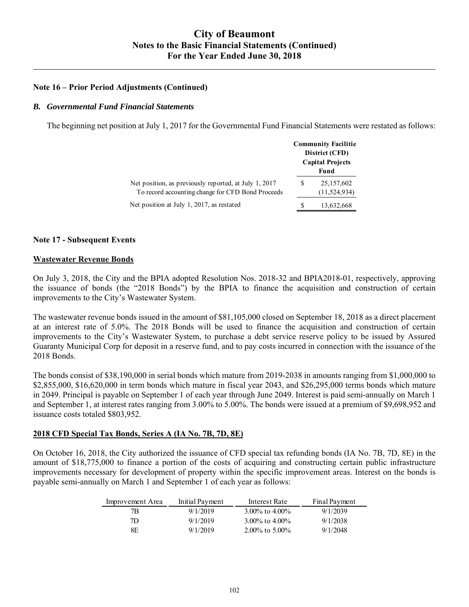## **Note 16 – Prior Period Adjustments (Continued)**

### *B. Governmental Fund Financial Statements*

The beginning net position at July 1, 2017 for the Governmental Fund Financial Statements were restated as follows:

|                                                                                                            |   | <b>Community Facilitie</b><br>District (CFD)<br><b>Capital Projects</b><br>Fund |
|------------------------------------------------------------------------------------------------------------|---|---------------------------------------------------------------------------------|
| Net position, as previously reported, at July 1, 2017<br>To record accounting change for CFD Bond Proceeds | S | 25,157,602<br>(11, 524, 934)                                                    |
| Net position at July 1, 2017, as restated                                                                  |   | 13,632,668                                                                      |

## **Note 17 - Subsequent Events**

## **Wastewater Revenue Bonds**

On July 3, 2018, the City and the BPIA adopted Resolution Nos. 2018-32 and BPIA2018-01, respectively, approving the issuance of bonds (the "2018 Bonds") by the BPIA to finance the acquisition and construction of certain improvements to the City's Wastewater System.

The wastewater revenue bonds issued in the amount of \$81,105,000 closed on September 18, 2018 as a direct placement at an interest rate of 5.0%. The 2018 Bonds will be used to finance the acquisition and construction of certain improvements to the City's Wastewater System, to purchase a debt service reserve policy to be issued by Assured Guaranty Municipal Corp for deposit in a reserve fund, and to pay costs incurred in connection with the issuance of the 2018 Bonds.

The bonds consist of \$38,190,000 in serial bonds which mature from 2019-2038 in amounts ranging from \$1,000,000 to \$2,855,000, \$16,620,000 in term bonds which mature in fiscal year 2043, and \$26,295,000 terms bonds which mature in 2049. Principal is payable on September 1 of each year through June 2049. Interest is paid semi-annually on March 1 and September 1, at interest rates ranging from 3.00% to 5.00%. The bonds were issued at a premium of \$9,698,952 and issuance costs totaled \$803,952.

## **2018 CFD Special Tax Bonds, Series A (IA No. 7B, 7D, 8E)**

On October 16, 2018, the City authorized the issuance of CFD special tax refunding bonds (IA No. 7B, 7D, 8E) in the amount of \$18,775,000 to finance a portion of the costs of acquiring and constructing certain public infrastructure improvements necessary for development of property within the specific improvement areas. Interest on the bonds is payable semi-annually on March 1 and September 1 of each year as follows:

| Improvement Area | Initial Payment | Interest Rate  | Final Payment |
|------------------|-----------------|----------------|---------------|
| 7R               | 9/1/2019        | 3.00% to 4.00% | 9/1/2039      |
| 7D.              | 9/1/2019        | 3.00% to 4.00% | 9/1/2038      |
| 8E               | 9/1/2019        | 2.00% to 5.00% | 9/1/2048      |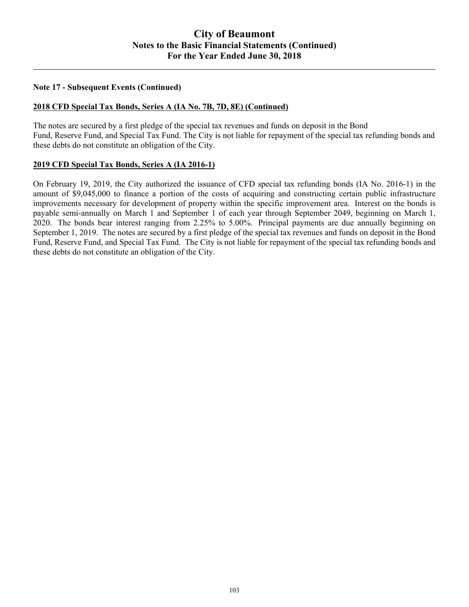## **Note 17 - Subsequent Events (Continued)**

### **2018 CFD Special Tax Bonds, Series A (IA No. 7B, 7D, 8E) (Continued)**

The notes are secured by a first pledge of the special tax revenues and funds on deposit in the Bond Fund, Reserve Fund, and Special Tax Fund. The City is not liable for repayment of the special tax refunding bonds and these debts do not constitute an obligation of the City.

## **2019 CFD Special Tax Bonds, Series A (IA 2016-1)**

On February 19, 2019, the City authorized the issuance of CFD special tax refunding bonds (IA No. 2016-1) in the amount of \$9,045,000 to finance a portion of the costs of acquiring and constructing certain public infrastructure improvements necessary for development of property within the specific improvement area. Interest on the bonds is payable semi-annually on March 1 and September 1 of each year through September 2049, beginning on March 1, 2020. The bonds bear interest ranging from 2.25% to 5.00%. Principal payments are due annually beginning on September 1, 2019. The notes are secured by a first pledge of the special tax revenues and funds on deposit in the Bond Fund, Reserve Fund, and Special Tax Fund. The City is not liable for repayment of the special tax refunding bonds and these debts do not constitute an obligation of the City.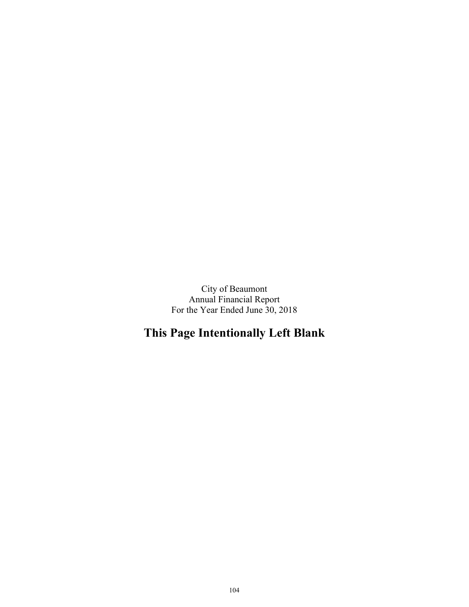# **This Page Intentionally Left Blank**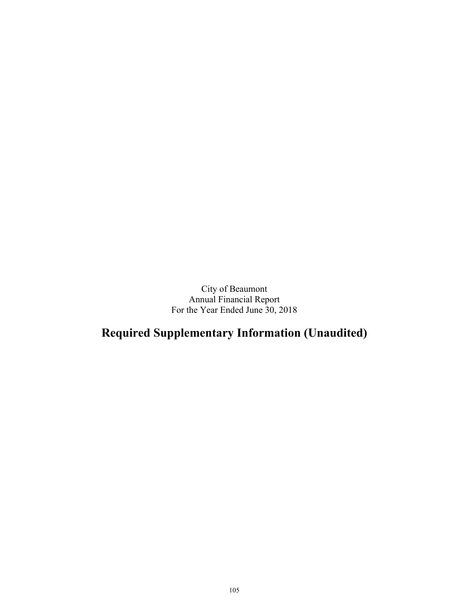**Required Supplementary Information (Unaudited)**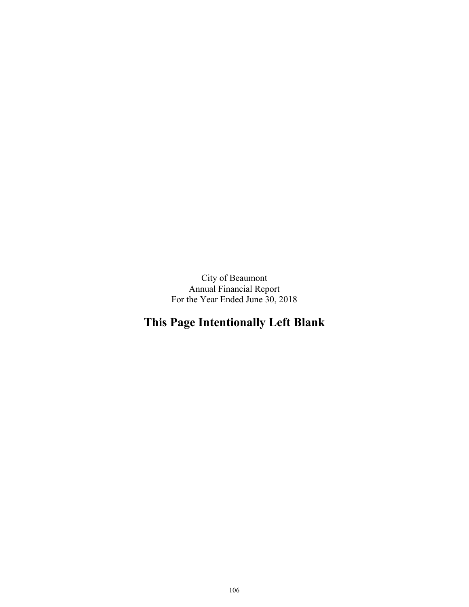# **This Page Intentionally Left Blank**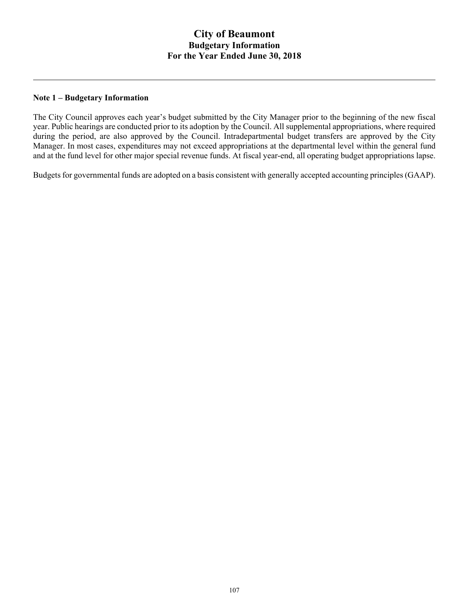# **City of Beaumont Budgetary Information For the Year Ended June 30, 2018**

## **Note 1 – Budgetary Information**

The City Council approves each year's budget submitted by the City Manager prior to the beginning of the new fiscal year. Public hearings are conducted prior to its adoption by the Council. All supplemental appropriations, where required during the period, are also approved by the Council. Intradepartmental budget transfers are approved by the City Manager. In most cases, expenditures may not exceed appropriations at the departmental level within the general fund and at the fund level for other major special revenue funds. At fiscal year-end, all operating budget appropriations lapse.

Budgets for governmental funds are adopted on a basis consistent with generally accepted accounting principles (GAAP).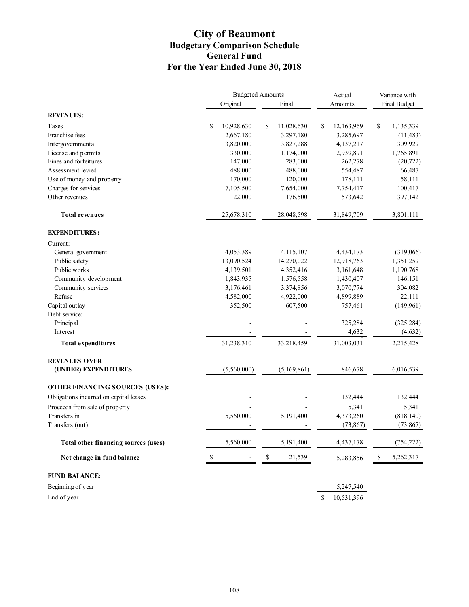## **City of Beaumont Budgetary Comparison Schedule General Fund For the Year Ended June 30, 2018**

| Final<br><b>Final Budget</b><br>Original<br>Amounts<br><b>REVENUES:</b><br>\$<br>\$<br>10,928,630<br>\$<br>11,028,630<br>\$<br>Taxes<br>12,163,969<br>1,135,339<br>Franchise fees<br>2,667,180<br>3,297,180<br>3,285,697<br>(11, 483)<br>3,820,000<br>3,827,288<br>4,137,217<br>309,929<br>Intergovernmental<br>License and permits<br>330,000<br>1,174,000<br>2,939,891<br>1,765,891<br>Fines and forfeitures<br>147,000<br>283,000<br>262,278<br>(20, 722)<br>Assessment levied<br>488,000<br>488,000<br>554,487<br>66,487<br>Use of money and property<br>170,000<br>178,111<br>58,111<br>120,000<br>Charges for services<br>7,105,500<br>7,754,417<br>7,654,000<br>100,417<br>Other revenues<br>22,000<br>176,500<br>573,642<br>397,142<br>25,678,310<br><b>Total revenues</b><br>28,048,598<br>31,849,709<br>3,801,111<br><b>EXPENDITURES:</b><br>Current:<br>General government<br>4,053,389<br>4,115,107<br>4,434,173<br>(319,066)<br>Public safety<br>13,090,524<br>14,270,022<br>12,918,763<br>1,351,259<br>Public works<br>4,352,416<br>4,139,501<br>3,161,648<br>1,190,768<br>Community development<br>1,576,558<br>1,843,935<br>1,430,407<br>146,151<br>Community services<br>3,374,856<br>3,070,774<br>3,176,461<br>304,082<br>Refuse<br>4,582,000<br>4,922,000<br>4,899,889<br>22,111<br>Capital outlay<br>352,500<br>757,461<br>(149, 961)<br>607,500<br>Debt service:<br>Principal<br>325,284<br>(325, 284)<br>4,632<br>(4, 632)<br>Interest<br>31,238,310<br>33,218,459<br>31,003,031<br>2,215,428<br><b>Total expenditures</b><br><b>REVENUES OVER</b><br>(5,560,000)<br>(5,169,861)<br>846,678<br>6,016,539<br>(UNDER) EXPENDITURES<br>OTHER FINANCING SOURCES (USES):<br>Obligations incurred on capital leases<br>132,444<br>132,444<br>Proceeds from sale of property<br>5,341<br>5,341<br>Transfers in<br>5,560,000<br>5,191,400<br>4,373,260<br>(818, 140)<br>Transfers (out)<br>(73, 867)<br>(73, 867)<br>5,560,000<br>Total other financing sources (uses)<br>5,191,400<br>4,437,178<br>(754,222)<br>$\mathbb{S}$<br>\$<br>Net change in fund balance<br>21,539<br>\$<br>5,262,317<br>5,283,856<br><b>FUND BALANCE:</b><br>Beginning of year<br>5,247,540<br>End of year<br>$\mathbb{S}$<br>10,531,396 |  | <b>Budgeted Amounts</b> | Actual | Variance with |  |  |  |  |
|----------------------------------------------------------------------------------------------------------------------------------------------------------------------------------------------------------------------------------------------------------------------------------------------------------------------------------------------------------------------------------------------------------------------------------------------------------------------------------------------------------------------------------------------------------------------------------------------------------------------------------------------------------------------------------------------------------------------------------------------------------------------------------------------------------------------------------------------------------------------------------------------------------------------------------------------------------------------------------------------------------------------------------------------------------------------------------------------------------------------------------------------------------------------------------------------------------------------------------------------------------------------------------------------------------------------------------------------------------------------------------------------------------------------------------------------------------------------------------------------------------------------------------------------------------------------------------------------------------------------------------------------------------------------------------------------------------------------------------------------------------------------------------------------------------------------------------------------------------------------------------------------------------------------------------------------------------------------------------------------------------------------------------------------------------------------------------------------------------------------------------------------------------------------------------------------------------------------------------|--|-------------------------|--------|---------------|--|--|--|--|
|                                                                                                                                                                                                                                                                                                                                                                                                                                                                                                                                                                                                                                                                                                                                                                                                                                                                                                                                                                                                                                                                                                                                                                                                                                                                                                                                                                                                                                                                                                                                                                                                                                                                                                                                                                                                                                                                                                                                                                                                                                                                                                                                                                                                                                  |  |                         |        |               |  |  |  |  |
|                                                                                                                                                                                                                                                                                                                                                                                                                                                                                                                                                                                                                                                                                                                                                                                                                                                                                                                                                                                                                                                                                                                                                                                                                                                                                                                                                                                                                                                                                                                                                                                                                                                                                                                                                                                                                                                                                                                                                                                                                                                                                                                                                                                                                                  |  |                         |        |               |  |  |  |  |
|                                                                                                                                                                                                                                                                                                                                                                                                                                                                                                                                                                                                                                                                                                                                                                                                                                                                                                                                                                                                                                                                                                                                                                                                                                                                                                                                                                                                                                                                                                                                                                                                                                                                                                                                                                                                                                                                                                                                                                                                                                                                                                                                                                                                                                  |  |                         |        |               |  |  |  |  |
|                                                                                                                                                                                                                                                                                                                                                                                                                                                                                                                                                                                                                                                                                                                                                                                                                                                                                                                                                                                                                                                                                                                                                                                                                                                                                                                                                                                                                                                                                                                                                                                                                                                                                                                                                                                                                                                                                                                                                                                                                                                                                                                                                                                                                                  |  |                         |        |               |  |  |  |  |
|                                                                                                                                                                                                                                                                                                                                                                                                                                                                                                                                                                                                                                                                                                                                                                                                                                                                                                                                                                                                                                                                                                                                                                                                                                                                                                                                                                                                                                                                                                                                                                                                                                                                                                                                                                                                                                                                                                                                                                                                                                                                                                                                                                                                                                  |  |                         |        |               |  |  |  |  |
|                                                                                                                                                                                                                                                                                                                                                                                                                                                                                                                                                                                                                                                                                                                                                                                                                                                                                                                                                                                                                                                                                                                                                                                                                                                                                                                                                                                                                                                                                                                                                                                                                                                                                                                                                                                                                                                                                                                                                                                                                                                                                                                                                                                                                                  |  |                         |        |               |  |  |  |  |
|                                                                                                                                                                                                                                                                                                                                                                                                                                                                                                                                                                                                                                                                                                                                                                                                                                                                                                                                                                                                                                                                                                                                                                                                                                                                                                                                                                                                                                                                                                                                                                                                                                                                                                                                                                                                                                                                                                                                                                                                                                                                                                                                                                                                                                  |  |                         |        |               |  |  |  |  |
|                                                                                                                                                                                                                                                                                                                                                                                                                                                                                                                                                                                                                                                                                                                                                                                                                                                                                                                                                                                                                                                                                                                                                                                                                                                                                                                                                                                                                                                                                                                                                                                                                                                                                                                                                                                                                                                                                                                                                                                                                                                                                                                                                                                                                                  |  |                         |        |               |  |  |  |  |
|                                                                                                                                                                                                                                                                                                                                                                                                                                                                                                                                                                                                                                                                                                                                                                                                                                                                                                                                                                                                                                                                                                                                                                                                                                                                                                                                                                                                                                                                                                                                                                                                                                                                                                                                                                                                                                                                                                                                                                                                                                                                                                                                                                                                                                  |  |                         |        |               |  |  |  |  |
|                                                                                                                                                                                                                                                                                                                                                                                                                                                                                                                                                                                                                                                                                                                                                                                                                                                                                                                                                                                                                                                                                                                                                                                                                                                                                                                                                                                                                                                                                                                                                                                                                                                                                                                                                                                                                                                                                                                                                                                                                                                                                                                                                                                                                                  |  |                         |        |               |  |  |  |  |
|                                                                                                                                                                                                                                                                                                                                                                                                                                                                                                                                                                                                                                                                                                                                                                                                                                                                                                                                                                                                                                                                                                                                                                                                                                                                                                                                                                                                                                                                                                                                                                                                                                                                                                                                                                                                                                                                                                                                                                                                                                                                                                                                                                                                                                  |  |                         |        |               |  |  |  |  |
|                                                                                                                                                                                                                                                                                                                                                                                                                                                                                                                                                                                                                                                                                                                                                                                                                                                                                                                                                                                                                                                                                                                                                                                                                                                                                                                                                                                                                                                                                                                                                                                                                                                                                                                                                                                                                                                                                                                                                                                                                                                                                                                                                                                                                                  |  |                         |        |               |  |  |  |  |
|                                                                                                                                                                                                                                                                                                                                                                                                                                                                                                                                                                                                                                                                                                                                                                                                                                                                                                                                                                                                                                                                                                                                                                                                                                                                                                                                                                                                                                                                                                                                                                                                                                                                                                                                                                                                                                                                                                                                                                                                                                                                                                                                                                                                                                  |  |                         |        |               |  |  |  |  |
|                                                                                                                                                                                                                                                                                                                                                                                                                                                                                                                                                                                                                                                                                                                                                                                                                                                                                                                                                                                                                                                                                                                                                                                                                                                                                                                                                                                                                                                                                                                                                                                                                                                                                                                                                                                                                                                                                                                                                                                                                                                                                                                                                                                                                                  |  |                         |        |               |  |  |  |  |
|                                                                                                                                                                                                                                                                                                                                                                                                                                                                                                                                                                                                                                                                                                                                                                                                                                                                                                                                                                                                                                                                                                                                                                                                                                                                                                                                                                                                                                                                                                                                                                                                                                                                                                                                                                                                                                                                                                                                                                                                                                                                                                                                                                                                                                  |  |                         |        |               |  |  |  |  |
|                                                                                                                                                                                                                                                                                                                                                                                                                                                                                                                                                                                                                                                                                                                                                                                                                                                                                                                                                                                                                                                                                                                                                                                                                                                                                                                                                                                                                                                                                                                                                                                                                                                                                                                                                                                                                                                                                                                                                                                                                                                                                                                                                                                                                                  |  |                         |        |               |  |  |  |  |
|                                                                                                                                                                                                                                                                                                                                                                                                                                                                                                                                                                                                                                                                                                                                                                                                                                                                                                                                                                                                                                                                                                                                                                                                                                                                                                                                                                                                                                                                                                                                                                                                                                                                                                                                                                                                                                                                                                                                                                                                                                                                                                                                                                                                                                  |  |                         |        |               |  |  |  |  |
|                                                                                                                                                                                                                                                                                                                                                                                                                                                                                                                                                                                                                                                                                                                                                                                                                                                                                                                                                                                                                                                                                                                                                                                                                                                                                                                                                                                                                                                                                                                                                                                                                                                                                                                                                                                                                                                                                                                                                                                                                                                                                                                                                                                                                                  |  |                         |        |               |  |  |  |  |
|                                                                                                                                                                                                                                                                                                                                                                                                                                                                                                                                                                                                                                                                                                                                                                                                                                                                                                                                                                                                                                                                                                                                                                                                                                                                                                                                                                                                                                                                                                                                                                                                                                                                                                                                                                                                                                                                                                                                                                                                                                                                                                                                                                                                                                  |  |                         |        |               |  |  |  |  |
|                                                                                                                                                                                                                                                                                                                                                                                                                                                                                                                                                                                                                                                                                                                                                                                                                                                                                                                                                                                                                                                                                                                                                                                                                                                                                                                                                                                                                                                                                                                                                                                                                                                                                                                                                                                                                                                                                                                                                                                                                                                                                                                                                                                                                                  |  |                         |        |               |  |  |  |  |
|                                                                                                                                                                                                                                                                                                                                                                                                                                                                                                                                                                                                                                                                                                                                                                                                                                                                                                                                                                                                                                                                                                                                                                                                                                                                                                                                                                                                                                                                                                                                                                                                                                                                                                                                                                                                                                                                                                                                                                                                                                                                                                                                                                                                                                  |  |                         |        |               |  |  |  |  |
|                                                                                                                                                                                                                                                                                                                                                                                                                                                                                                                                                                                                                                                                                                                                                                                                                                                                                                                                                                                                                                                                                                                                                                                                                                                                                                                                                                                                                                                                                                                                                                                                                                                                                                                                                                                                                                                                                                                                                                                                                                                                                                                                                                                                                                  |  |                         |        |               |  |  |  |  |
|                                                                                                                                                                                                                                                                                                                                                                                                                                                                                                                                                                                                                                                                                                                                                                                                                                                                                                                                                                                                                                                                                                                                                                                                                                                                                                                                                                                                                                                                                                                                                                                                                                                                                                                                                                                                                                                                                                                                                                                                                                                                                                                                                                                                                                  |  |                         |        |               |  |  |  |  |
|                                                                                                                                                                                                                                                                                                                                                                                                                                                                                                                                                                                                                                                                                                                                                                                                                                                                                                                                                                                                                                                                                                                                                                                                                                                                                                                                                                                                                                                                                                                                                                                                                                                                                                                                                                                                                                                                                                                                                                                                                                                                                                                                                                                                                                  |  |                         |        |               |  |  |  |  |
|                                                                                                                                                                                                                                                                                                                                                                                                                                                                                                                                                                                                                                                                                                                                                                                                                                                                                                                                                                                                                                                                                                                                                                                                                                                                                                                                                                                                                                                                                                                                                                                                                                                                                                                                                                                                                                                                                                                                                                                                                                                                                                                                                                                                                                  |  |                         |        |               |  |  |  |  |
|                                                                                                                                                                                                                                                                                                                                                                                                                                                                                                                                                                                                                                                                                                                                                                                                                                                                                                                                                                                                                                                                                                                                                                                                                                                                                                                                                                                                                                                                                                                                                                                                                                                                                                                                                                                                                                                                                                                                                                                                                                                                                                                                                                                                                                  |  |                         |        |               |  |  |  |  |
|                                                                                                                                                                                                                                                                                                                                                                                                                                                                                                                                                                                                                                                                                                                                                                                                                                                                                                                                                                                                                                                                                                                                                                                                                                                                                                                                                                                                                                                                                                                                                                                                                                                                                                                                                                                                                                                                                                                                                                                                                                                                                                                                                                                                                                  |  |                         |        |               |  |  |  |  |
|                                                                                                                                                                                                                                                                                                                                                                                                                                                                                                                                                                                                                                                                                                                                                                                                                                                                                                                                                                                                                                                                                                                                                                                                                                                                                                                                                                                                                                                                                                                                                                                                                                                                                                                                                                                                                                                                                                                                                                                                                                                                                                                                                                                                                                  |  |                         |        |               |  |  |  |  |
|                                                                                                                                                                                                                                                                                                                                                                                                                                                                                                                                                                                                                                                                                                                                                                                                                                                                                                                                                                                                                                                                                                                                                                                                                                                                                                                                                                                                                                                                                                                                                                                                                                                                                                                                                                                                                                                                                                                                                                                                                                                                                                                                                                                                                                  |  |                         |        |               |  |  |  |  |
|                                                                                                                                                                                                                                                                                                                                                                                                                                                                                                                                                                                                                                                                                                                                                                                                                                                                                                                                                                                                                                                                                                                                                                                                                                                                                                                                                                                                                                                                                                                                                                                                                                                                                                                                                                                                                                                                                                                                                                                                                                                                                                                                                                                                                                  |  |                         |        |               |  |  |  |  |
|                                                                                                                                                                                                                                                                                                                                                                                                                                                                                                                                                                                                                                                                                                                                                                                                                                                                                                                                                                                                                                                                                                                                                                                                                                                                                                                                                                                                                                                                                                                                                                                                                                                                                                                                                                                                                                                                                                                                                                                                                                                                                                                                                                                                                                  |  |                         |        |               |  |  |  |  |
|                                                                                                                                                                                                                                                                                                                                                                                                                                                                                                                                                                                                                                                                                                                                                                                                                                                                                                                                                                                                                                                                                                                                                                                                                                                                                                                                                                                                                                                                                                                                                                                                                                                                                                                                                                                                                                                                                                                                                                                                                                                                                                                                                                                                                                  |  |                         |        |               |  |  |  |  |
|                                                                                                                                                                                                                                                                                                                                                                                                                                                                                                                                                                                                                                                                                                                                                                                                                                                                                                                                                                                                                                                                                                                                                                                                                                                                                                                                                                                                                                                                                                                                                                                                                                                                                                                                                                                                                                                                                                                                                                                                                                                                                                                                                                                                                                  |  |                         |        |               |  |  |  |  |
|                                                                                                                                                                                                                                                                                                                                                                                                                                                                                                                                                                                                                                                                                                                                                                                                                                                                                                                                                                                                                                                                                                                                                                                                                                                                                                                                                                                                                                                                                                                                                                                                                                                                                                                                                                                                                                                                                                                                                                                                                                                                                                                                                                                                                                  |  |                         |        |               |  |  |  |  |
|                                                                                                                                                                                                                                                                                                                                                                                                                                                                                                                                                                                                                                                                                                                                                                                                                                                                                                                                                                                                                                                                                                                                                                                                                                                                                                                                                                                                                                                                                                                                                                                                                                                                                                                                                                                                                                                                                                                                                                                                                                                                                                                                                                                                                                  |  |                         |        |               |  |  |  |  |
|                                                                                                                                                                                                                                                                                                                                                                                                                                                                                                                                                                                                                                                                                                                                                                                                                                                                                                                                                                                                                                                                                                                                                                                                                                                                                                                                                                                                                                                                                                                                                                                                                                                                                                                                                                                                                                                                                                                                                                                                                                                                                                                                                                                                                                  |  |                         |        |               |  |  |  |  |
|                                                                                                                                                                                                                                                                                                                                                                                                                                                                                                                                                                                                                                                                                                                                                                                                                                                                                                                                                                                                                                                                                                                                                                                                                                                                                                                                                                                                                                                                                                                                                                                                                                                                                                                                                                                                                                                                                                                                                                                                                                                                                                                                                                                                                                  |  |                         |        |               |  |  |  |  |
|                                                                                                                                                                                                                                                                                                                                                                                                                                                                                                                                                                                                                                                                                                                                                                                                                                                                                                                                                                                                                                                                                                                                                                                                                                                                                                                                                                                                                                                                                                                                                                                                                                                                                                                                                                                                                                                                                                                                                                                                                                                                                                                                                                                                                                  |  |                         |        |               |  |  |  |  |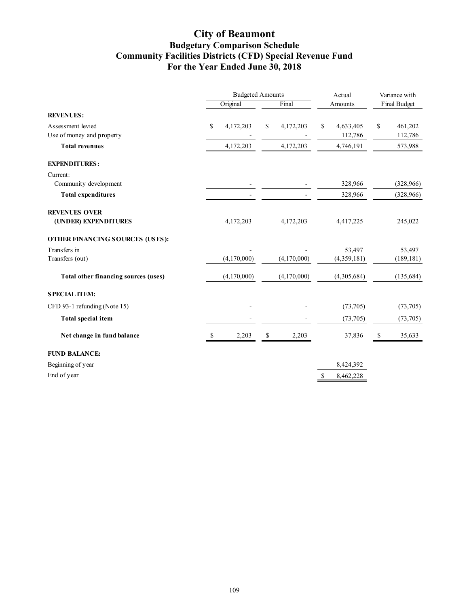## **City of Beaumont Budgetary Comparison Schedule Community Facilities Districts (CFD) Special Revenue Fund For the Year Ended June 30, 2018**

|                                      |                   | <b>Budgeted Amounts</b> |    |             | Actual          | Variance with       |
|--------------------------------------|-------------------|-------------------------|----|-------------|-----------------|---------------------|
|                                      | Original<br>Final |                         |    |             | Amounts         | <b>Final Budget</b> |
| <b>REVENUES:</b>                     |                   |                         |    |             |                 |                     |
| Assessment levied                    | S                 | 4,172,203               | S  | 4,172,203   | \$<br>4,633,405 | \$<br>461,202       |
| Use of money and property            |                   |                         |    |             | 112,786         | 112,786             |
| <b>Total revenues</b>                |                   | 4,172,203               |    | 4,172,203   | 4,746,191       | 573,988             |
| <b>EXPENDITURES:</b>                 |                   |                         |    |             |                 |                     |
| Current:                             |                   |                         |    |             |                 |                     |
| Community development                |                   |                         |    |             | 328,966         | (328,966)           |
| <b>Total expenditures</b>            |                   |                         |    |             | 328,966         | (328,966)           |
| <b>REVENUES OVER</b>                 |                   |                         |    |             |                 |                     |
| (UNDER) EXPENDITURES                 |                   | 4,172,203               |    | 4,172,203   | 4,417,225       | 245,022             |
| OTHER FINANCING SOURCES (USES):      |                   |                         |    |             |                 |                     |
| Transfers in                         |                   |                         |    |             | 53,497          | 53,497              |
| Transfers (out)                      |                   | (4,170,000)             |    | (4,170,000) | (4,359,181)     | (189, 181)          |
| Total other financing sources (uses) |                   | (4,170,000)             |    | (4,170,000) | (4,305,684)     | (135, 684)          |
| <b>SPECIAL ITEM:</b>                 |                   |                         |    |             |                 |                     |
| CFD 93-1 refunding (Note 15)         |                   |                         |    |             | (73,705)        | (73,705)            |
| Total special item                   |                   |                         |    |             | (73, 705)       | (73, 705)           |
| Net change in fund balance           | -S                | 2,203                   | \$ | 2,203       | 37,836          | \$<br>35,633        |
| <b>FUND BALANCE:</b>                 |                   |                         |    |             |                 |                     |
| Beginning of year                    |                   |                         |    |             | 8,424,392       |                     |
| End of year                          |                   |                         |    |             | \$<br>8,462,228 |                     |
|                                      |                   |                         |    |             |                 |                     |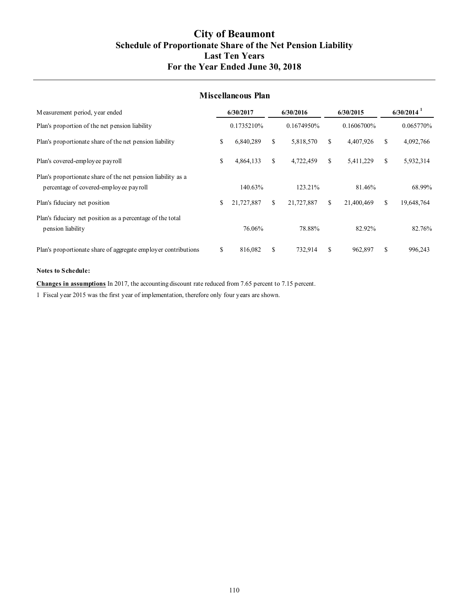# **City of Beaumont Schedule of Proportionate Share of the Net Pension Liability Last Ten Years For the Year Ended June 30, 2018**

| <b>Miscellaneous Plan</b>                                                                              |    |            |               |            |    |            |    |            |
|--------------------------------------------------------------------------------------------------------|----|------------|---------------|------------|----|------------|----|------------|
| Measurement period, year ended                                                                         |    | 6/30/2017  |               | 6/30/2016  |    | 6/30/2015  |    | 6/30/2014  |
| Plan's proportion of the net pension liability                                                         |    | 0.1735210% |               | 0.1674950% |    | 0.1606700% |    | 0.065770%  |
| Plan's proportionate share of the net pension liability                                                | \$ | 6,840,289  | S.            | 5,818,570  | S. | 4,407,926  | S. | 4,092,766  |
| Plan's covered-employee payroll                                                                        | \$ | 4,864,133  | S.            | 4,722,459  | \$ | 5,411,229  | \$ | 5,932,314  |
| Plan's proportionate share of the net pension liability as a<br>percentage of covered-employee payroll |    | 140.63%    |               | 123.21%    |    | 81.46%     |    | 68.99%     |
| Plan's fiduciary net position                                                                          | \$ | 21,727,887 | <sup>\$</sup> | 21,727,887 | \$ | 21,400,469 | S. | 19,648,764 |
| Plan's fiduciary net position as a percentage of the total<br>pension liability                        |    | 76.06%     |               | 78.88%     |    | 82.92%     |    | 82.76%     |
| Plan's proportionate share of aggregate employer contributions                                         | \$ | 816,082    | \$            | 732,914    | \$ | 962,897    | S. | 996,243    |

#### **Notes to Schedule:**

**Changes in assumptions** In 2017, the accounting discount rate reduced from 7.65 percent to 7.15 percent.

1 Fiscal year 2015 was the first year of implementation, therefore only four years are shown.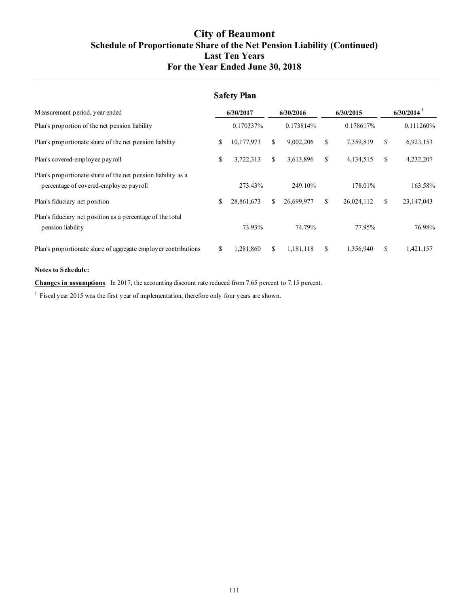# **City of Beaumont Schedule of Proportionate Share of the Net Pension Liability (Continued) Last Ten Years For the Year Ended June 30, 2018**

|                                                                                                        |     | <b>Safety Plan</b> |    |            |    |            |                          |
|--------------------------------------------------------------------------------------------------------|-----|--------------------|----|------------|----|------------|--------------------------|
| Measurement period, year ended                                                                         |     | 6/30/2017          |    | 6/30/2016  |    | 6/30/2015  | $6/30/2014$ <sup>1</sup> |
| Plan's proportion of the net pension liability                                                         |     | 0.170337%          |    | 0.173814%  |    | 0.178617%  | 0.111260\%               |
| Plan's proportionate share of the net pension liability                                                | \$  | 10,177,973         | \$ | 9,002,206  | \$ | 7,359,819  | \$<br>6,923,153          |
| Plan's covered-employee payroll                                                                        | \$  | 3,722,313          | \$ | 3,613,896  | \$ | 4,134,515  | \$<br>4,232,207          |
| Plan's proportionate share of the net pension liability as a<br>percentage of covered-employee payroll |     | 273.43%            |    | 249.10%    |    | 178.01%    | 163.58%                  |
| Plan's fiduciary net position                                                                          | S   | 28,861,673         | S  | 26,699,977 | S. | 26,024,112 | \$<br>23, 147, 043       |
| Plan's fiduciary net position as a percentage of the total<br>pension liability                        |     | 73.93%             |    | 74.79%     |    | 77.95%     | 76.98%                   |
| Plan's proportionate share of aggregate employer contributions                                         | \$. | 1,281,860          | S  | 1,181,118  | S. | 1,356,940  | \$<br>1,421,157          |

### **Notes to Schedule:**

**Changes in assumptions**. In 2017, the accounting discount rate reduced from 7.65 percent to 7.15 percent.

<sup>1</sup> Fiscal year 2015 was the first year of implementation, therefore only four years are shown.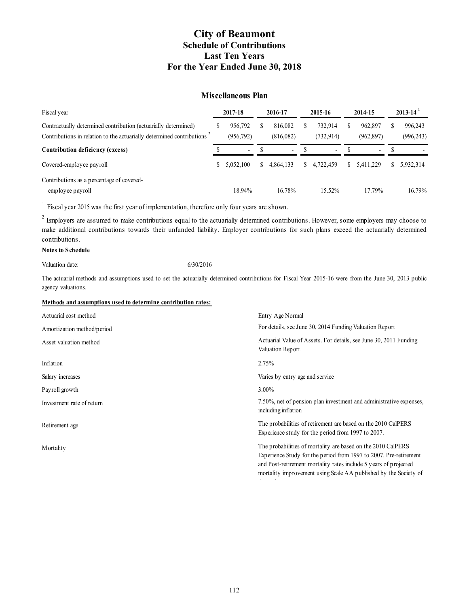# **City of Beaumont Schedule of Contributions Last Ten Years For the Year Ended June 30, 2018**

### **Miscellaneous Plan**

| Fiscal year                                                                                                                                           |    | 2017-18               |    | 2016-17              |    | 2015-16               |   | 2014-15               | 2013-14               |
|-------------------------------------------------------------------------------------------------------------------------------------------------------|----|-----------------------|----|----------------------|----|-----------------------|---|-----------------------|-----------------------|
| Contractually determined contribution (actuarially determined)<br>Contributions in relation to the actuarially determined contributions $\frac{1}{2}$ |    | 956.792<br>(956, 792) |    | 816.082<br>(816,082) |    | 732.914<br>(732, 914) |   | 962,897<br>(962, 897) | 996,243<br>(996, 243) |
| <b>Contribution deficiency (excess)</b>                                                                                                               |    | $\sim$                |    | $\sim$               |    | $\blacksquare$        |   | $\sim$                |                       |
| Covered-employee payroll                                                                                                                              | S. | 5.052.100             | S. | 4.864.133            | S. | 4,722,459             | S | 5,411,229             | 5,932,314             |
| Contributions as a percentage of covered-                                                                                                             |    |                       |    |                      |    |                       |   |                       |                       |
| employee payroll                                                                                                                                      |    | 18.94%                |    | 16.78%               |    | 15.52%                |   | 17 79%                | 16.79%                |

 $1$  Fiscal year 2015 was the first year of implementation, therefore only four years are shown.

**Methods and assumptions used to determine contribution rates:** 

<sup>2</sup> Employers are assumed to make contributions equal to the actuarially determined contributions. However, some employers may choose to make additional contributions towards their unfunded liability. Employer contributions for such plans exceed the actuarially determined contributions.

#### **Notes to Schedule**

Valuation date: 6/30/2016

The actuarial methods and assumptions used to set the actuarially determined contributions for Fiscal Year 2015-16 were from the June 30, 2013 public agency valuations.

| Actuarial cost method      | Entry Age Normal                                                                                                                                                                                                                                                          |
|----------------------------|---------------------------------------------------------------------------------------------------------------------------------------------------------------------------------------------------------------------------------------------------------------------------|
| Amortization method/period | For details, see June 30, 2014 Funding Valuation Report                                                                                                                                                                                                                   |
| Asset valuation method     | Actuarial Value of Assets. For details, see June 30, 2011 Funding<br>Valuation Report.                                                                                                                                                                                    |
| Inflation                  | 2.75%                                                                                                                                                                                                                                                                     |
| Salary increases           | Varies by entry age and service                                                                                                                                                                                                                                           |
| Payroll growth             | $3.00\%$                                                                                                                                                                                                                                                                  |
| Investment rate of return  | 7.50%, net of pension plan investment and administrative expenses,<br>including inflation                                                                                                                                                                                 |
| Retirement age             | The probabilities of retirement are based on the 2010 CalPERS<br>Experience study for the period from 1997 to 2007.                                                                                                                                                       |
| M ortality                 | The probabilities of mortality are based on the 2010 CalPERS<br>Experience Study for the period from 1997 to 2007. Pre-retirement<br>and Post-retirement mortality rates include 5 years of projected<br>mortality improvement using Scale AA published by the Society of |

A i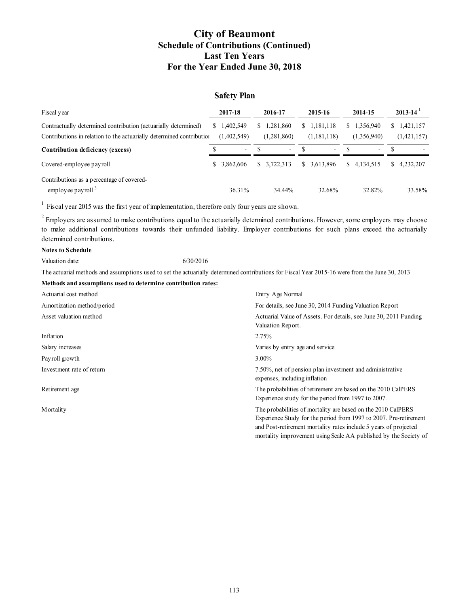# **City of Beaumont Schedule of Contributions (Continued) Last Ten Years For the Year Ended June 30, 2018**

#### **Safety Plan**

| Fiscal year                                                                                                                            |    | 2017-18                  |    | 2016-17                  | 2015-16                    |    | 2014-15                    | $2013 - 14$                |
|----------------------------------------------------------------------------------------------------------------------------------------|----|--------------------------|----|--------------------------|----------------------------|----|----------------------------|----------------------------|
| Contractually determined contribution (actuarially determined)<br>Contributions in relation to the actuarially determined contribution | S. | 1,402,549<br>(1,402,549) | S. | 1,281,860<br>(1,281,860) | \$1,181,118<br>(1,181,118) |    | \$1,356,940<br>(1,356,940) | \$1,421,157<br>(1,421,157) |
| <b>Contribution deficiency (excess)</b>                                                                                                |    | $\overline{\phantom{a}}$ |    | $\overline{\phantom{a}}$ | $\sim$                     |    | $\blacksquare$             |                            |
| Covered-employee payroll                                                                                                               | S. | 3.862.606                |    | \$3,722,313              | \$ 3,613,896               | S. | 4,134,515                  | \$4,232,207                |
| Contributions as a percentage of covered-<br>employee payroll $3$                                                                      |    | 36.31%                   |    | 34.44%                   | 32.68%                     |    | 32.82%                     | 33.58%                     |

<sup>1</sup> Fiscal year 2015 was the first year of implementation, therefore only four years are shown.

<sup>2</sup> Employers are assumed to make contributions equal to the actuarially determined contributions. However, some employers may choose to make additional contributions towards their unfunded liability. Employer contributions for such plans exceed the actuarially determined contributions.

#### **Notes to Schedule**

Valuation date: 6/30/2016

The actuarial methods and assumptions used to set the actuarially determined contributions for Fiscal Year 2015-16 were from the June 30, 2013

### **Methods and assumptions used to determine contribution rates:**

| Actuarial cost method      | Entry Age Normal                                                                                                                                                                                                                                                          |
|----------------------------|---------------------------------------------------------------------------------------------------------------------------------------------------------------------------------------------------------------------------------------------------------------------------|
| Amortization method/period | For details, see June 30, 2014 Funding Valuation Report                                                                                                                                                                                                                   |
| Asset valuation method     | Actuarial Value of Assets. For details, see June 30, 2011 Funding<br>Valuation Report.                                                                                                                                                                                    |
| Inflation                  | 2.75%                                                                                                                                                                                                                                                                     |
| Salary increases           | Varies by entry age and service                                                                                                                                                                                                                                           |
| Payroll growth             | $3.00\%$                                                                                                                                                                                                                                                                  |
| Investment rate of return  | 7.50%, net of pension plan investment and administrative<br>expenses, including inflation                                                                                                                                                                                 |
| Retirement age             | The probabilities of retirement are based on the 2010 CalPERS<br>Experience study for the period from 1997 to 2007.                                                                                                                                                       |
| M ortality                 | The probabilities of mortality are based on the 2010 CalPERS<br>Experience Study for the period from 1997 to 2007. Pre-retirement<br>and Post-retirement mortality rates include 5 years of projected<br>mortality improvement using Scale AA published by the Society of |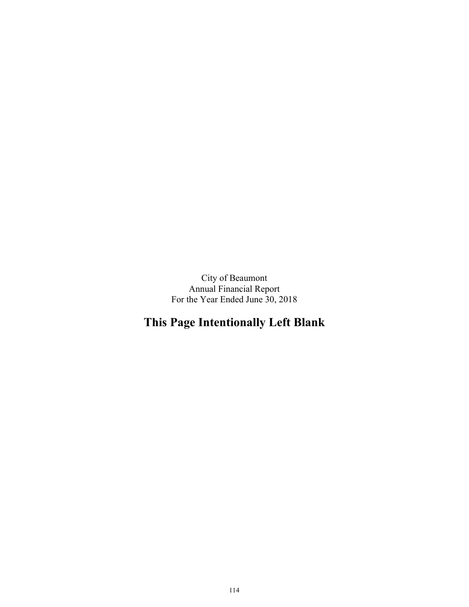# **This Page Intentionally Left Blank**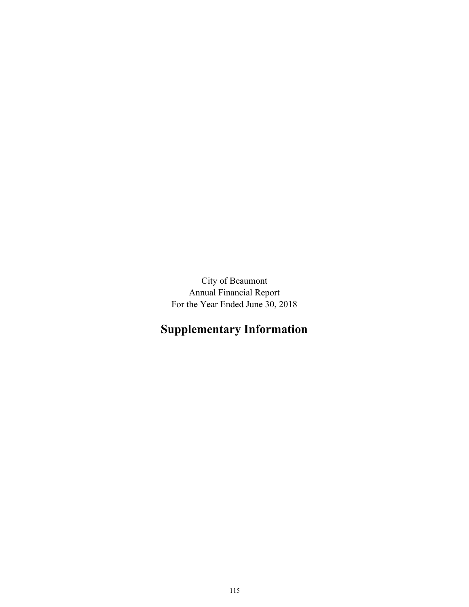# **Supplementary Information**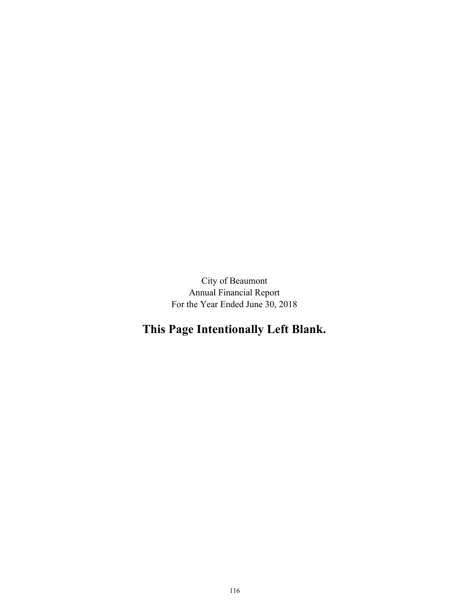# **This Page Intentionally Left Blank.**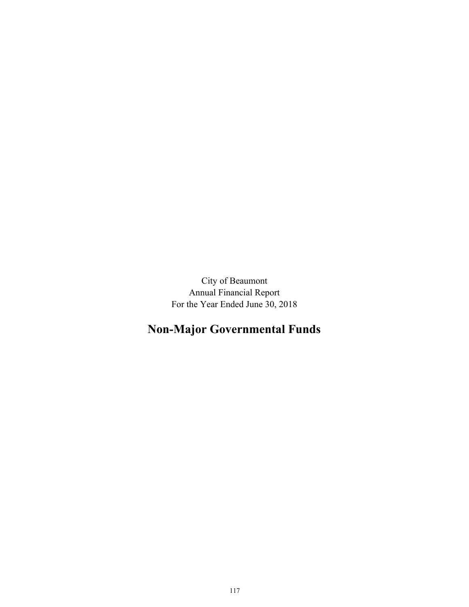# **Non-Major Governmental Funds**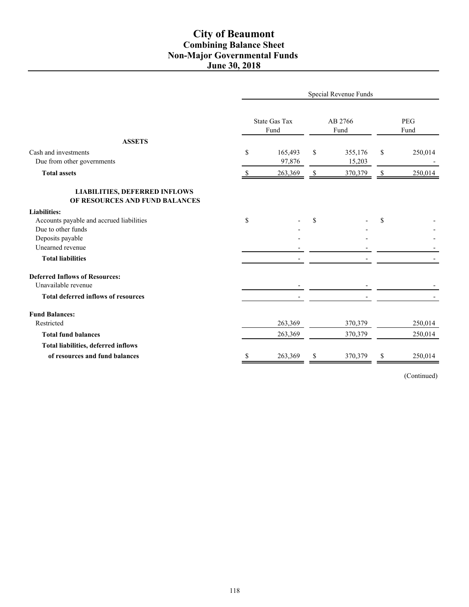## **City of Beaumont Combining Balance Sheet Non-Major Governmental Funds June 30, 2018**

|                                                                        | Special Revenue Funds |                       |    |                   |                    |         |  |  |
|------------------------------------------------------------------------|-----------------------|-----------------------|----|-------------------|--------------------|---------|--|--|
|                                                                        |                       | State Gas Tax<br>Fund |    | AB 2766<br>Fund   | <b>PEG</b><br>Fund |         |  |  |
| <b>ASSETS</b>                                                          |                       |                       |    |                   |                    |         |  |  |
| Cash and investments<br>Due from other governments                     | \$                    | 165,493<br>97,876     | \$ | 355,176<br>15,203 | \$                 | 250,014 |  |  |
| <b>Total assets</b>                                                    |                       | 263,369               | S  | 370,379           | \$                 | 250,014 |  |  |
| <b>LIABILITIES, DEFERRED INFLOWS</b><br>OF RESOURCES AND FUND BALANCES |                       |                       |    |                   |                    |         |  |  |
| <b>Liabilities:</b>                                                    |                       |                       |    |                   |                    |         |  |  |
| Accounts payable and accrued liabilities                               | \$                    |                       | \$ |                   | \$                 |         |  |  |
| Due to other funds                                                     |                       |                       |    |                   |                    |         |  |  |
| Deposits payable                                                       |                       |                       |    |                   |                    |         |  |  |
| Unearned revenue                                                       |                       |                       |    |                   |                    |         |  |  |
| <b>Total liabilities</b>                                               |                       |                       |    |                   |                    |         |  |  |
| <b>Deferred Inflows of Resources:</b>                                  |                       |                       |    |                   |                    |         |  |  |
| Unavailable revenue                                                    |                       |                       |    |                   |                    |         |  |  |
| <b>Total deferred inflows of resources</b>                             |                       |                       |    |                   |                    |         |  |  |
| <b>Fund Balances:</b>                                                  |                       |                       |    |                   |                    |         |  |  |
| Restricted                                                             |                       | 263,369               |    | 370,379           |                    | 250,014 |  |  |
| <b>Total fund balances</b>                                             |                       | 263,369               |    | 370,379           |                    | 250,014 |  |  |
| Total liabilities, deferred inflows                                    |                       |                       |    |                   |                    |         |  |  |
| of resources and fund balances                                         | S                     | 263,369               | \$ | 370,379           | \$                 | 250,014 |  |  |
|                                                                        |                       |                       |    |                   |                    |         |  |  |

(Continued)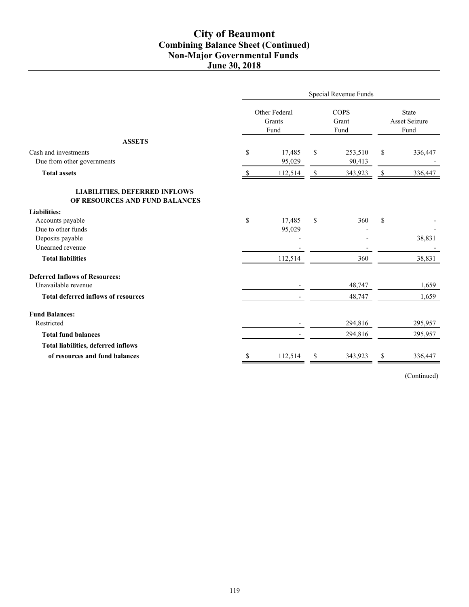## **City of Beaumont Combining Balance Sheet (Continued) Non-Major Governmental Funds June 30, 2018**

|                                                                        | Special Revenue Funds |                                 |               |                              |                                              |         |  |  |  |
|------------------------------------------------------------------------|-----------------------|---------------------------------|---------------|------------------------------|----------------------------------------------|---------|--|--|--|
|                                                                        |                       | Other Federal<br>Grants<br>Fund |               | <b>COPS</b><br>Grant<br>Fund | <b>State</b><br><b>Asset Seizure</b><br>Fund |         |  |  |  |
| <b>ASSETS</b>                                                          |                       |                                 |               |                              |                                              |         |  |  |  |
| Cash and investments<br>Due from other governments                     | $\mathbf S$           | 17,485<br>95,029                | <sup>\$</sup> | 253,510<br>90,413            | <sup>\$</sup>                                | 336,447 |  |  |  |
| <b>Total assets</b>                                                    | S                     | 112,514                         | \$            | 343,923                      | \$                                           | 336,447 |  |  |  |
| <b>LIABILITIES, DEFERRED INFLOWS</b><br>OF RESOURCES AND FUND BALANCES |                       |                                 |               |                              |                                              |         |  |  |  |
| <b>Liabilities:</b>                                                    |                       |                                 |               |                              |                                              |         |  |  |  |
| Accounts payable                                                       | \$                    | 17,485                          | <sup>\$</sup> | 360                          | <sup>\$</sup>                                |         |  |  |  |
| Due to other funds                                                     |                       | 95,029                          |               |                              |                                              |         |  |  |  |
| Deposits payable                                                       |                       |                                 |               |                              |                                              | 38,831  |  |  |  |
| Unearned revenue                                                       |                       |                                 |               |                              |                                              |         |  |  |  |
| <b>Total liabilities</b>                                               |                       | 112,514                         |               | 360                          |                                              | 38,831  |  |  |  |
| <b>Deferred Inflows of Resources:</b>                                  |                       |                                 |               |                              |                                              |         |  |  |  |
| Unavailable revenue                                                    |                       |                                 |               | 48,747                       |                                              | 1,659   |  |  |  |
| <b>Total deferred inflows of resources</b>                             |                       |                                 |               | 48,747                       |                                              | 1,659   |  |  |  |
| <b>Fund Balances:</b>                                                  |                       |                                 |               |                              |                                              |         |  |  |  |
| Restricted                                                             |                       |                                 |               | 294,816                      |                                              | 295,957 |  |  |  |
| <b>Total fund balances</b>                                             |                       |                                 |               | 294,816                      |                                              | 295,957 |  |  |  |
| Total liabilities, deferred inflows                                    |                       |                                 |               |                              |                                              |         |  |  |  |
| of resources and fund balances                                         | \$.                   | 112,514                         | \$            | 343,923                      | \$                                           | 336,447 |  |  |  |
|                                                                        |                       |                                 |               |                              |                                              |         |  |  |  |

(Continued)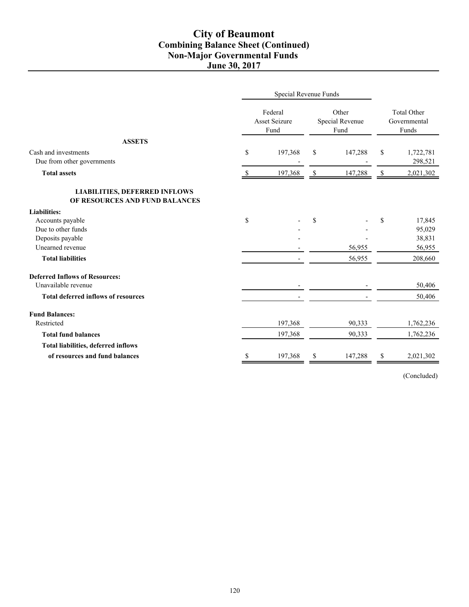## **City of Beaumont Combining Balance Sheet (Continued) Non-Major Governmental Funds June 30, 2017**

|                                                                        |    | Federal<br><b>Asset Seizure</b><br>Fund | Other<br>Special Revenue<br>Fund | <b>Total Other</b><br>Governmental<br>Funds |                      |
|------------------------------------------------------------------------|----|-----------------------------------------|----------------------------------|---------------------------------------------|----------------------|
| <b>ASSETS</b>                                                          |    |                                         |                                  |                                             |                      |
| Cash and investments<br>Due from other governments                     | \$ | 197,368                                 | \$<br>147,288                    | <sup>\$</sup>                               | 1,722,781<br>298,521 |
| <b>Total assets</b>                                                    |    | 197,368                                 | \$<br>147,288                    | -S                                          | 2,021,302            |
| <b>LIABILITIES, DEFERRED INFLOWS</b><br>OF RESOURCES AND FUND BALANCES |    |                                         |                                  |                                             |                      |
| <b>Liabilities:</b>                                                    |    |                                         |                                  |                                             |                      |
| Accounts payable                                                       | \$ |                                         | \$                               | $\mathbf S$                                 | 17,845               |
| Due to other funds                                                     |    |                                         |                                  |                                             | 95,029               |
| Deposits payable                                                       |    |                                         |                                  |                                             | 38,831               |
| Unearned revenue                                                       |    |                                         | 56,955                           |                                             | 56,955               |
| <b>Total liabilities</b>                                               |    |                                         | 56,955                           |                                             | 208,660              |
| <b>Deferred Inflows of Resources:</b>                                  |    |                                         |                                  |                                             |                      |
| Unavailable revenue                                                    |    |                                         |                                  |                                             | 50,406               |
| <b>Total deferred inflows of resources</b>                             |    |                                         |                                  |                                             | 50,406               |
| <b>Fund Balances:</b>                                                  |    |                                         |                                  |                                             |                      |
| Restricted                                                             |    | 197,368                                 | 90,333                           |                                             | 1,762,236            |
| <b>Total fund balances</b>                                             |    | 197,368                                 | 90,333                           |                                             | 1,762,236            |
| <b>Total liabilities, deferred inflows</b>                             |    |                                         |                                  |                                             |                      |
| of resources and fund balances                                         |    | 197,368                                 | \$<br>147,288                    | \$                                          | 2,021,302            |
|                                                                        |    |                                         |                                  |                                             |                      |

(Concluded)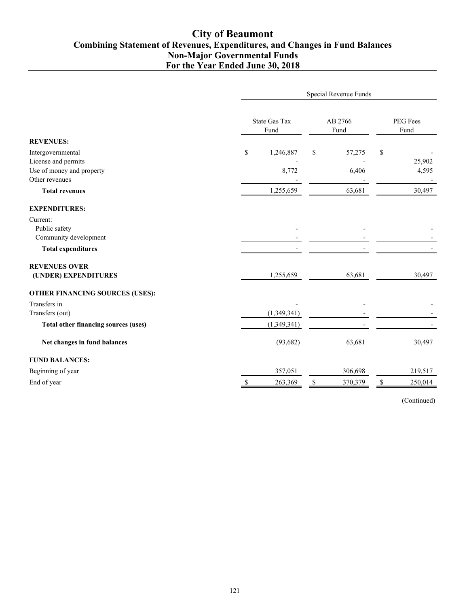## **City of Beaumont Combining Statement of Revenues, Expenditures, and Changes in Fund Balances Non-Major Governmental Funds For the Year Ended June 30, 2018**

|                                              | Special Revenue Funds        |                        |                  |  |  |  |  |  |  |
|----------------------------------------------|------------------------------|------------------------|------------------|--|--|--|--|--|--|
|                                              | <b>State Gas Tax</b><br>Fund | AB 2766<br>Fund        | PEG Fees<br>Fund |  |  |  |  |  |  |
| <b>REVENUES:</b>                             |                              |                        |                  |  |  |  |  |  |  |
| Intergovernmental                            | \$<br>1,246,887              | 57,275<br>\$           | \$               |  |  |  |  |  |  |
| License and permits                          |                              |                        | 25,902           |  |  |  |  |  |  |
| Use of money and property<br>Other revenues  | 8,772                        | 6,406                  | 4,595            |  |  |  |  |  |  |
| <b>Total revenues</b>                        | 1,255,659                    | 63,681                 | 30,497           |  |  |  |  |  |  |
| <b>EXPENDITURES:</b>                         |                              |                        |                  |  |  |  |  |  |  |
| Current:                                     |                              |                        |                  |  |  |  |  |  |  |
| Public safety                                |                              |                        |                  |  |  |  |  |  |  |
| Community development                        |                              |                        |                  |  |  |  |  |  |  |
| <b>Total expenditures</b>                    |                              |                        |                  |  |  |  |  |  |  |
| <b>REVENUES OVER</b><br>(UNDER) EXPENDITURES | 1,255,659                    | 63,681                 | 30,497           |  |  |  |  |  |  |
| OTHER FINANCING SOURCES (USES):              |                              |                        |                  |  |  |  |  |  |  |
| Transfers in                                 |                              |                        |                  |  |  |  |  |  |  |
| Transfers (out)                              | (1,349,341)                  |                        |                  |  |  |  |  |  |  |
| Total other financing sources (uses)         | (1,349,341)                  |                        |                  |  |  |  |  |  |  |
| Net changes in fund balances                 | (93, 682)                    | 63,681                 | 30,497           |  |  |  |  |  |  |
| <b>FUND BALANCES:</b>                        |                              |                        |                  |  |  |  |  |  |  |
| Beginning of year                            | 357,051                      | 306,698                | 219,517          |  |  |  |  |  |  |
| End of year                                  | <sup>\$</sup><br>263,369     | $\mathbb S$<br>370,379 | \$<br>250,014    |  |  |  |  |  |  |
|                                              |                              |                        |                  |  |  |  |  |  |  |

(Continued)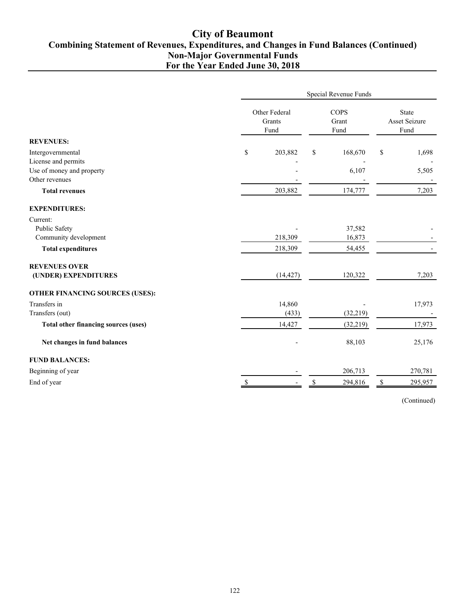## **City of Beaumont Combining Statement of Revenues, Expenditures, and Changes in Fund Balances (Continued) Non-Major Governmental Funds For the Year Ended June 30, 2018**

|                                                                    | Special Revenue Funds |                                 |    |                              |                                              |         |  |  |
|--------------------------------------------------------------------|-----------------------|---------------------------------|----|------------------------------|----------------------------------------------|---------|--|--|
|                                                                    |                       | Other Federal<br>Grants<br>Fund |    | <b>COPS</b><br>Grant<br>Fund | <b>State</b><br><b>Asset Seizure</b><br>Fund |         |  |  |
| <b>REVENUES:</b>                                                   |                       |                                 |    |                              |                                              |         |  |  |
| Intergovernmental                                                  | \$                    | 203,882                         | \$ | 168,670                      | \$                                           | 1,698   |  |  |
| License and permits<br>Use of money and property<br>Other revenues |                       |                                 |    | 6,107                        |                                              | 5,505   |  |  |
| <b>Total revenues</b>                                              | 203,882               |                                 |    | 174,777                      | 7,203                                        |         |  |  |
| <b>EXPENDITURES:</b>                                               |                       |                                 |    |                              |                                              |         |  |  |
| Current:<br>Public Safety                                          |                       |                                 |    | 37,582                       |                                              |         |  |  |
| Community development                                              | 218,309               |                                 |    | 16,873                       |                                              |         |  |  |
| <b>Total expenditures</b>                                          | 218,309               |                                 |    | 54,455                       |                                              |         |  |  |
| <b>REVENUES OVER</b>                                               |                       |                                 |    |                              |                                              |         |  |  |
| (UNDER) EXPENDITURES                                               |                       | (14, 427)                       |    | 120,322                      |                                              | 7,203   |  |  |
| OTHER FINANCING SOURCES (USES):                                    |                       |                                 |    |                              |                                              |         |  |  |
| Transfers in                                                       |                       | 14,860                          |    |                              |                                              | 17,973  |  |  |
| Transfers (out)                                                    |                       | (433)                           |    | (32, 219)                    |                                              |         |  |  |
| Total other financing sources (uses)                               |                       | 14,427                          |    | (32, 219)                    |                                              | 17,973  |  |  |
| Net changes in fund balances                                       |                       |                                 |    | 88,103                       |                                              | 25,176  |  |  |
| <b>FUND BALANCES:</b>                                              |                       |                                 |    |                              |                                              |         |  |  |
| Beginning of year                                                  |                       |                                 |    | 206,713                      |                                              | 270,781 |  |  |
| End of year                                                        | \$                    |                                 |    | 294,816                      | \$                                           | 295,957 |  |  |

(Continued)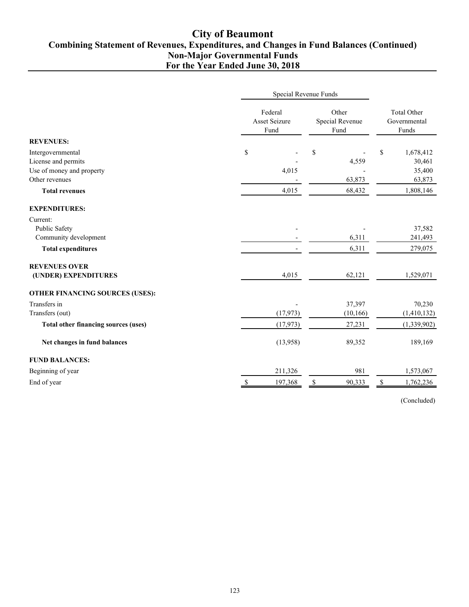## **City of Beaumont Combining Statement of Revenues, Expenditures, and Changes in Fund Balances (Continued) Non-Major Governmental Funds For the Year Ended June 30, 2018**

|                                      | Federal<br><b>Asset Seizure</b><br>Fund |           |       | Other<br>Special Revenue<br>Fund | <b>Total Other</b><br>Governmental<br>Funds |             |  |
|--------------------------------------|-----------------------------------------|-----------|-------|----------------------------------|---------------------------------------------|-------------|--|
| <b>REVENUES:</b>                     |                                         |           |       |                                  |                                             |             |  |
| Intergovernmental                    | \$                                      |           | \$    |                                  | \$                                          | 1,678,412   |  |
| License and permits                  |                                         |           |       | 4,559                            |                                             | 30,461      |  |
| Use of money and property            |                                         | 4,015     |       |                                  |                                             | 35,400      |  |
| Other revenues                       |                                         |           |       | 63,873                           | 63,873                                      |             |  |
| <b>Total revenues</b>                |                                         | 4,015     |       | 68,432                           |                                             | 1,808,146   |  |
| <b>EXPENDITURES:</b>                 |                                         |           |       |                                  |                                             |             |  |
| Current:                             |                                         |           |       |                                  |                                             |             |  |
| Public Safety                        |                                         |           |       |                                  |                                             | 37,582      |  |
| Community development                |                                         |           | 6,311 |                                  | 241,493                                     |             |  |
| <b>Total expenditures</b>            |                                         |           |       | 6,311                            |                                             | 279,075     |  |
| <b>REVENUES OVER</b>                 |                                         |           |       |                                  |                                             |             |  |
| (UNDER) EXPENDITURES                 |                                         | 4,015     |       | 62,121                           |                                             | 1,529,071   |  |
| OTHER FINANCING SOURCES (USES):      |                                         |           |       |                                  |                                             |             |  |
| Transfers in                         |                                         |           |       | 37,397                           |                                             | 70,230      |  |
| Transfers (out)                      |                                         | (17, 973) |       | (10, 166)                        |                                             | (1,410,132) |  |
| Total other financing sources (uses) |                                         | (17, 973) |       | 27,231                           |                                             | (1,339,902) |  |
| Net changes in fund balances         |                                         | (13,958)  |       | 89,352                           |                                             | 189,169     |  |
| <b>FUND BALANCES:</b>                |                                         |           |       |                                  |                                             |             |  |
| Beginning of year                    |                                         | 211,326   |       | 981                              |                                             | 1,573,067   |  |
| End of year                          | <sup>\$</sup>                           | 197,368   | \$    | 90,333                           | \$                                          | 1,762,236   |  |

(Concluded)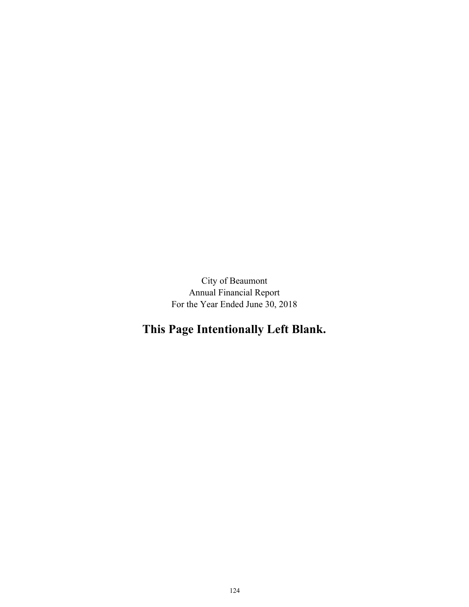# **This Page Intentionally Left Blank.**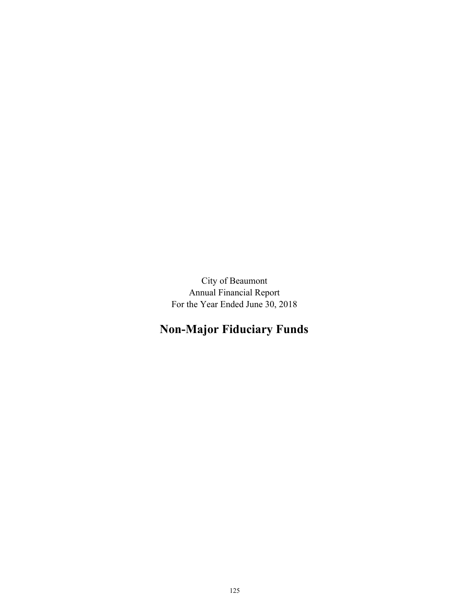# **Non-Major Fiduciary Funds**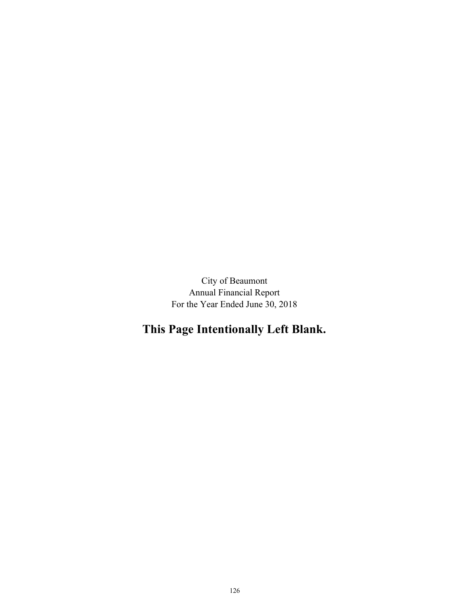# **This Page Intentionally Left Blank.**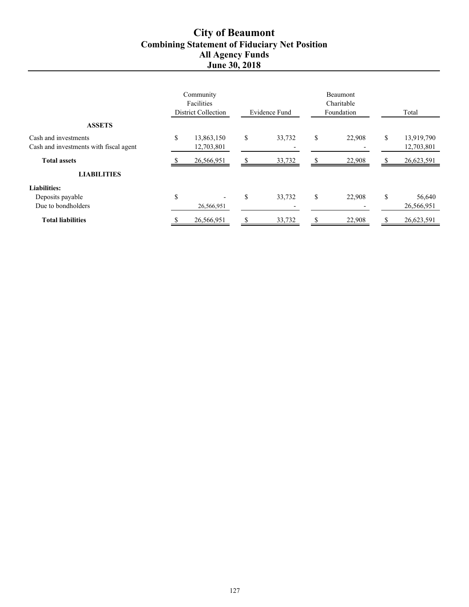## **City of Beaumont Combining Statement of Fiduciary Net Position All Agency Funds June 30, 2018**

| <b>ASSETS</b>                          | Community<br>Facilities<br><b>District Collection</b><br>Evidence Fund |            |    | Beaumont<br>Charitable<br>Foundation | Total        |                  |
|----------------------------------------|------------------------------------------------------------------------|------------|----|--------------------------------------|--------------|------------------|
| Cash and investments                   | \$                                                                     | 13,863,150 | \$ | 33,732                               | \$<br>22,908 | \$<br>13,919,790 |
| Cash and investments with fiscal agent |                                                                        | 12,703,801 |    |                                      |              | 12,703,801       |
| <b>Total assets</b>                    |                                                                        | 26,566,951 |    | 33,732                               | \$<br>22,908 | 26,623,591       |
| <b>LIABILITIES</b>                     |                                                                        |            |    |                                      |              |                  |
| <b>Liabilities:</b>                    |                                                                        |            |    |                                      |              |                  |
| Deposits payable                       | \$                                                                     |            | \$ | 33,732                               | \$<br>22,908 | \$<br>56,640     |
| Due to bondholders                     |                                                                        | 26,566,951 |    |                                      |              | 26,566,951       |
| <b>Total liabilities</b>               |                                                                        | 26,566,951 |    | 33,732                               | 22,908       | 26,623,591       |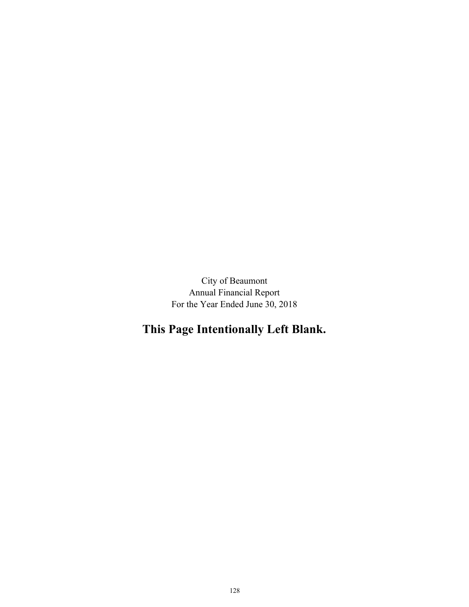# **This Page Intentionally Left Blank.**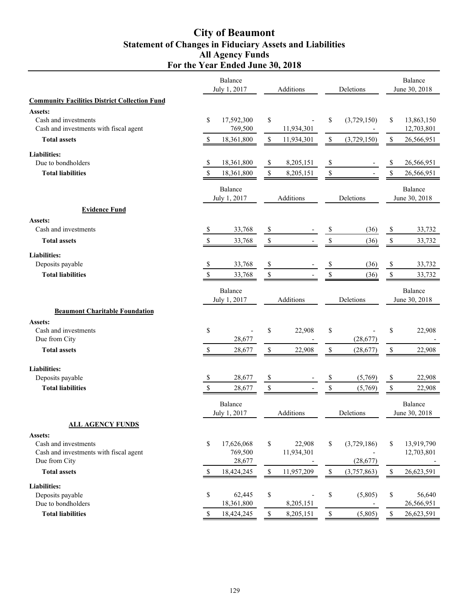## **City of Beaumont Statement of Changes in Fiduciary Assets and Liabilities All Agency Funds For the Year Ended June 30, 2018**

|                                                                                            |                                                   | Balance<br>July 1, 2017<br>Additions |                    |                        | Deletions |                          | Balance<br>June 30, 2018                 |                          |  |  |                          |  |
|--------------------------------------------------------------------------------------------|---------------------------------------------------|--------------------------------------|--------------------|------------------------|-----------|--------------------------|------------------------------------------|--------------------------|--|--|--------------------------|--|
| <b>Community Facilities District Collection Fund</b>                                       |                                                   |                                      |                    |                        |           |                          |                                          |                          |  |  |                          |  |
| Assets:<br>Cash and investments<br>Cash and investments with fiscal agent                  | \$                                                | 17,592,300<br>769,500                | \$                 | 11,934,301             | \$        | (3,729,150)              | \$                                       | 13,863,150<br>12,703,801 |  |  |                          |  |
| <b>Total assets</b>                                                                        | \$                                                | 18,361,800                           | $\mathbb{S}$       | 11,934,301             | \$        | (3,729,150)              | \$                                       | 26,566,951               |  |  |                          |  |
| <b>Liabilities:</b><br>Due to bondholders<br><b>Total liabilities</b>                      | <sup>\$</sup><br>\$                               | 18,361,800<br>18,361,800             | \$<br>\$           | 8,205,151<br>8,205,151 | \$<br>\$  |                          | \$<br>\$                                 | 26,566,951<br>26,566,951 |  |  |                          |  |
|                                                                                            | Balance<br>July 1, 2017                           |                                      | Additions          |                        | Deletions |                          | Balance<br>June 30, 2018                 |                          |  |  |                          |  |
| <b>Evidence Fund</b>                                                                       |                                                   |                                      |                    |                        |           |                          |                                          |                          |  |  |                          |  |
| Assets:<br>Cash and investments<br><b>Total assets</b>                                     | \$<br>\$                                          | 33,768<br>33,768                     | \$<br>$\mathbb{S}$ |                        | \$<br>\$  | (36)<br>(36)             | $\boldsymbol{\mathsf{S}}$<br>$\mathbb S$ | 33,732<br>33,732         |  |  |                          |  |
|                                                                                            |                                                   |                                      |                    |                        |           |                          |                                          |                          |  |  |                          |  |
| <b>Liabilities:</b><br>Deposits payable<br><b>Total liabilities</b>                        | \$<br>\$                                          | 33,768<br>33,768                     | \$<br>$\mathbb S$  |                        | \$<br>\$  | (36)<br>(36)             | \$<br>$\mathbb{S}$                       | 33,732<br>33,732         |  |  |                          |  |
|                                                                                            |                                                   | Balance<br>July 1, 2017              |                    | Additions              |           | Deletions                |                                          | Balance<br>June 30, 2018 |  |  |                          |  |
| <b>Beaumont Charitable Foundation</b>                                                      |                                                   |                                      |                    |                        |           |                          |                                          |                          |  |  |                          |  |
| Assets:<br>Cash and investments<br>Due from City                                           | \$                                                | 28,677                               | \$                 | 22,908                 | \$        | (28, 677)                | \$                                       | 22,908                   |  |  |                          |  |
| <b>Total assets</b>                                                                        | <sup>\$</sup>                                     | 28,677                               | \$                 | 22,908                 | \$        | (28, 677)                | \$                                       | 22,908                   |  |  |                          |  |
| <b>Liabilities:</b><br>Deposits payable                                                    | \$                                                | 28,677                               | \$                 |                        | \$        | (5,769)                  | $\mathbb S$                              | 22,908                   |  |  |                          |  |
| <b>Total liabilities</b>                                                                   | \$                                                | 28,677                               | \$                 |                        | \$        | (5,769)                  | \$                                       | 22,908                   |  |  |                          |  |
|                                                                                            | Balance<br>July 1, 2017<br>Additions<br>Deletions |                                      |                    |                        |           |                          |                                          |                          |  |  | Balance<br>June 30, 2018 |  |
| <b>ALL AGENCY FUNDS</b>                                                                    |                                                   |                                      |                    |                        |           |                          |                                          |                          |  |  |                          |  |
| Assets:<br>Cash and investments<br>Cash and investments with fiscal agent<br>Due from City | \$                                                | 17,626,068<br>769,500<br>28,677      | \$                 | 22,908<br>11,934,301   | \$        | (3,729,186)<br>(28, 677) | \$                                       | 13,919,790<br>12,703,801 |  |  |                          |  |
| <b>Total assets</b>                                                                        | -S                                                | 18,424,245                           | \$                 | 11,957,209             | \$        | (3,757,863)              | \$                                       | 26,623,591               |  |  |                          |  |
| <b>Liabilities:</b><br>Deposits payable                                                    | \$                                                | 62,445                               | \$                 |                        | \$        | (5,805)                  | \$                                       | 56,640                   |  |  |                          |  |
| Due to bondholders<br><b>Total liabilities</b>                                             | \$                                                | 18,361,800<br>18,424,245             | $\mathbb{S}$       | 8,205,151<br>8,205,151 | \$        | (5,805)                  | \$                                       | 26,566,951<br>26,623,591 |  |  |                          |  |